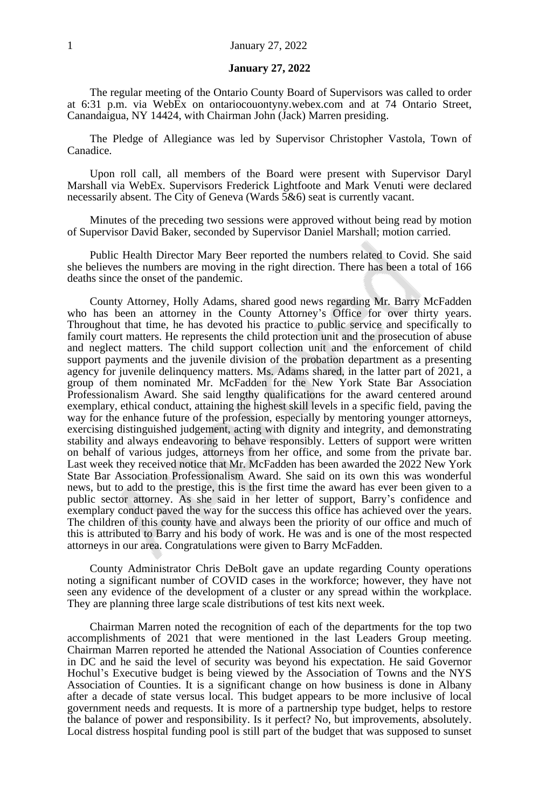#### **January 27, 2022**

The regular meeting of the Ontario County Board of Supervisors was called to order at 6:31 p.m. via WebEx on ontariocouontyny.webex.com and at 74 Ontario Street, Canandaigua, NY 14424, with Chairman John (Jack) Marren presiding.

The Pledge of Allegiance was led by Supervisor Christopher Vastola, Town of Canadice.

Upon roll call, all members of the Board were present with Supervisor Daryl Marshall via WebEx. Supervisors Frederick Lightfoote and Mark Venuti were declared necessarily absent. The City of Geneva (Wards 5&6) seat is currently vacant.

Minutes of the preceding two sessions were approved without being read by motion of Supervisor David Baker, seconded by Supervisor Daniel Marshall; motion carried.

Public Health Director Mary Beer reported the numbers related to Covid. She said she believes the numbers are moving in the right direction. There has been a total of 166 deaths since the onset of the pandemic.

County Attorney, Holly Adams, shared good news regarding Mr. Barry McFadden who has been an attorney in the County Attorney's Office for over thirty years. Throughout that time, he has devoted his practice to public service and specifically to family court matters. He represents the child protection unit and the prosecution of abuse and neglect matters. The child support collection unit and the enforcement of child support payments and the juvenile division of the probation department as a presenting agency for juvenile delinquency matters. Ms. Adams shared, in the latter part of 2021, a group of them nominated Mr. McFadden for the New York State Bar Association Professionalism Award. She said lengthy qualifications for the award centered around exemplary, ethical conduct, attaining the highest skill levels in a specific field, paving the way for the enhance future of the profession, especially by mentoring younger attorneys, exercising distinguished judgement, acting with dignity and integrity, and demonstrating stability and always endeavoring to behave responsibly. Letters of support were written on behalf of various judges, attorneys from her office, and some from the private bar. Last week they received notice that Mr. McFadden has been awarded the 2022 New York State Bar Association Professionalism Award. She said on its own this was wonderful news, but to add to the prestige, this is the first time the award has ever been given to a public sector attorney. As she said in her letter of support, Barry's confidence and exemplary conduct paved the way for the success this office has achieved over the years. The children of this county have and always been the priority of our office and much of this is attributed to Barry and his body of work. He was and is one of the most respected attorneys in our area. Congratulations were given to Barry McFadden.

County Administrator Chris DeBolt gave an update regarding County operations noting a significant number of COVID cases in the workforce; however, they have not seen any evidence of the development of a cluster or any spread within the workplace. They are planning three large scale distributions of test kits next week.

Chairman Marren noted the recognition of each of the departments for the top two accomplishments of 2021 that were mentioned in the last Leaders Group meeting. Chairman Marren reported he attended the National Association of Counties conference in DC and he said the level of security was beyond his expectation. He said Governor Hochul's Executive budget is being viewed by the Association of Towns and the NYS Association of Counties. It is a significant change on how business is done in Albany after a decade of state versus local. This budget appears to be more inclusive of local government needs and requests. It is more of a partnership type budget, helps to restore the balance of power and responsibility. Is it perfect? No, but improvements, absolutely. Local distress hospital funding pool is still part of the budget that was supposed to sunset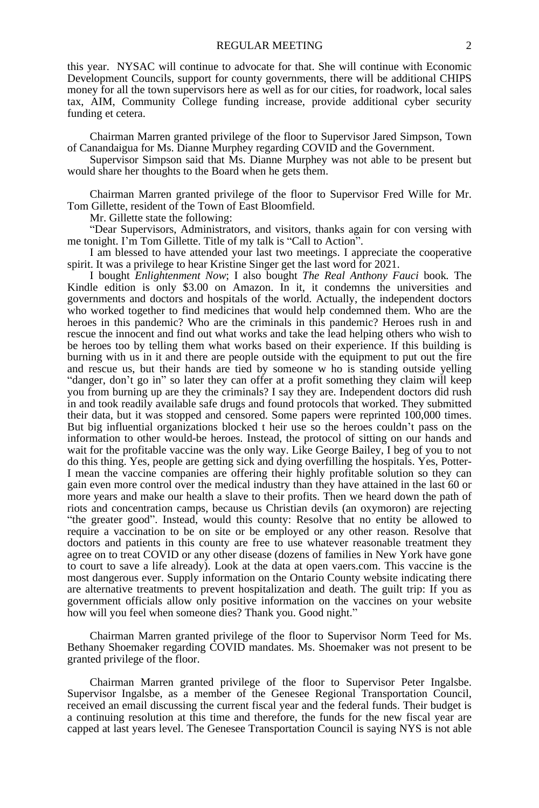this year. NYSAC will continue to advocate for that. She will continue with Economic Development Councils, support for county governments, there will be additional CHIPS money for all the town supervisors here as well as for our cities, for roadwork, local sales tax, AIM, Community College funding increase, provide additional cyber security funding et cetera.

Chairman Marren granted privilege of the floor to Supervisor Jared Simpson, Town of Canandaigua for Ms. Dianne Murphey regarding COVID and the Government.

Supervisor Simpson said that Ms. Dianne Murphey was not able to be present but would share her thoughts to the Board when he gets them.

Chairman Marren granted privilege of the floor to Supervisor Fred Wille for Mr. Tom Gillette, resident of the Town of East Bloomfield.

Mr. Gillette state the following:

"Dear Supervisors, Administrators, and visitors, thanks again for con versing with me tonight. I'm Tom Gillette. Title of my talk is "Call to Action".

I am blessed to have attended your last two meetings. I appreciate the cooperative spirit. It was a privilege to hear Kristine Singer get the last word for 2021.

I bought *Enlightenment Now*; I also bought *The Real Anthony Fauci* book*.* The Kindle edition is only \$3.00 on Amazon. In it, it condemns the universities and governments and doctors and hospitals of the world. Actually, the independent doctors who worked together to find medicines that would help condemned them. Who are the heroes in this pandemic? Who are the criminals in this pandemic? Heroes rush in and rescue the innocent and find out what works and take the lead helping others who wish to be heroes too by telling them what works based on their experience. If this building is burning with us in it and there are people outside with the equipment to put out the fire and rescue us, but their hands are tied by someone w ho is standing outside yelling "danger, don't go in" so later they can offer at a profit something they claim will keep you from burning up are they the criminals? I say they are. Independent doctors did rush in and took readily available safe drugs and found protocols that worked. They submitted their data, but it was stopped and censored. Some papers were reprinted 100,000 times. But big influential organizations blocked t heir use so the heroes couldn't pass on the information to other would-be heroes. Instead, the protocol of sitting on our hands and wait for the profitable vaccine was the only way. Like George Bailey, I beg of you to not do this thing. Yes, people are getting sick and dying overfilling the hospitals. Yes, Potter-I mean the vaccine companies are offering their highly profitable solution so they can gain even more control over the medical industry than they have attained in the last 60 or more years and make our health a slave to their profits. Then we heard down the path of riots and concentration camps, because us Christian devils (an oxymoron) are rejecting "the greater good". Instead, would this county: Resolve that no entity be allowed to require a vaccination to be on site or be employed or any other reason. Resolve that doctors and patients in this county are free to use whatever reasonable treatment they agree on to treat COVID or any other disease (dozens of families in New York have gone to court to save a life already). Look at the data at open vaers.com. This vaccine is the most dangerous ever. Supply information on the Ontario County website indicating there are alternative treatments to prevent hospitalization and death. The guilt trip: If you as government officials allow only positive information on the vaccines on your website how will you feel when someone dies? Thank you. Good night."

Chairman Marren granted privilege of the floor to Supervisor Norm Teed for Ms. Bethany Shoemaker regarding COVID mandates. Ms. Shoemaker was not present to be granted privilege of the floor.

Chairman Marren granted privilege of the floor to Supervisor Peter Ingalsbe. Supervisor Ingalsbe, as a member of the Genesee Regional Transportation Council, received an email discussing the current fiscal year and the federal funds. Their budget is a continuing resolution at this time and therefore, the funds for the new fiscal year are capped at last years level. The Genesee Transportation Council is saying NYS is not able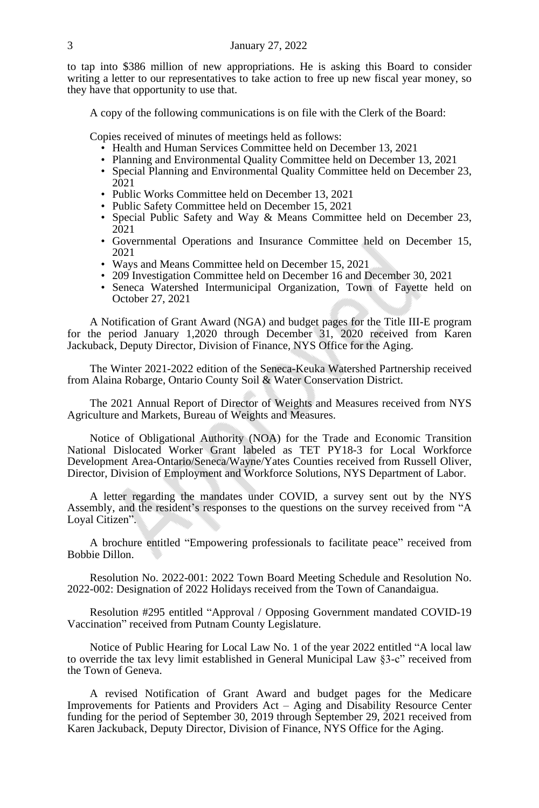to tap into \$386 million of new appropriations. He is asking this Board to consider writing a letter to our representatives to take action to free up new fiscal year money, so they have that opportunity to use that.

A copy of the following communications is on file with the Clerk of the Board:

Copies received of minutes of meetings held as follows:

- Health and Human Services Committee held on December 13, 2021
- Planning and Environmental Quality Committee held on December 13, 2021
- Special Planning and Environmental Quality Committee held on December 23, 2021
- Public Works Committee held on December 13, 2021
- Public Safety Committee held on December 15, 2021
- Special Public Safety and Way & Means Committee held on December 23, 2021
- Governmental Operations and Insurance Committee held on December 15, 2021
- Ways and Means Committee held on December 15, 2021
- 209 Investigation Committee held on December 16 and December 30, 2021
- Seneca Watershed Intermunicipal Organization, Town of Fayette held on October 27, 2021

A Notification of Grant Award (NGA) and budget pages for the Title III-E program for the period January 1,2020 through December 31, 2020 received from Karen Jackuback, Deputy Director, Division of Finance, NYS Office for the Aging.

The Winter 2021-2022 edition of the Seneca-Keuka Watershed Partnership received from Alaina Robarge, Ontario County Soil & Water Conservation District.

The 2021 Annual Report of Director of Weights and Measures received from NYS Agriculture and Markets, Bureau of Weights and Measures.

Notice of Obligational Authority (NOA) for the Trade and Economic Transition National Dislocated Worker Grant labeled as TET PY18-3 for Local Workforce Development Area-Ontario/Seneca/Wayne/Yates Counties received from Russell Oliver, Director, Division of Employment and Workforce Solutions, NYS Department of Labor.

A letter regarding the mandates under COVID, a survey sent out by the NYS Assembly, and the resident's responses to the questions on the survey received from "A Loyal Citizen".

A brochure entitled "Empowering professionals to facilitate peace" received from Bobbie Dillon.

Resolution No. 2022-001: 2022 Town Board Meeting Schedule and Resolution No. 2022-002: Designation of 2022 Holidays received from the Town of Canandaigua.

Resolution #295 entitled "Approval / Opposing Government mandated COVID-19 Vaccination" received from Putnam County Legislature.

Notice of Public Hearing for Local Law No. 1 of the year 2022 entitled "A local law to override the tax levy limit established in General Municipal Law §3-c" received from the Town of Geneva.

A revised Notification of Grant Award and budget pages for the Medicare Improvements for Patients and Providers Act – Aging and Disability Resource Center funding for the period of September 30, 2019 through September 29, 2021 received from Karen Jackuback, Deputy Director, Division of Finance, NYS Office for the Aging.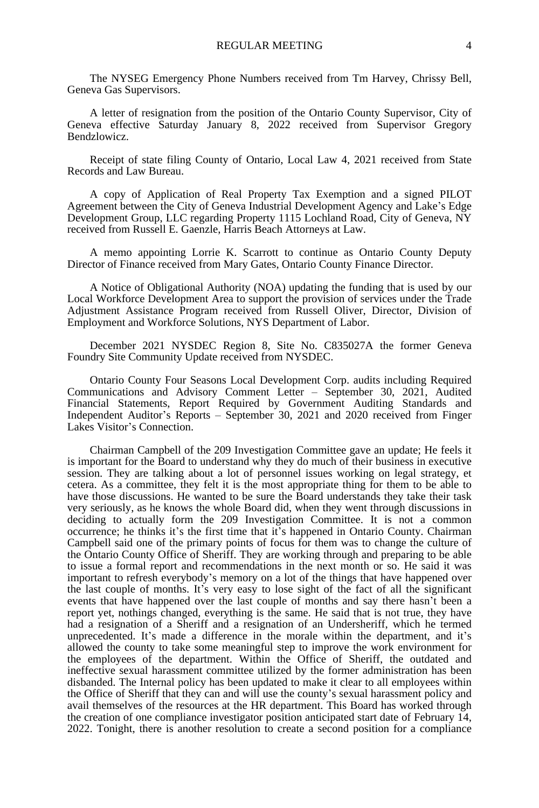The NYSEG Emergency Phone Numbers received from Tm Harvey, Chrissy Bell, Geneva Gas Supervisors.

A letter of resignation from the position of the Ontario County Supervisor, City of Geneva effective Saturday January 8, 2022 received from Supervisor Gregory Bendzlowicz.

Receipt of state filing County of Ontario, Local Law 4, 2021 received from State Records and Law Bureau.

A copy of Application of Real Property Tax Exemption and a signed PILOT Agreement between the City of Geneva Industrial Development Agency and Lake's Edge Development Group, LLC regarding Property 1115 Lochland Road, City of Geneva, NY received from Russell E. Gaenzle, Harris Beach Attorneys at Law.

A memo appointing Lorrie K. Scarrott to continue as Ontario County Deputy Director of Finance received from Mary Gates, Ontario County Finance Director.

A Notice of Obligational Authority (NOA) updating the funding that is used by our Local Workforce Development Area to support the provision of services under the Trade Adjustment Assistance Program received from Russell Oliver, Director, Division of Employment and Workforce Solutions, NYS Department of Labor.

December 2021 NYSDEC Region 8, Site No. C835027A the former Geneva Foundry Site Community Update received from NYSDEC.

Ontario County Four Seasons Local Development Corp. audits including Required Communications and Advisory Comment Letter – September 30, 2021, Audited Financial Statements, Report Required by Government Auditing Standards and Independent Auditor's Reports – September 30, 2021 and 2020 received from Finger Lakes Visitor's Connection.

Chairman Campbell of the 209 Investigation Committee gave an update; He feels it is important for the Board to understand why they do much of their business in executive session. They are talking about a lot of personnel issues working on legal strategy, et cetera. As a committee, they felt it is the most appropriate thing for them to be able to have those discussions. He wanted to be sure the Board understands they take their task very seriously, as he knows the whole Board did, when they went through discussions in deciding to actually form the 209 Investigation Committee. It is not a common occurrence; he thinks it's the first time that it's happened in Ontario County. Chairman Campbell said one of the primary points of focus for them was to change the culture of the Ontario County Office of Sheriff. They are working through and preparing to be able to issue a formal report and recommendations in the next month or so. He said it was important to refresh everybody's memory on a lot of the things that have happened over the last couple of months. It's very easy to lose sight of the fact of all the significant events that have happened over the last couple of months and say there hasn't been a report yet, nothings changed, everything is the same. He said that is not true, they have had a resignation of a Sheriff and a resignation of an Undersheriff, which he termed unprecedented. It's made a difference in the morale within the department, and it's allowed the county to take some meaningful step to improve the work environment for the employees of the department. Within the Office of Sheriff, the outdated and ineffective sexual harassment committee utilized by the former administration has been disbanded. The Internal policy has been updated to make it clear to all employees within the Office of Sheriff that they can and will use the county's sexual harassment policy and avail themselves of the resources at the HR department. This Board has worked through the creation of one compliance investigator position anticipated start date of February 14, 2022. Tonight, there is another resolution to create a second position for a compliance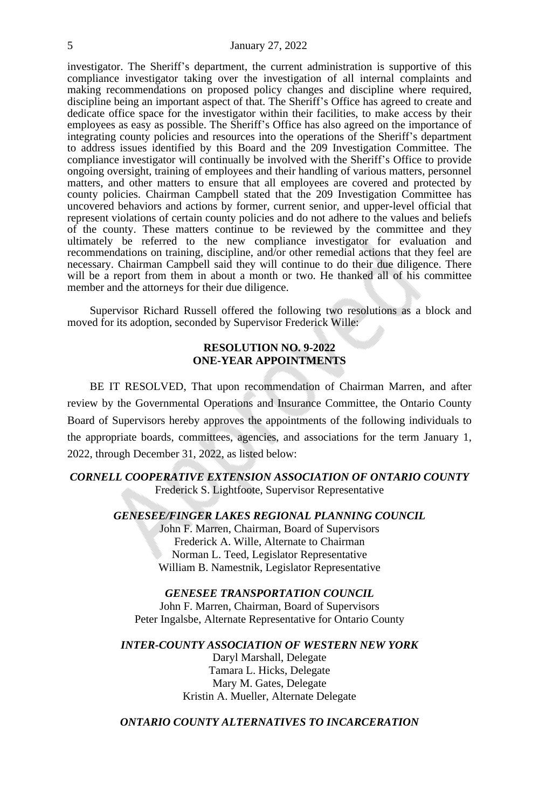investigator. The Sheriff's department, the current administration is supportive of this compliance investigator taking over the investigation of all internal complaints and making recommendations on proposed policy changes and discipline where required, discipline being an important aspect of that. The Sheriff's Office has agreed to create and dedicate office space for the investigator within their facilities, to make access by their employees as easy as possible. The Sheriff's Office has also agreed on the importance of integrating county policies and resources into the operations of the Sheriff's department to address issues identified by this Board and the 209 Investigation Committee. The compliance investigator will continually be involved with the Sheriff's Office to provide ongoing oversight, training of employees and their handling of various matters, personnel matters, and other matters to ensure that all employees are covered and protected by county policies. Chairman Campbell stated that the 209 Investigation Committee has uncovered behaviors and actions by former, current senior, and upper-level official that represent violations of certain county policies and do not adhere to the values and beliefs of the county. These matters continue to be reviewed by the committee and they ultimately be referred to the new compliance investigator for evaluation and recommendations on training, discipline, and/or other remedial actions that they feel are necessary. Chairman Campbell said they will continue to do their due diligence. There will be a report from them in about a month or two. He thanked all of his committee member and the attorneys for their due diligence.

Supervisor Richard Russell offered the following two resolutions as a block and moved for its adoption, seconded by Supervisor Frederick Wille:

#### **RESOLUTION NO. 9-2022 ONE-YEAR APPOINTMENTS**

BE IT RESOLVED, That upon recommendation of Chairman Marren, and after review by the Governmental Operations and Insurance Committee, the Ontario County Board of Supervisors hereby approves the appointments of the following individuals to the appropriate boards, committees, agencies, and associations for the term January 1, 2022, through December 31, 2022, as listed below:

*CORNELL COOPERATIVE EXTENSION ASSOCIATION OF ONTARIO COUNTY* Frederick S. Lightfoote, Supervisor Representative

*GENESEE/FINGER LAKES REGIONAL PLANNING COUNCIL*

John F. Marren, Chairman, Board of Supervisors Frederick A. Wille, Alternate to Chairman Norman L. Teed, Legislator Representative William B. Namestnik, Legislator Representative

*GENESEE TRANSPORTATION COUNCIL* John F. Marren, Chairman, Board of Supervisors Peter Ingalsbe, Alternate Representative for Ontario County

*INTER-COUNTY ASSOCIATION OF WESTERN NEW YORK*

Daryl Marshall, Delegate Tamara L. Hicks, Delegate Mary M. Gates, Delegate Kristin A. Mueller, Alternate Delegate

# *ONTARIO COUNTY ALTERNATIVES TO INCARCERATION*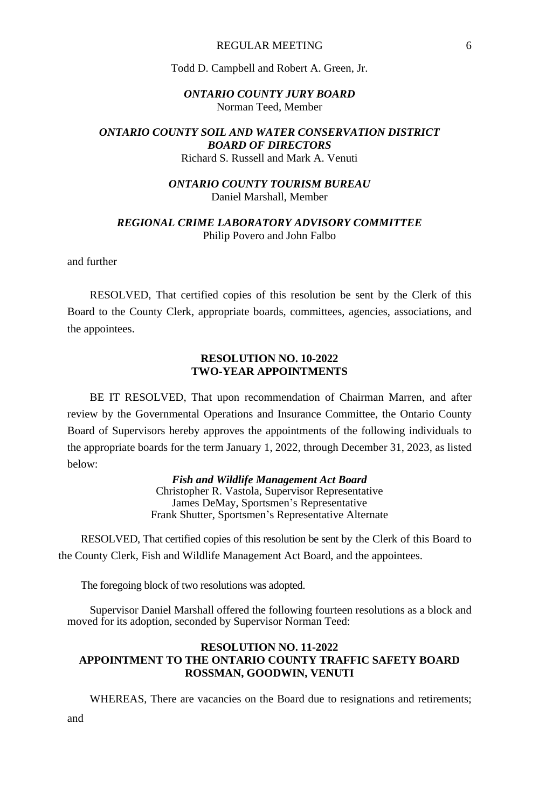#### REGULAR MEETING 6

#### Todd D. Campbell and Robert A. Green, Jr.

#### *ONTARIO COUNTY JURY BOARD* Norman Teed, Member

#### *ONTARIO COUNTY SOIL AND WATER CONSERVATION DISTRICT BOARD OF DIRECTORS* Richard S. Russell and Mark A. Venuti

# *ONTARIO COUNTY TOURISM BUREAU* Daniel Marshall, Member

#### *REGIONAL CRIME LABORATORY ADVISORY COMMITTEE* Philip Povero and John Falbo

and further

RESOLVED, That certified copies of this resolution be sent by the Clerk of this Board to the County Clerk, appropriate boards, committees, agencies, associations, and the appointees.

#### **RESOLUTION NO. 10-2022 TWO-YEAR APPOINTMENTS**

BE IT RESOLVED, That upon recommendation of Chairman Marren, and after review by the Governmental Operations and Insurance Committee, the Ontario County Board of Supervisors hereby approves the appointments of the following individuals to the appropriate boards for the term January 1, 2022, through December 31, 2023, as listed below:

> *Fish and Wildlife Management Act Board* Christopher R. Vastola, Supervisor Representative James DeMay, Sportsmen's Representative Frank Shutter, Sportsmen's Representative Alternate

RESOLVED, That certified copies of this resolution be sent by the Clerk of this Board to the County Clerk, Fish and Wildlife Management Act Board, and the appointees.

The foregoing block of two resolutions was adopted.

Supervisor Daniel Marshall offered the following fourteen resolutions as a block and moved for its adoption, seconded by Supervisor Norman Teed:

# **RESOLUTION NO. 11-2022 APPOINTMENT TO THE ONTARIO COUNTY TRAFFIC SAFETY BOARD ROSSMAN, GOODWIN, VENUTI**

WHEREAS, There are vacancies on the Board due to resignations and retirements;

and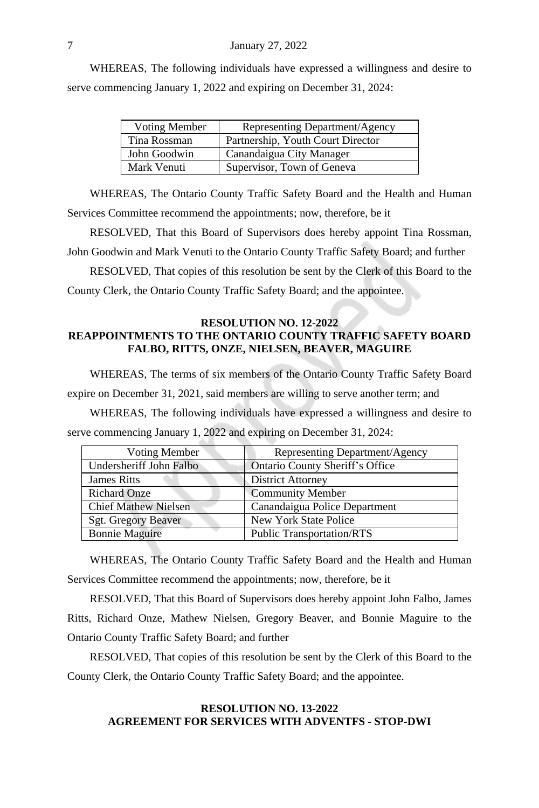WHEREAS, The following individuals have expressed a willingness and desire to serve commencing January 1, 2022 and expiring on December 31, 2024:

| Voting Member | Representing Department/Agency    |
|---------------|-----------------------------------|
| Tina Rossman  | Partnership, Youth Court Director |
| John Goodwin  | Canandaigua City Manager          |
| Mark Venuti   | Supervisor, Town of Geneva        |
|               |                                   |

WHEREAS, The Ontario County Traffic Safety Board and the Health and Human Services Committee recommend the appointments; now, therefore, be it

RESOLVED, That this Board of Supervisors does hereby appoint Tina Rossman, John Goodwin and Mark Venuti to the Ontario County Traffic Safety Board; and further

RESOLVED, That copies of this resolution be sent by the Clerk of this Board to the County Clerk, the Ontario County Traffic Safety Board; and the appointee.

#### **RESOLUTION NO. 12-2022 REAPPOINTMENTS TO THE ONTARIO COUNTY TRAFFIC SAFETY BOARD FALBO, RITTS, ONZE, NIELSEN, BEAVER, MAGUIRE**

WHEREAS, The terms of six members of the Ontario County Traffic Safety Board

expire on December 31, 2021, said members are willing to serve another term; and

WHEREAS, The following individuals have expressed a willingness and desire to serve commencing January 1, 2022 and expiring on December 31, 2024:

| Voting Member               | Representing Department/Agency   |
|-----------------------------|----------------------------------|
| Undersheriff John Falbo     | Ontario County Sheriff's Office  |
| <b>James Ritts</b>          | <b>District Attorney</b>         |
| <b>Richard Onze</b>         | <b>Community Member</b>          |
| <b>Chief Mathew Nielsen</b> | Canandaigua Police Department    |
| <b>Sgt. Gregory Beaver</b>  | New York State Police            |
| <b>Bonnie Maguire</b>       | <b>Public Transportation/RTS</b> |

WHEREAS, The Ontario County Traffic Safety Board and the Health and Human Services Committee recommend the appointments; now, therefore, be it

RESOLVED, That this Board of Supervisors does hereby appoint John Falbo, James Ritts, Richard Onze, Mathew Nielsen, Gregory Beaver, and Bonnie Maguire to the Ontario County Traffic Safety Board; and further

RESOLVED, That copies of this resolution be sent by the Clerk of this Board to the County Clerk, the Ontario County Traffic Safety Board; and the appointee.

#### **RESOLUTION NO. 13-2022 AGREEMENT FOR SERVICES WITH ADVENTFS - STOP-DWI**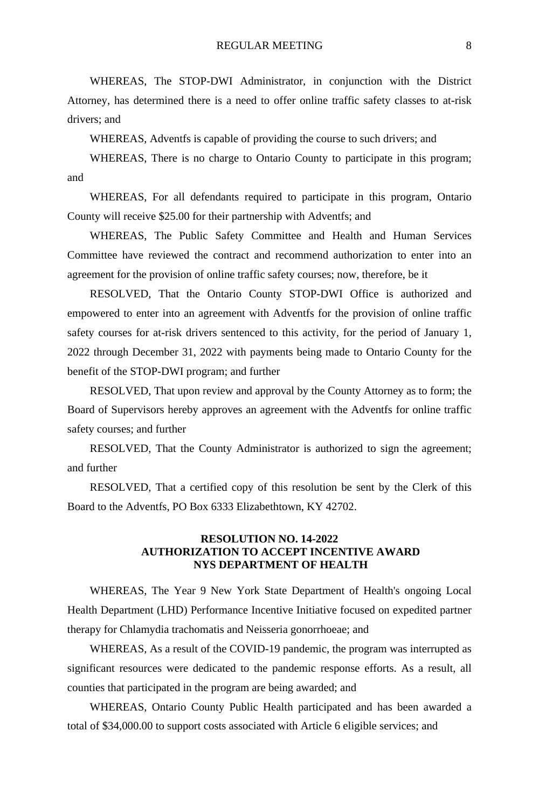WHEREAS, The STOP-DWI Administrator, in conjunction with the District Attorney, has determined there is a need to offer online traffic safety classes to at-risk drivers; and

WHEREAS, Adventfs is capable of providing the course to such drivers; and

WHEREAS, There is no charge to Ontario County to participate in this program; and

WHEREAS, For all defendants required to participate in this program, Ontario County will receive \$25.00 for their partnership with Adventfs; and

WHEREAS, The Public Safety Committee and Health and Human Services Committee have reviewed the contract and recommend authorization to enter into an agreement for the provision of online traffic safety courses; now, therefore, be it

RESOLVED, That the Ontario County STOP-DWI Office is authorized and empowered to enter into an agreement with Adventfs for the provision of online traffic safety courses for at-risk drivers sentenced to this activity, for the period of January 1, 2022 through December 31, 2022 with payments being made to Ontario County for the benefit of the STOP-DWI program; and further

RESOLVED, That upon review and approval by the County Attorney as to form; the Board of Supervisors hereby approves an agreement with the Adventfs for online traffic safety courses; and further

RESOLVED, That the County Administrator is authorized to sign the agreement; and further

RESOLVED, That a certified copy of this resolution be sent by the Clerk of this Board to the Adventfs, PO Box 6333 Elizabethtown, KY 42702.

# **RESOLUTION NO. 14-2022 AUTHORIZATION TO ACCEPT INCENTIVE AWARD NYS DEPARTMENT OF HEALTH**

WHEREAS, The Year 9 New York State Department of Health's ongoing Local Health Department (LHD) Performance Incentive Initiative focused on expedited partner therapy for Chlamydia trachomatis and Neisseria gonorrhoeae; and

WHEREAS, As a result of the COVID-19 pandemic, the program was interrupted as significant resources were dedicated to the pandemic response efforts. As a result, all counties that participated in the program are being awarded; and

WHEREAS, Ontario County Public Health participated and has been awarded a total of \$34,000.00 to support costs associated with Article 6 eligible services; and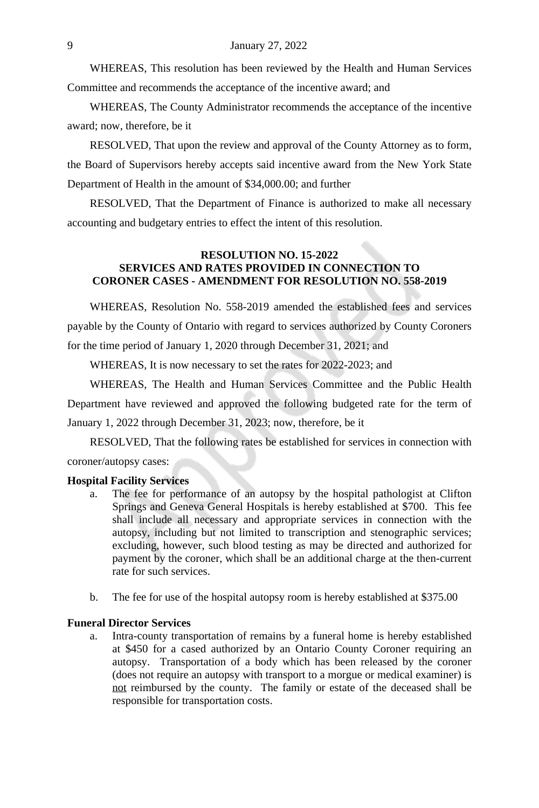WHEREAS, This resolution has been reviewed by the Health and Human Services Committee and recommends the acceptance of the incentive award; and

WHEREAS, The County Administrator recommends the acceptance of the incentive award; now, therefore, be it

RESOLVED, That upon the review and approval of the County Attorney as to form, the Board of Supervisors hereby accepts said incentive award from the New York State Department of Health in the amount of \$34,000.00; and further

RESOLVED, That the Department of Finance is authorized to make all necessary accounting and budgetary entries to effect the intent of this resolution.

#### **RESOLUTION NO. 15-2022 SERVICES AND RATES PROVIDED IN CONNECTION TO CORONER CASES - AMENDMENT FOR RESOLUTION NO. 558-2019**

WHEREAS, Resolution No. 558-2019 amended the established fees and services payable by the County of Ontario with regard to services authorized by County Coroners for the time period of January 1, 2020 through December 31, 2021; and

WHEREAS, It is now necessary to set the rates for 2022-2023; and

WHEREAS, The Health and Human Services Committee and the Public Health Department have reviewed and approved the following budgeted rate for the term of January 1, 2022 through December 31, 2023; now, therefore, be it

RESOLVED, That the following rates be established for services in connection with coroner/autopsy cases:

#### **Hospital Facility Services**

- a. The fee for performance of an autopsy by the hospital pathologist at Clifton Springs and Geneva General Hospitals is hereby established at \$700. This fee shall include all necessary and appropriate services in connection with the autopsy, including but not limited to transcription and stenographic services; excluding, however, such blood testing as may be directed and authorized for payment by the coroner, which shall be an additional charge at the then-current rate for such services.
- b. The fee for use of the hospital autopsy room is hereby established at \$375.00

#### **Funeral Director Services**

a. Intra-county transportation of remains by a funeral home is hereby established at \$450 for a cased authorized by an Ontario County Coroner requiring an autopsy. Transportation of a body which has been released by the coroner (does not require an autopsy with transport to a morgue or medical examiner) is not reimbursed by the county. The family or estate of the deceased shall be responsible for transportation costs.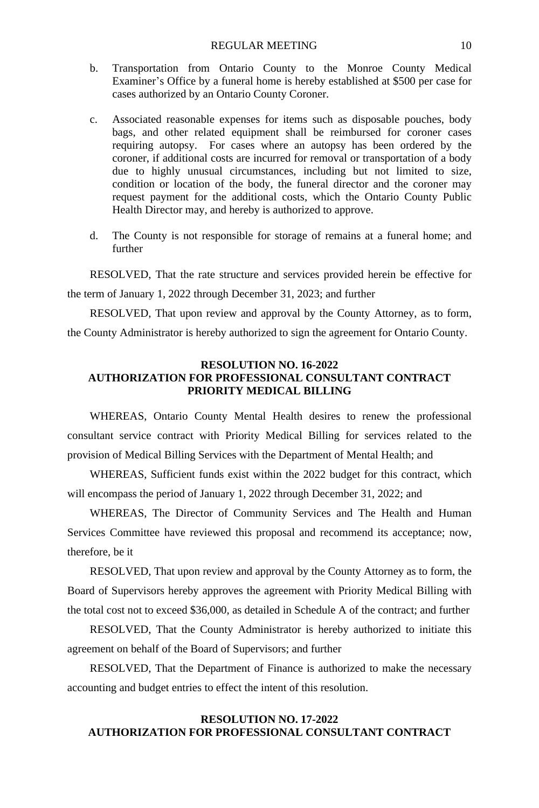- b. Transportation from Ontario County to the Monroe County Medical Examiner's Office by a funeral home is hereby established at \$500 per case for cases authorized by an Ontario County Coroner.
- c. Associated reasonable expenses for items such as disposable pouches, body bags, and other related equipment shall be reimbursed for coroner cases requiring autopsy. For cases where an autopsy has been ordered by the coroner, if additional costs are incurred for removal or transportation of a body due to highly unusual circumstances, including but not limited to size, condition or location of the body, the funeral director and the coroner may request payment for the additional costs, which the Ontario County Public Health Director may, and hereby is authorized to approve.
- d. The County is not responsible for storage of remains at a funeral home; and further

RESOLVED, That the rate structure and services provided herein be effective for

the term of January 1, 2022 through December 31, 2023; and further

RESOLVED, That upon review and approval by the County Attorney, as to form, the County Administrator is hereby authorized to sign the agreement for Ontario County.

# **RESOLUTION NO. 16-2022 AUTHORIZATION FOR PROFESSIONAL CONSULTANT CONTRACT PRIORITY MEDICAL BILLING**

WHEREAS, Ontario County Mental Health desires to renew the professional consultant service contract with Priority Medical Billing for services related to the provision of Medical Billing Services with the Department of Mental Health; and

WHEREAS, Sufficient funds exist within the 2022 budget for this contract, which will encompass the period of January 1, 2022 through December 31, 2022; and

WHEREAS, The Director of Community Services and The Health and Human Services Committee have reviewed this proposal and recommend its acceptance; now, therefore, be it

RESOLVED, That upon review and approval by the County Attorney as to form, the Board of Supervisors hereby approves the agreement with Priority Medical Billing with the total cost not to exceed \$36,000, as detailed in Schedule A of the contract; and further

RESOLVED, That the County Administrator is hereby authorized to initiate this agreement on behalf of the Board of Supervisors; and further

RESOLVED, That the Department of Finance is authorized to make the necessary accounting and budget entries to effect the intent of this resolution.

# **RESOLUTION NO. 17-2022 AUTHORIZATION FOR PROFESSIONAL CONSULTANT CONTRACT**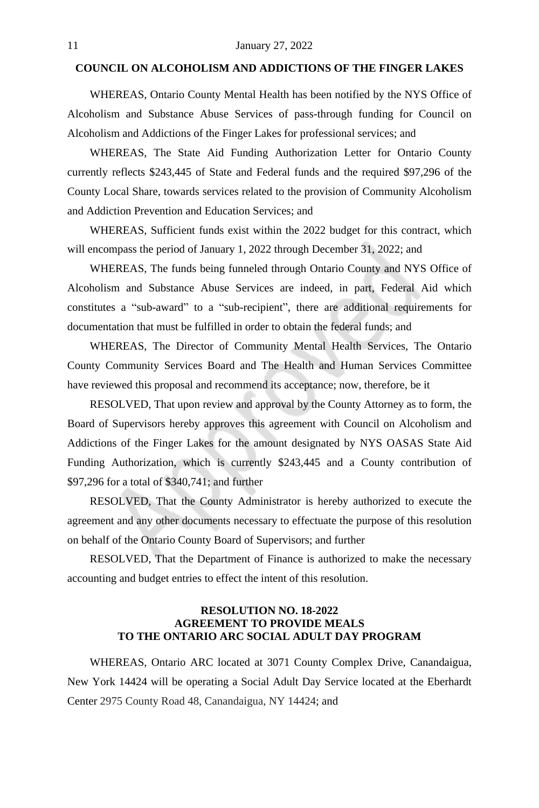# **COUNCIL ON ALCOHOLISM AND ADDICTIONS OF THE FINGER LAKES**

WHEREAS, Ontario County Mental Health has been notified by the NYS Office of Alcoholism and Substance Abuse Services of pass-through funding for Council on Alcoholism and Addictions of the Finger Lakes for professional services; and

WHEREAS, The State Aid Funding Authorization Letter for Ontario County currently reflects \$243,445 of State and Federal funds and the required \$97,296 of the County Local Share, towards services related to the provision of Community Alcoholism and Addiction Prevention and Education Services; and

WHEREAS, Sufficient funds exist within the 2022 budget for this contract, which will encompass the period of January 1, 2022 through December 31, 2022; and

WHEREAS, The funds being funneled through Ontario County and NYS Office of Alcoholism and Substance Abuse Services are indeed, in part, Federal Aid which constitutes a "sub-award" to a "sub-recipient", there are additional requirements for documentation that must be fulfilled in order to obtain the federal funds; and

WHEREAS, The Director of Community Mental Health Services, The Ontario County Community Services Board and The Health and Human Services Committee have reviewed this proposal and recommend its acceptance; now, therefore, be it

RESOLVED, That upon review and approval by the County Attorney as to form, the Board of Supervisors hereby approves this agreement with Council on Alcoholism and Addictions of the Finger Lakes for the amount designated by NYS OASAS State Aid Funding Authorization, which is currently \$243,445 and a County contribution of \$97,296 for a total of \$340,741; and further

RESOLVED, That the County Administrator is hereby authorized to execute the agreement and any other documents necessary to effectuate the purpose of this resolution on behalf of the Ontario County Board of Supervisors; and further

RESOLVED, That the Department of Finance is authorized to make the necessary accounting and budget entries to effect the intent of this resolution.

# **RESOLUTION NO. 18-2022 AGREEMENT TO PROVIDE MEALS TO THE ONTARIO ARC SOCIAL ADULT DAY PROGRAM**

WHEREAS, Ontario ARC located at 3071 County Complex Drive, Canandaigua, New York 14424 will be operating a Social Adult Day Service located at the Eberhardt Center 2975 County Road 48, Canandaigua, NY 14424; and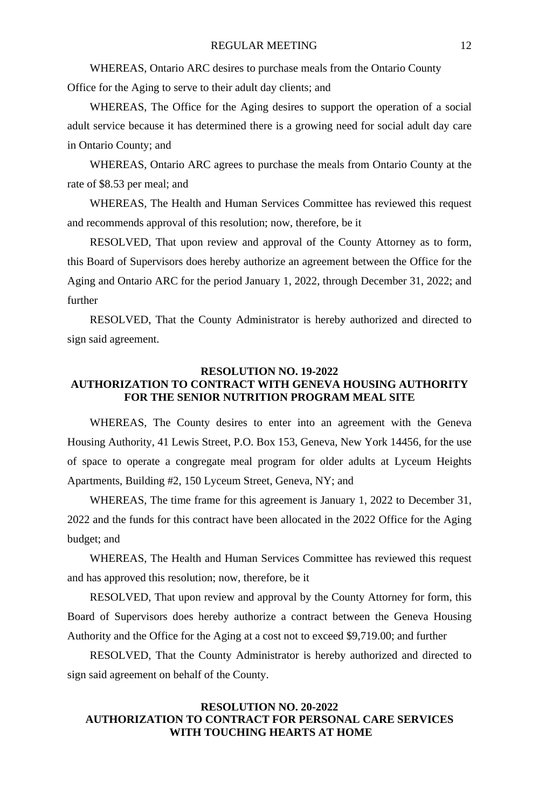WHEREAS, Ontario ARC desires to purchase meals from the Ontario County Office for the Aging to serve to their adult day clients; and

WHEREAS, The Office for the Aging desires to support the operation of a social adult service because it has determined there is a growing need for social adult day care in Ontario County; and

WHEREAS, Ontario ARC agrees to purchase the meals from Ontario County at the rate of \$8.53 per meal; and

WHEREAS, The Health and Human Services Committee has reviewed this request and recommends approval of this resolution; now, therefore, be it

RESOLVED, That upon review and approval of the County Attorney as to form, this Board of Supervisors does hereby authorize an agreement between the Office for the Aging and Ontario ARC for the period January 1, 2022, through December 31, 2022; and further

RESOLVED, That the County Administrator is hereby authorized and directed to sign said agreement.

# **RESOLUTION NO. 19-2022**

# **AUTHORIZATION TO CONTRACT WITH GENEVA HOUSING AUTHORITY FOR THE SENIOR NUTRITION PROGRAM MEAL SITE**

WHEREAS, The County desires to enter into an agreement with the Geneva Housing Authority, 41 Lewis Street, P.O. Box 153, Geneva, New York 14456, for the use of space to operate a congregate meal program for older adults at Lyceum Heights Apartments, Building #2, 150 Lyceum Street, Geneva, NY; and

WHEREAS, The time frame for this agreement is January 1, 2022 to December 31, 2022 and the funds for this contract have been allocated in the 2022 Office for the Aging budget; and

WHEREAS, The Health and Human Services Committee has reviewed this request and has approved this resolution; now, therefore, be it

RESOLVED, That upon review and approval by the County Attorney for form, this Board of Supervisors does hereby authorize a contract between the Geneva Housing Authority and the Office for the Aging at a cost not to exceed \$9,719.00; and further

RESOLVED, That the County Administrator is hereby authorized and directed to sign said agreement on behalf of the County.

#### **RESOLUTION NO. 20-2022 AUTHORIZATION TO CONTRACT FOR PERSONAL CARE SERVICES WITH TOUCHING HEARTS AT HOME**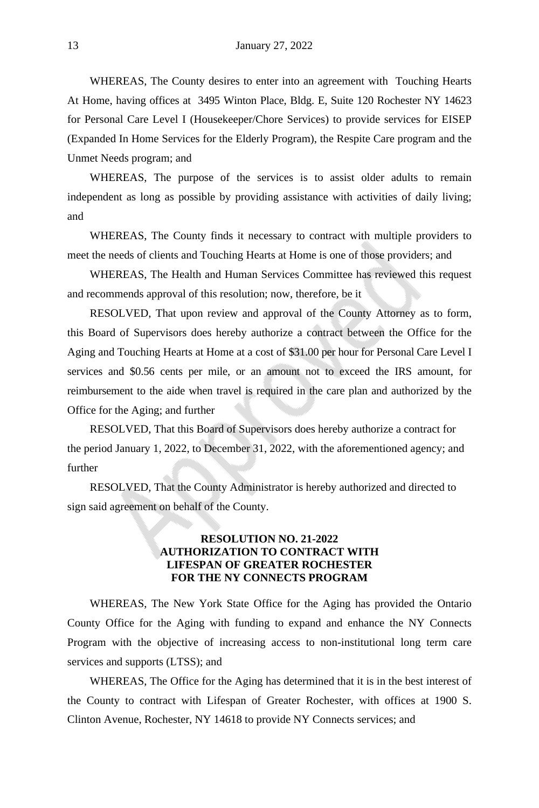WHEREAS, The County desires to enter into an agreement with Touching Hearts At Home, having offices at 3495 Winton Place, Bldg. E, Suite 120 Rochester NY 14623 for Personal Care Level I (Housekeeper/Chore Services) to provide services for EISEP (Expanded In Home Services for the Elderly Program), the Respite Care program and the Unmet Needs program; and

WHEREAS, The purpose of the services is to assist older adults to remain independent as long as possible by providing assistance with activities of daily living; and

WHEREAS, The County finds it necessary to contract with multiple providers to meet the needs of clients and Touching Hearts at Home is one of those providers; and

WHEREAS, The Health and Human Services Committee has reviewed this request and recommends approval of this resolution; now, therefore, be it

RESOLVED, That upon review and approval of the County Attorney as to form, this Board of Supervisors does hereby authorize a contract between the Office for the Aging and Touching Hearts at Home at a cost of \$31.00 per hour for Personal Care Level I services and \$0.56 cents per mile, or an amount not to exceed the IRS amount, for reimbursement to the aide when travel is required in the care plan and authorized by the Office for the Aging; and further

RESOLVED, That this Board of Supervisors does hereby authorize a contract for the period January 1, 2022, to December 31, 2022, with the aforementioned agency; and further

RESOLVED, That the County Administrator is hereby authorized and directed to sign said agreement on behalf of the County.

#### **RESOLUTION NO. 21-2022 AUTHORIZATION TO CONTRACT WITH LIFESPAN OF GREATER ROCHESTER FOR THE NY CONNECTS PROGRAM**

WHEREAS, The New York State Office for the Aging has provided the Ontario County Office for the Aging with funding to expand and enhance the NY Connects Program with the objective of increasing access to non-institutional long term care services and supports (LTSS); and

WHEREAS, The Office for the Aging has determined that it is in the best interest of the County to contract with Lifespan of Greater Rochester, with offices at 1900 S. Clinton Avenue, Rochester, NY 14618 to provide NY Connects services; and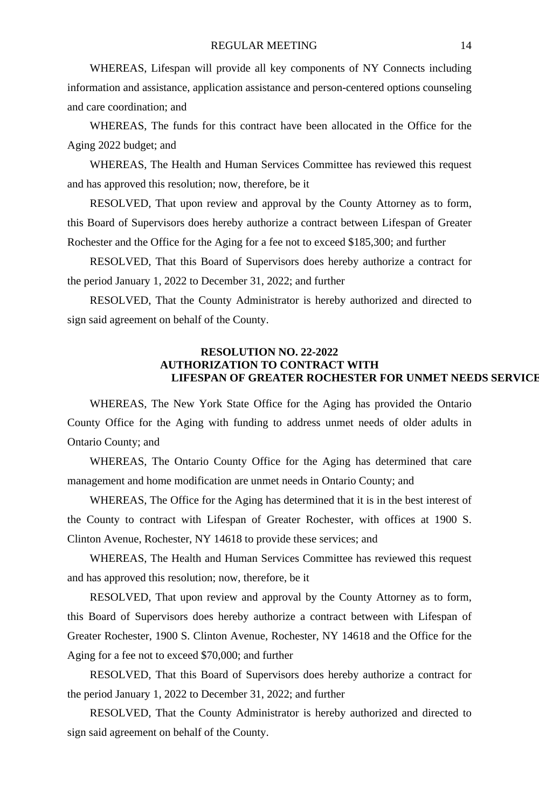WHEREAS, Lifespan will provide all key components of NY Connects including information and assistance, application assistance and person-centered options counseling and care coordination; and

WHEREAS, The funds for this contract have been allocated in the Office for the Aging 2022 budget; and

WHEREAS, The Health and Human Services Committee has reviewed this request and has approved this resolution; now, therefore, be it

RESOLVED, That upon review and approval by the County Attorney as to form, this Board of Supervisors does hereby authorize a contract between Lifespan of Greater Rochester and the Office for the Aging for a fee not to exceed \$185,300; and further

RESOLVED, That this Board of Supervisors does hereby authorize a contract for the period January 1, 2022 to December 31, 2022; and further

RESOLVED, That the County Administrator is hereby authorized and directed to sign said agreement on behalf of the County.

#### **RESOLUTION NO. 22-2022 AUTHORIZATION TO CONTRACT WITH LIFESPAN OF GREATER ROCHESTER FOR UNMET NEEDS SERVICES**

WHEREAS, The New York State Office for the Aging has provided the Ontario County Office for the Aging with funding to address unmet needs of older adults in Ontario County; and

WHEREAS, The Ontario County Office for the Aging has determined that care management and home modification are unmet needs in Ontario County; and

WHEREAS, The Office for the Aging has determined that it is in the best interest of the County to contract with Lifespan of Greater Rochester, with offices at 1900 S. Clinton Avenue, Rochester, NY 14618 to provide these services; and

WHEREAS, The Health and Human Services Committee has reviewed this request and has approved this resolution; now, therefore, be it

RESOLVED, That upon review and approval by the County Attorney as to form, this Board of Supervisors does hereby authorize a contract between with Lifespan of Greater Rochester, 1900 S. Clinton Avenue, Rochester, NY 14618 and the Office for the Aging for a fee not to exceed \$70,000; and further

RESOLVED, That this Board of Supervisors does hereby authorize a contract for the period January 1, 2022 to December 31, 2022; and further

RESOLVED, That the County Administrator is hereby authorized and directed to sign said agreement on behalf of the County.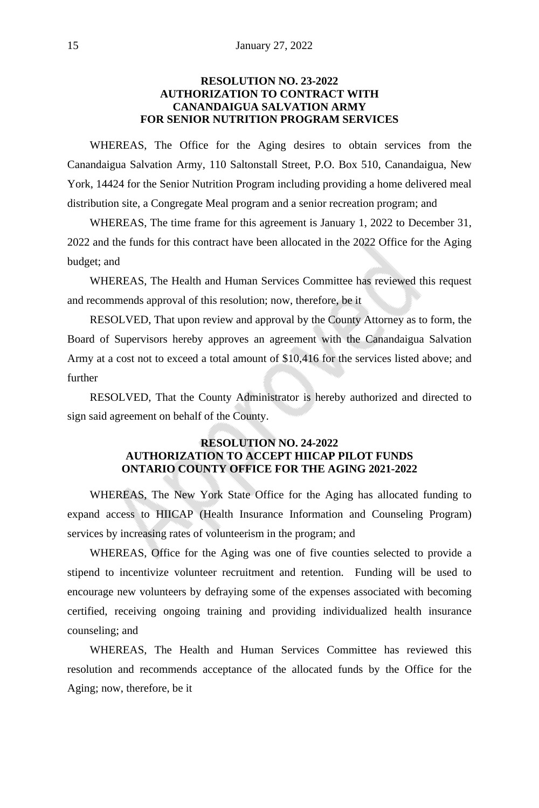# **RESOLUTION NO. 23-2022 AUTHORIZATION TO CONTRACT WITH CANANDAIGUA SALVATION ARMY FOR SENIOR NUTRITION PROGRAM SERVICES**

WHEREAS, The Office for the Aging desires to obtain services from the Canandaigua Salvation Army, 110 Saltonstall Street, P.O. Box 510, Canandaigua, New York, 14424 for the Senior Nutrition Program including providing a home delivered meal distribution site, a Congregate Meal program and a senior recreation program; and

WHEREAS, The time frame for this agreement is January 1, 2022 to December 31, 2022 and the funds for this contract have been allocated in the 2022 Office for the Aging budget; and

WHEREAS, The Health and Human Services Committee has reviewed this request and recommends approval of this resolution; now, therefore, be it

RESOLVED, That upon review and approval by the County Attorney as to form, the Board of Supervisors hereby approves an agreement with the Canandaigua Salvation Army at a cost not to exceed a total amount of \$10,416 for the services listed above; and further

RESOLVED, That the County Administrator is hereby authorized and directed to sign said agreement on behalf of the County.

# **RESOLUTION NO. 24-2022 AUTHORIZATION TO ACCEPT HIICAP PILOT FUNDS ONTARIO COUNTY OFFICE FOR THE AGING 2021-2022**

WHEREAS, The New York State Office for the Aging has allocated funding to expand access to HIICAP (Health Insurance Information and Counseling Program) services by increasing rates of volunteerism in the program; and

WHEREAS, Office for the Aging was one of five counties selected to provide a stipend to incentivize volunteer recruitment and retention. Funding will be used to encourage new volunteers by defraying some of the expenses associated with becoming certified, receiving ongoing training and providing individualized health insurance counseling; and

WHEREAS, The Health and Human Services Committee has reviewed this resolution and recommends acceptance of the allocated funds by the Office for the Aging; now, therefore, be it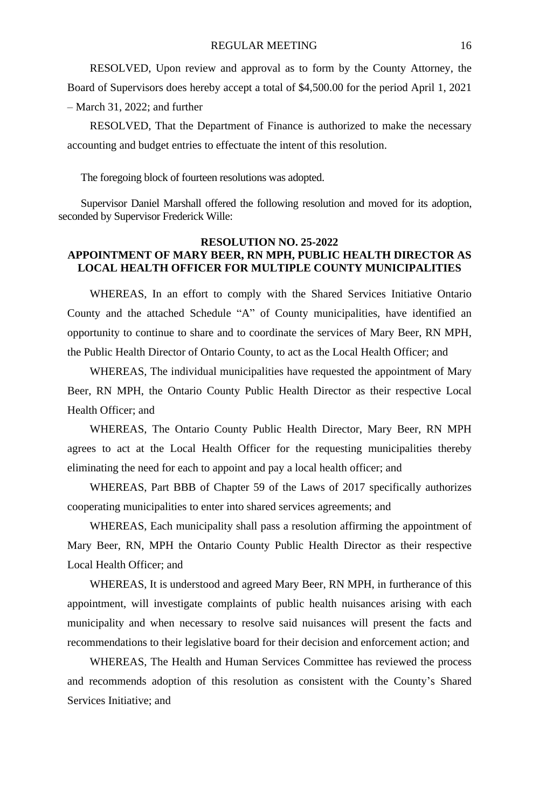RESOLVED, Upon review and approval as to form by the County Attorney, the Board of Supervisors does hereby accept a total of \$4,500.00 for the period April 1, 2021 – March 31, 2022; and further

RESOLVED, That the Department of Finance is authorized to make the necessary accounting and budget entries to effectuate the intent of this resolution.

The foregoing block of fourteen resolutions was adopted.

Supervisor Daniel Marshall offered the following resolution and moved for its adoption, seconded by Supervisor Frederick Wille:

#### **RESOLUTION NO. 25-2022 APPOINTMENT OF MARY BEER, RN MPH, PUBLIC HEALTH DIRECTOR AS LOCAL HEALTH OFFICER FOR MULTIPLE COUNTY MUNICIPALITIES**

WHEREAS, In an effort to comply with the Shared Services Initiative Ontario County and the attached Schedule "A" of County municipalities, have identified an opportunity to continue to share and to coordinate the services of Mary Beer, RN MPH, the Public Health Director of Ontario County, to act as the Local Health Officer; and

WHEREAS, The individual municipalities have requested the appointment of Mary Beer, RN MPH, the Ontario County Public Health Director as their respective Local Health Officer; and

WHEREAS, The Ontario County Public Health Director, Mary Beer, RN MPH agrees to act at the Local Health Officer for the requesting municipalities thereby eliminating the need for each to appoint and pay a local health officer; and

WHEREAS, Part BBB of Chapter 59 of the Laws of 2017 specifically authorizes cooperating municipalities to enter into shared services agreements; and

WHEREAS, Each municipality shall pass a resolution affirming the appointment of Mary Beer, RN, MPH the Ontario County Public Health Director as their respective Local Health Officer; and

WHEREAS, It is understood and agreed Mary Beer, RN MPH, in furtherance of this appointment, will investigate complaints of public health nuisances arising with each municipality and when necessary to resolve said nuisances will present the facts and recommendations to their legislative board for their decision and enforcement action; and

WHEREAS, The Health and Human Services Committee has reviewed the process and recommends adoption of this resolution as consistent with the County's Shared Services Initiative; and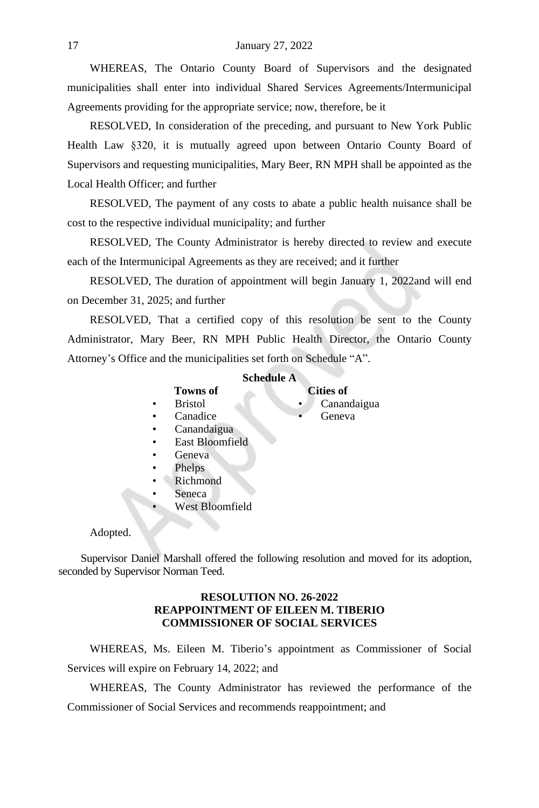WHEREAS, The Ontario County Board of Supervisors and the designated municipalities shall enter into individual Shared Services Agreements/Intermunicipal Agreements providing for the appropriate service; now, therefore, be it

RESOLVED, In consideration of the preceding, and pursuant to New York Public Health Law §320, it is mutually agreed upon between Ontario County Board of Supervisors and requesting municipalities, Mary Beer, RN MPH shall be appointed as the Local Health Officer; and further

RESOLVED, The payment of any costs to abate a public health nuisance shall be cost to the respective individual municipality; and further

RESOLVED, The County Administrator is hereby directed to review and execute each of the Intermunicipal Agreements as they are received; and it further

RESOLVED, The duration of appointment will begin January 1, 2022and will end on December 31, 2025; and further

RESOLVED, That a certified copy of this resolution be sent to the County Administrator, Mary Beer, RN MPH Public Health Director, the Ontario County Attorney's Office and the municipalities set forth on Schedule "A".

#### **Schedule A**

# **Towns of Cities of**

Bristol • Canandaigua<br>Canadice • Geneva

- 
- Canadice • Canandaigua
- East Bloomfield
- Geneva
- Phelps
- Richmond
- Seneca
- West Bloomfield

#### Adopted.

Supervisor Daniel Marshall offered the following resolution and moved for its adoption, seconded by Supervisor Norman Teed.

# **RESOLUTION NO. 26-2022 REAPPOINTMENT OF EILEEN M. TIBERIO COMMISSIONER OF SOCIAL SERVICES**

WHEREAS, Ms. Eileen M. Tiberio's appointment as Commissioner of Social Services will expire on February 14, 2022; and

WHEREAS, The County Administrator has reviewed the performance of the Commissioner of Social Services and recommends reappointment; and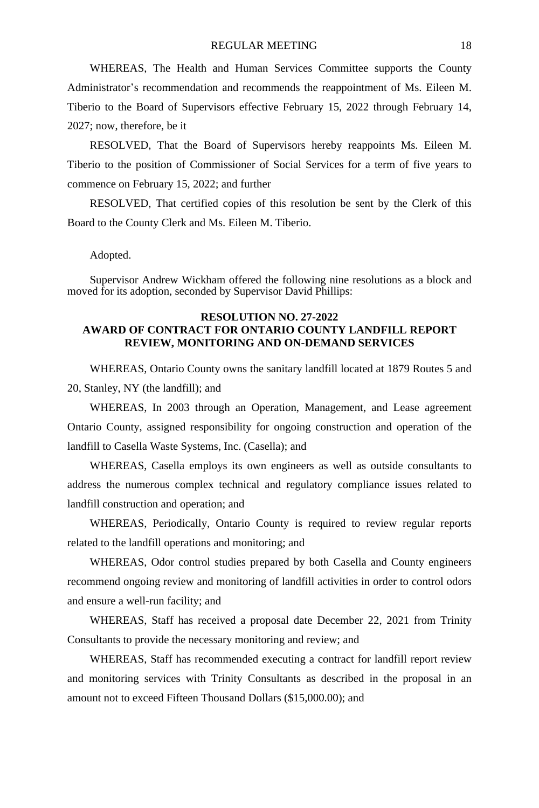WHEREAS, The Health and Human Services Committee supports the County Administrator's recommendation and recommends the reappointment of Ms. Eileen M. Tiberio to the Board of Supervisors effective February 15, 2022 through February 14, 2027; now, therefore, be it

RESOLVED, That the Board of Supervisors hereby reappoints Ms. Eileen M. Tiberio to the position of Commissioner of Social Services for a term of five years to commence on February 15, 2022; and further

RESOLVED, That certified copies of this resolution be sent by the Clerk of this Board to the County Clerk and Ms. Eileen M. Tiberio.

Adopted.

Supervisor Andrew Wickham offered the following nine resolutions as a block and moved for its adoption, seconded by Supervisor David Phillips:

#### **RESOLUTION NO. 27-2022 AWARD OF CONTRACT FOR ONTARIO COUNTY LANDFILL REPORT REVIEW, MONITORING AND ON-DEMAND SERVICES**

WHEREAS, Ontario County owns the sanitary landfill located at 1879 Routes 5 and 20, Stanley, NY (the landfill); and

WHEREAS, In 2003 through an Operation, Management, and Lease agreement Ontario County, assigned responsibility for ongoing construction and operation of the landfill to Casella Waste Systems, Inc. (Casella); and

WHEREAS, Casella employs its own engineers as well as outside consultants to address the numerous complex technical and regulatory compliance issues related to landfill construction and operation; and

WHEREAS, Periodically, Ontario County is required to review regular reports related to the landfill operations and monitoring; and

WHEREAS, Odor control studies prepared by both Casella and County engineers recommend ongoing review and monitoring of landfill activities in order to control odors and ensure a well-run facility; and

WHEREAS, Staff has received a proposal date December 22, 2021 from Trinity Consultants to provide the necessary monitoring and review; and

WHEREAS, Staff has recommended executing a contract for landfill report review and monitoring services with Trinity Consultants as described in the proposal in an amount not to exceed Fifteen Thousand Dollars (\$15,000.00); and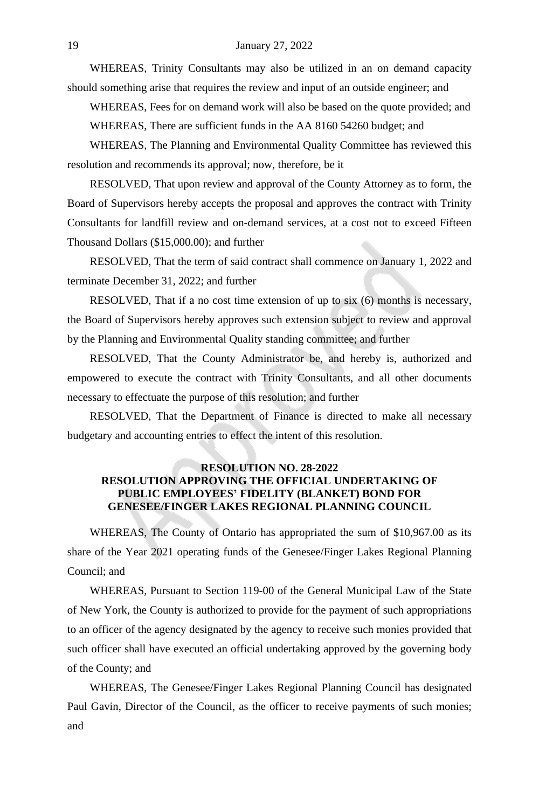WHEREAS, Trinity Consultants may also be utilized in an on demand capacity should something arise that requires the review and input of an outside engineer; and

WHEREAS, Fees for on demand work will also be based on the quote provided; and WHEREAS, There are sufficient funds in the AA 8160 54260 budget; and

WHEREAS, The Planning and Environmental Quality Committee has reviewed this resolution and recommends its approval; now, therefore, be it

RESOLVED, That upon review and approval of the County Attorney as to form, the Board of Supervisors hereby accepts the proposal and approves the contract with Trinity Consultants for landfill review and on-demand services, at a cost not to exceed Fifteen Thousand Dollars (\$15,000.00); and further

RESOLVED, That the term of said contract shall commence on January 1, 2022 and terminate December 31, 2022; and further

RESOLVED, That if a no cost time extension of up to six (6) months is necessary, the Board of Supervisors hereby approves such extension subject to review and approval by the Planning and Environmental Quality standing committee; and further

RESOLVED, That the County Administrator be, and hereby is, authorized and empowered to execute the contract with Trinity Consultants, and all other documents necessary to effectuate the purpose of this resolution; and further

RESOLVED, That the Department of Finance is directed to make all necessary budgetary and accounting entries to effect the intent of this resolution.

# **RESOLUTION NO. 28-2022 RESOLUTION APPROVING THE OFFICIAL UNDERTAKING OF PUBLIC EMPLOYEES' FIDELITY (BLANKET) BOND FOR GENESEE/FINGER LAKES REGIONAL PLANNING COUNCIL**

WHEREAS, The County of Ontario has appropriated the sum of \$10,967.00 as its share of the Year 2021 operating funds of the Genesee/Finger Lakes Regional Planning Council; and

WHEREAS, Pursuant to Section 119-00 of the General Municipal Law of the State of New York, the County is authorized to provide for the payment of such appropriations to an officer of the agency designated by the agency to receive such monies provided that such officer shall have executed an official undertaking approved by the governing body of the County; and

WHEREAS, The Genesee/Finger Lakes Regional Planning Council has designated Paul Gavin, Director of the Council, as the officer to receive payments of such monies; and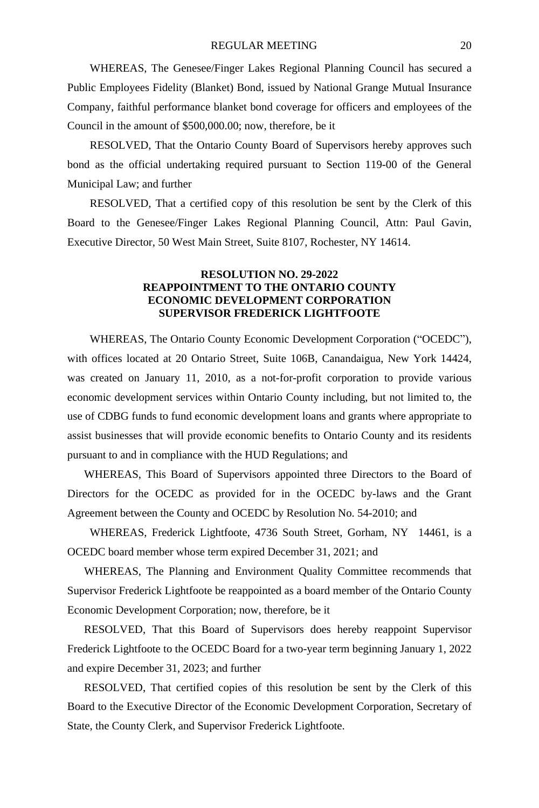WHEREAS, The Genesee/Finger Lakes Regional Planning Council has secured a Public Employees Fidelity (Blanket) Bond, issued by National Grange Mutual Insurance Company, faithful performance blanket bond coverage for officers and employees of the Council in the amount of \$500,000.00; now, therefore, be it

RESOLVED, That the Ontario County Board of Supervisors hereby approves such bond as the official undertaking required pursuant to Section 119-00 of the General Municipal Law; and further

RESOLVED, That a certified copy of this resolution be sent by the Clerk of this Board to the Genesee/Finger Lakes Regional Planning Council, Attn: Paul Gavin, Executive Director, 50 West Main Street, Suite 8107, Rochester, NY 14614.

#### **RESOLUTION NO. 29-2022 REAPPOINTMENT TO THE ONTARIO COUNTY ECONOMIC DEVELOPMENT CORPORATION SUPERVISOR FREDERICK LIGHTFOOTE**

WHEREAS, The Ontario County Economic Development Corporation ("OCEDC"), with offices located at 20 Ontario Street, Suite 106B, Canandaigua, New York 14424, was created on January 11, 2010, as a not-for-profit corporation to provide various economic development services within Ontario County including, but not limited to, the use of CDBG funds to fund economic development loans and grants where appropriate to assist businesses that will provide economic benefits to Ontario County and its residents pursuant to and in compliance with the HUD Regulations; and

WHEREAS, This Board of Supervisors appointed three Directors to the Board of Directors for the OCEDC as provided for in the OCEDC by-laws and the Grant Agreement between the County and OCEDC by Resolution No. 54-2010; and

WHEREAS, Frederick Lightfoote, 4736 South Street, Gorham, NY 14461, is a OCEDC board member whose term expired December 31, 2021; and

WHEREAS, The Planning and Environment Quality Committee recommends that Supervisor Frederick Lightfoote be reappointed as a board member of the Ontario County Economic Development Corporation; now, therefore, be it

RESOLVED, That this Board of Supervisors does hereby reappoint Supervisor Frederick Lightfoote to the OCEDC Board for a two-year term beginning January 1, 2022 and expire December 31, 2023; and further

RESOLVED, That certified copies of this resolution be sent by the Clerk of this Board to the Executive Director of the Economic Development Corporation, Secretary of State, the County Clerk, and Supervisor Frederick Lightfoote.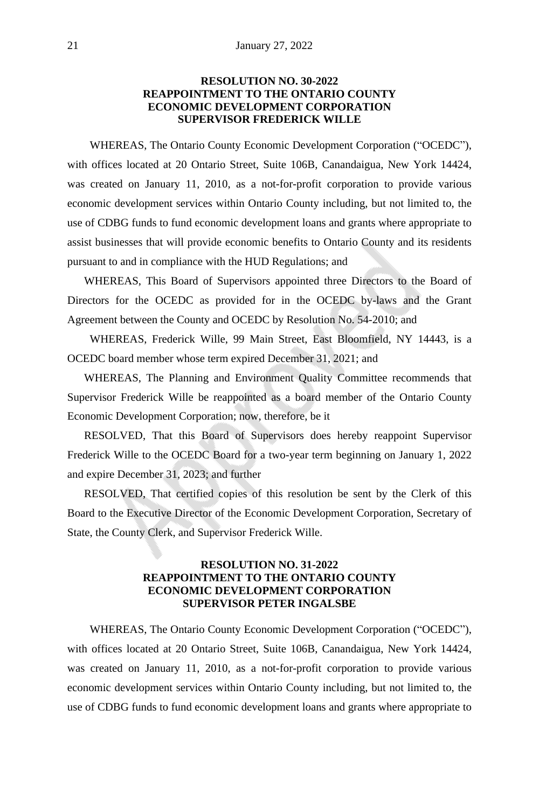# **RESOLUTION NO. 30-2022 REAPPOINTMENT TO THE ONTARIO COUNTY ECONOMIC DEVELOPMENT CORPORATION SUPERVISOR FREDERICK WILLE**

WHEREAS, The Ontario County Economic Development Corporation ("OCEDC"), with offices located at 20 Ontario Street, Suite 106B, Canandaigua, New York 14424, was created on January 11, 2010, as a not-for-profit corporation to provide various economic development services within Ontario County including, but not limited to, the use of CDBG funds to fund economic development loans and grants where appropriate to assist businesses that will provide economic benefits to Ontario County and its residents pursuant to and in compliance with the HUD Regulations; and

WHEREAS, This Board of Supervisors appointed three Directors to the Board of Directors for the OCEDC as provided for in the OCEDC by-laws and the Grant Agreement between the County and OCEDC by Resolution No. 54-2010; and

WHEREAS, Frederick Wille, 99 Main Street, East Bloomfield, NY 14443, is a OCEDC board member whose term expired December 31, 2021; and

WHEREAS, The Planning and Environment Quality Committee recommends that Supervisor Frederick Wille be reappointed as a board member of the Ontario County Economic Development Corporation; now, therefore, be it

RESOLVED, That this Board of Supervisors does hereby reappoint Supervisor Frederick Wille to the OCEDC Board for a two-year term beginning on January 1, 2022 and expire December 31, 2023; and further

RESOLVED, That certified copies of this resolution be sent by the Clerk of this Board to the Executive Director of the Economic Development Corporation, Secretary of State, the County Clerk, and Supervisor Frederick Wille.

#### **RESOLUTION NO. 31-2022 REAPPOINTMENT TO THE ONTARIO COUNTY ECONOMIC DEVELOPMENT CORPORATION SUPERVISOR PETER INGALSBE**

WHEREAS, The Ontario County Economic Development Corporation ("OCEDC"), with offices located at 20 Ontario Street, Suite 106B, Canandaigua, New York 14424, was created on January 11, 2010, as a not-for-profit corporation to provide various economic development services within Ontario County including, but not limited to, the use of CDBG funds to fund economic development loans and grants where appropriate to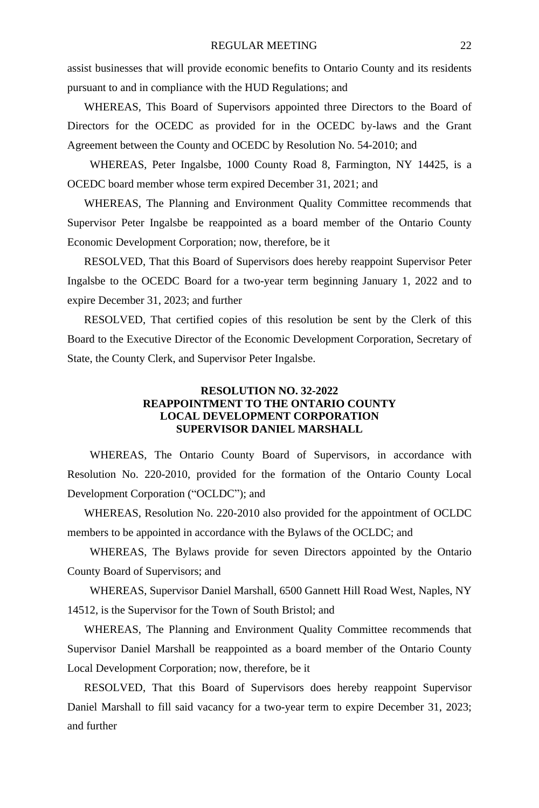assist businesses that will provide economic benefits to Ontario County and its residents pursuant to and in compliance with the HUD Regulations; and

WHEREAS, This Board of Supervisors appointed three Directors to the Board of Directors for the OCEDC as provided for in the OCEDC by-laws and the Grant Agreement between the County and OCEDC by Resolution No. 54-2010; and

WHEREAS, Peter Ingalsbe, 1000 County Road 8, Farmington, NY 14425, is a OCEDC board member whose term expired December 31, 2021; and

WHEREAS, The Planning and Environment Quality Committee recommends that Supervisor Peter Ingalsbe be reappointed as a board member of the Ontario County Economic Development Corporation; now, therefore, be it

RESOLVED, That this Board of Supervisors does hereby reappoint Supervisor Peter Ingalsbe to the OCEDC Board for a two-year term beginning January 1, 2022 and to expire December 31, 2023; and further

RESOLVED, That certified copies of this resolution be sent by the Clerk of this Board to the Executive Director of the Economic Development Corporation, Secretary of State, the County Clerk, and Supervisor Peter Ingalsbe.

#### **RESOLUTION NO. 32-2022 REAPPOINTMENT TO THE ONTARIO COUNTY LOCAL DEVELOPMENT CORPORATION SUPERVISOR DANIEL MARSHALL**

WHEREAS, The Ontario County Board of Supervisors, in accordance with Resolution No. 220-2010, provided for the formation of the Ontario County Local Development Corporation ("OCLDC"); and

WHEREAS, Resolution No. 220-2010 also provided for the appointment of OCLDC members to be appointed in accordance with the Bylaws of the OCLDC; and

WHEREAS, The Bylaws provide for seven Directors appointed by the Ontario County Board of Supervisors; and

WHEREAS, Supervisor Daniel Marshall, 6500 Gannett Hill Road West, Naples, NY 14512, is the Supervisor for the Town of South Bristol; and

WHEREAS, The Planning and Environment Quality Committee recommends that Supervisor Daniel Marshall be reappointed as a board member of the Ontario County Local Development Corporation; now, therefore, be it

RESOLVED, That this Board of Supervisors does hereby reappoint Supervisor Daniel Marshall to fill said vacancy for a two-year term to expire December 31, 2023; and further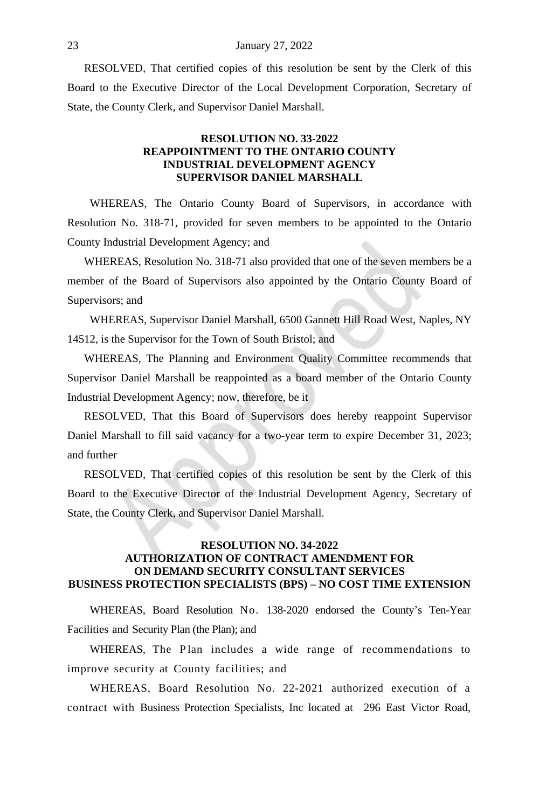RESOLVED, That certified copies of this resolution be sent by the Clerk of this Board to the Executive Director of the Local Development Corporation, Secretary of State, the County Clerk, and Supervisor Daniel Marshall.

#### **RESOLUTION NO. 33-2022 REAPPOINTMENT TO THE ONTARIO COUNTY INDUSTRIAL DEVELOPMENT AGENCY SUPERVISOR DANIEL MARSHALL**

WHEREAS, The Ontario County Board of Supervisors, in accordance with Resolution No. 318-71, provided for seven members to be appointed to the Ontario County Industrial Development Agency; and

WHEREAS, Resolution No. 318-71 also provided that one of the seven members be a member of the Board of Supervisors also appointed by the Ontario County Board of Supervisors; and

WHEREAS, Supervisor Daniel Marshall, 6500 Gannett Hill Road West, Naples, NY 14512, is the Supervisor for the Town of South Bristol; and

WHEREAS, The Planning and Environment Quality Committee recommends that Supervisor Daniel Marshall be reappointed as a board member of the Ontario County Industrial Development Agency; now, therefore, be it

RESOLVED, That this Board of Supervisors does hereby reappoint Supervisor Daniel Marshall to fill said vacancy for a two-year term to expire December 31, 2023; and further

RESOLVED, That certified copies of this resolution be sent by the Clerk of this Board to the Executive Director of the Industrial Development Agency, Secretary of State, the County Clerk, and Supervisor Daniel Marshall.

# **RESOLUTION NO. 34-2022 AUTHORIZATION OF CONTRACT AMENDMENT FOR ON DEMAND SECURITY CONSULTANT SERVICES BUSINESS PROTECTION SPECIALISTS (BPS) – NO COST TIME EXTENSION**

WHEREAS, Board Resolution No. 138-2020 endorsed the County's Ten-Year Facilities and Security Plan (the Plan); and

WHEREAS, The Plan includes a wide range of recommendations to improve security at County facilities; and

WHEREAS, Board Resolution No. 22-2021 authorized execution of a contract with Business Protection Specialists, Inc located at 296 East Victor Road,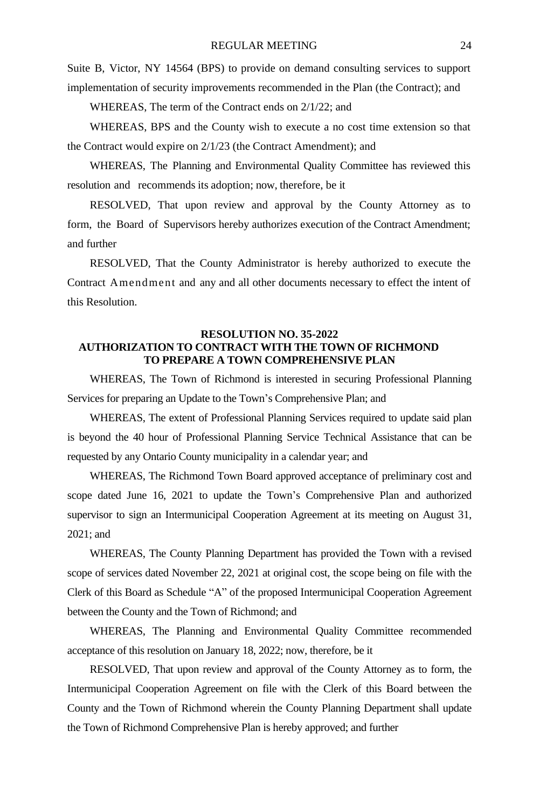Suite B, Victor, NY 14564 (BPS) to provide on demand consulting services to support implementation of security improvements recommended in the Plan (the Contract); and

WHEREAS, The term of the Contract ends on 2/1/22; and

WHEREAS, BPS and the County wish to execute a no cost time extension so that the Contract would expire on 2/1/23 (the Contract Amendment); and

WHEREAS, The Planning and Environmental Quality Committee has reviewed this resolution and recommends its adoption; now, therefore, be it

RESOLVED, That upon review and approval by the County Attorney as to form, the Board of Supervisors hereby authorizes execution of the Contract Amendment; and further

RESOLVED, That the County Administrator is hereby authorized to execute the Contract Amendment and any and all other documents necessary to effect the intent of this Resolution.

#### **RESOLUTION NO. 35-2022 AUTHORIZATION TO CONTRACT WITH THE TOWN OF RICHMOND TO PREPARE A TOWN COMPREHENSIVE PLAN**

WHEREAS, The Town of Richmond is interested in securing Professional Planning Services for preparing an Update to the Town's Comprehensive Plan; and

WHEREAS, The extent of Professional Planning Services required to update said plan is beyond the 40 hour of Professional Planning Service Technical Assistance that can be requested by any Ontario County municipality in a calendar year; and

WHEREAS, The Richmond Town Board approved acceptance of preliminary cost and scope dated June 16, 2021 to update the Town's Comprehensive Plan and authorized supervisor to sign an Intermunicipal Cooperation Agreement at its meeting on August 31, 2021; and

WHEREAS, The County Planning Department has provided the Town with a revised scope of services dated November 22, 2021 at original cost, the scope being on file with the Clerk of this Board as Schedule "A" of the proposed Intermunicipal Cooperation Agreement between the County and the Town of Richmond; and

WHEREAS, The Planning and Environmental Quality Committee recommended acceptance of this resolution on January 18, 2022; now, therefore, be it

RESOLVED, That upon review and approval of the County Attorney as to form, the Intermunicipal Cooperation Agreement on file with the Clerk of this Board between the County and the Town of Richmond wherein the County Planning Department shall update the Town of Richmond Comprehensive Plan is hereby approved; and further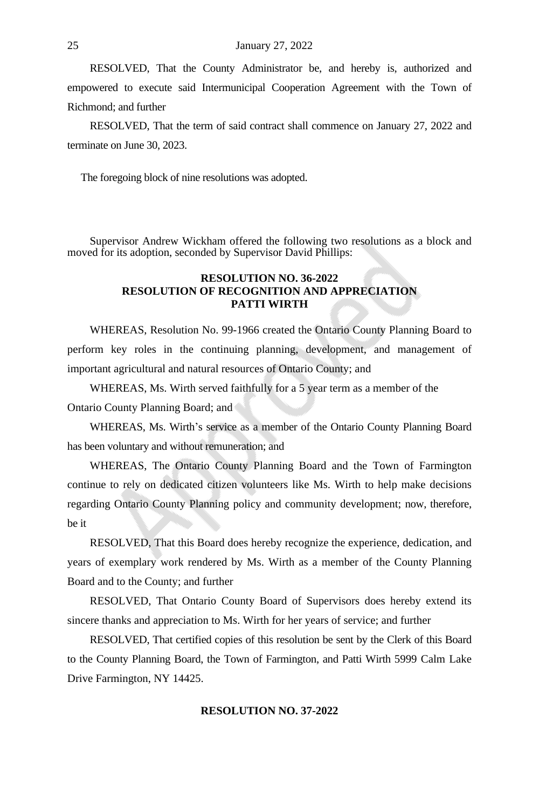RESOLVED, That the County Administrator be, and hereby is, authorized and empowered to execute said Intermunicipal Cooperation Agreement with the Town of Richmond; and further

RESOLVED, That the term of said contract shall commence on January 27, 2022 and terminate on June 30, 2023.

The foregoing block of nine resolutions was adopted.

Supervisor Andrew Wickham offered the following two resolutions as a block and moved for its adoption, seconded by Supervisor David Phillips:

#### **RESOLUTION NO. 36-2022 RESOLUTION OF RECOGNITION AND APPRECIATION PATTI WIRTH**

WHEREAS, Resolution No. 99-1966 created the Ontario County Planning Board to perform key roles in the continuing planning, development, and management of important agricultural and natural resources of Ontario County; and

WHEREAS, Ms. Wirth served faithfully for a 5 year term as a member of the Ontario County Planning Board; and

WHEREAS, Ms. Wirth's service as a member of the Ontario County Planning Board has been voluntary and without remuneration; and

WHEREAS, The Ontario County Planning Board and the Town of Farmington continue to rely on dedicated citizen volunteers like Ms. Wirth to help make decisions regarding Ontario County Planning policy and community development; now, therefore, be it

RESOLVED, That this Board does hereby recognize the experience, dedication, and years of exemplary work rendered by Ms. Wirth as a member of the County Planning Board and to the County; and further

RESOLVED, That Ontario County Board of Supervisors does hereby extend its sincere thanks and appreciation to Ms. Wirth for her years of service; and further

RESOLVED, That certified copies of this resolution be sent by the Clerk of this Board to the County Planning Board, the Town of Farmington, and Patti Wirth 5999 Calm Lake Drive Farmington, NY 14425.

#### **RESOLUTION NO. 37-2022**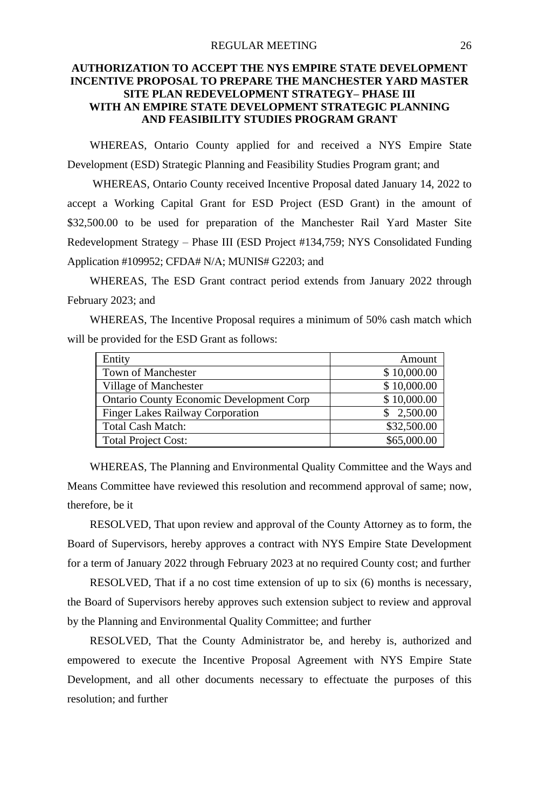#### REGULAR MEETING 26

# **AUTHORIZATION TO ACCEPT THE NYS EMPIRE STATE DEVELOPMENT INCENTIVE PROPOSAL TO PREPARE THE MANCHESTER YARD MASTER SITE PLAN REDEVELOPMENT STRATEGY– PHASE III WITH AN EMPIRE STATE DEVELOPMENT STRATEGIC PLANNING AND FEASIBILITY STUDIES PROGRAM GRANT**

WHEREAS, Ontario County applied for and received a NYS Empire State Development (ESD) Strategic Planning and Feasibility Studies Program grant; and

WHEREAS, Ontario County received Incentive Proposal dated January 14, 2022 to accept a Working Capital Grant for ESD Project (ESD Grant) in the amount of \$32,500.00 to be used for preparation of the Manchester Rail Yard Master Site Redevelopment Strategy – Phase III (ESD Project #134,759; NYS Consolidated Funding Application #109952; CFDA# N/A; MUNIS# G2203; and

WHEREAS, The ESD Grant contract period extends from January 2022 through February 2023; and

WHEREAS, The Incentive Proposal requires a minimum of 50% cash match which will be provided for the ESD Grant as follows:

| Entity                                          | Amount      |
|-------------------------------------------------|-------------|
| <b>Town of Manchester</b>                       | \$10,000.00 |
| Village of Manchester                           | \$10,000.00 |
| <b>Ontario County Economic Development Corp</b> | \$10,000.00 |
| <b>Finger Lakes Railway Corporation</b>         | \$2,500.00  |
| <b>Total Cash Match:</b>                        | \$32,500.00 |
| <b>Total Project Cost:</b>                      | \$65,000.00 |

WHEREAS, The Planning and Environmental Quality Committee and the Ways and Means Committee have reviewed this resolution and recommend approval of same; now, therefore, be it

RESOLVED, That upon review and approval of the County Attorney as to form, the Board of Supervisors, hereby approves a contract with NYS Empire State Development for a term of January 2022 through February 2023 at no required County cost; and further

RESOLVED, That if a no cost time extension of up to six (6) months is necessary, the Board of Supervisors hereby approves such extension subject to review and approval by the Planning and Environmental Quality Committee; and further

RESOLVED, That the County Administrator be, and hereby is, authorized and empowered to execute the Incentive Proposal Agreement with NYS Empire State Development, and all other documents necessary to effectuate the purposes of this resolution; and further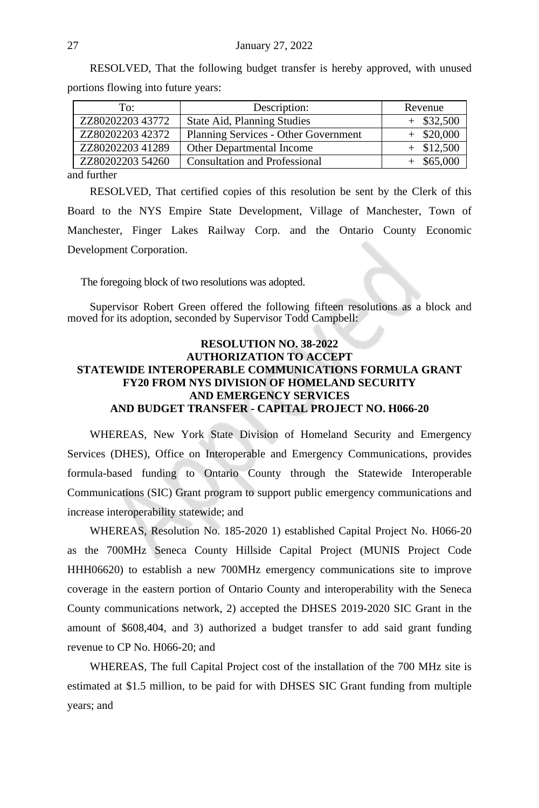| RESOLVED, That the following budget transfer is hereby approved, with unused |  |  |  |  |
|------------------------------------------------------------------------------|--|--|--|--|
| portions flowing into future years:                                          |  |  |  |  |

| ZZ8020220343772<br>State Aid, Planning Studies<br>ZZ8020220342372<br>Planning Services - Other Government<br>ZZ8020220341289<br>Other Departmental Income | To:              | Description:                         |              |
|-----------------------------------------------------------------------------------------------------------------------------------------------------------|------------------|--------------------------------------|--------------|
|                                                                                                                                                           |                  |                                      | $+$ \$32,500 |
|                                                                                                                                                           |                  |                                      | \$20,000     |
|                                                                                                                                                           |                  |                                      | $+$ \$12,500 |
|                                                                                                                                                           | ZZ80202203 54260 | <b>Consultation and Professional</b> | \$65,000     |

and further

RESOLVED, That certified copies of this resolution be sent by the Clerk of this Board to the NYS Empire State Development, Village of Manchester, Town of Manchester, Finger Lakes Railway Corp. and the Ontario County Economic Development Corporation.

The foregoing block of two resolutions was adopted.

Supervisor Robert Green offered the following fifteen resolutions as a block and moved for its adoption, seconded by Supervisor Todd Campbell:

#### **RESOLUTION NO. 38-2022 AUTHORIZATION TO ACCEPT STATEWIDE INTEROPERABLE COMMUNICATIONS FORMULA GRANT FY20 FROM NYS DIVISION OF HOMELAND SECURITY AND EMERGENCY SERVICES AND BUDGET TRANSFER - CAPITAL PROJECT NO. H066-20**

WHEREAS, New York State Division of Homeland Security and Emergency Services (DHES), Office on Interoperable and Emergency Communications, provides formula-based funding to Ontario County through the Statewide Interoperable Communications (SIC) Grant program to support public emergency communications and increase interoperability statewide; and

WHEREAS, Resolution No. 185-2020 1) established Capital Project No. H066-20 as the 700MHz Seneca County Hillside Capital Project (MUNIS Project Code HHH06620) to establish a new 700MHz emergency communications site to improve coverage in the eastern portion of Ontario County and interoperability with the Seneca County communications network, 2) accepted the DHSES 2019-2020 SIC Grant in the amount of \$608,404, and 3) authorized a budget transfer to add said grant funding revenue to CP No. H066-20; and

WHEREAS, The full Capital Project cost of the installation of the 700 MHz site is estimated at \$1.5 million, to be paid for with DHSES SIC Grant funding from multiple years; and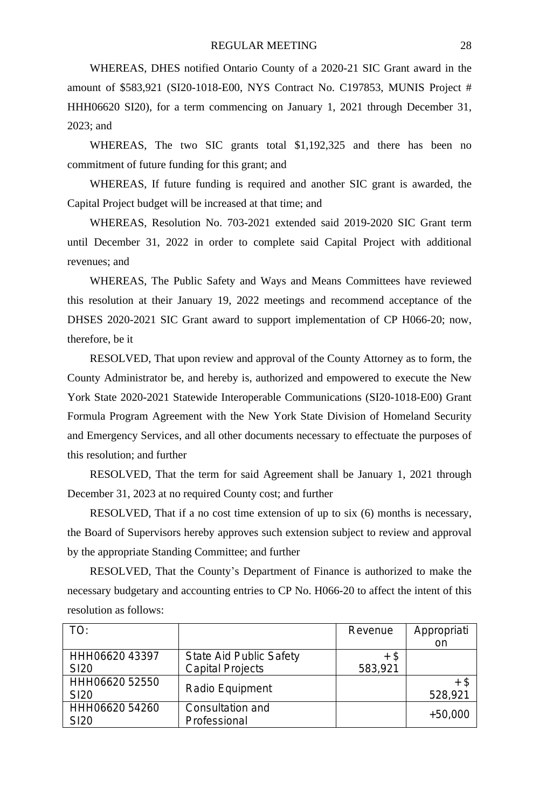WHEREAS, DHES notified Ontario County of a 2020-21 SIC Grant award in the amount of \$583,921 (SI20-1018-E00, NYS Contract No. C197853, MUNIS Project # HHH06620 SI20), for a term commencing on January 1, 2021 through December 31, 2023; and

WHEREAS, The two SIC grants total \$1,192,325 and there has been no commitment of future funding for this grant; and

WHEREAS, If future funding is required and another SIC grant is awarded, the Capital Project budget will be increased at that time; and

WHEREAS, Resolution No. 703-2021 extended said 2019-2020 SIC Grant term until December 31, 2022 in order to complete said Capital Project with additional revenues; and

WHEREAS, The Public Safety and Ways and Means Committees have reviewed this resolution at their January 19, 2022 meetings and recommend acceptance of the DHSES 2020-2021 SIC Grant award to support implementation of CP H066-20; now, therefore, be it

RESOLVED, That upon review and approval of the County Attorney as to form, the County Administrator be, and hereby is, authorized and empowered to execute the New York State 2020-2021 Statewide Interoperable Communications (SI20-1018-E00) Grant Formula Program Agreement with the New York State Division of Homeland Security and Emergency Services, and all other documents necessary to effectuate the purposes of this resolution; and further

RESOLVED, That the term for said Agreement shall be January 1, 2021 through December 31, 2023 at no required County cost; and further

RESOLVED, That if a no cost time extension of up to six (6) months is necessary, the Board of Supervisors hereby approves such extension subject to review and approval by the appropriate Standing Committee; and further

RESOLVED, That the County's Department of Finance is authorized to make the necessary budgetary and accounting entries to CP No. H066-20 to affect the intent of this resolution as follows:

| TO:              |                         | Revenue | Appropriati |
|------------------|-------------------------|---------|-------------|
|                  |                         |         | on          |
| HHH06620 43397   | State Aid Public Safety | + \$    |             |
| SI <sub>20</sub> | Capital Projects        | 583,921 |             |
| HHH06620 52550   |                         |         | + \$        |
| SI <sub>20</sub> | Radio Equipment         |         | 528,921     |
| HHH06620 54260   | Consultation and        |         | $+50.000$   |
| SI <sub>20</sub> | Professional            |         |             |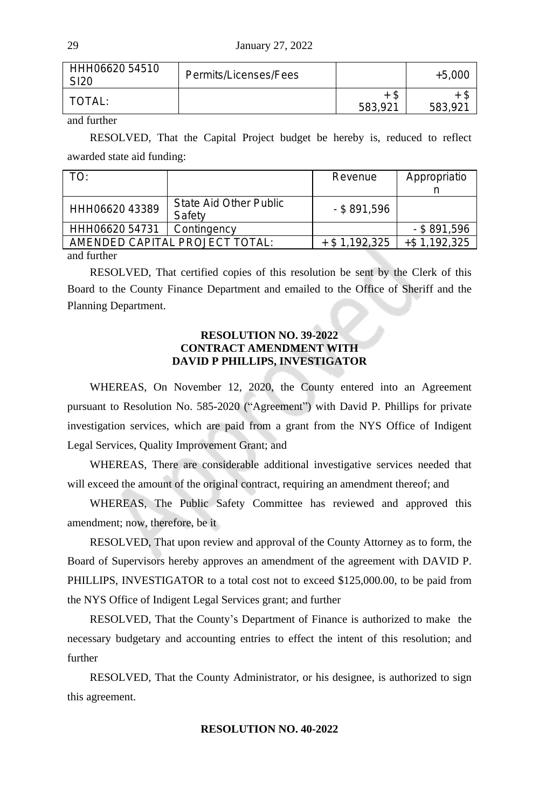| HHH06620 54510<br>SI20 | Permits/Licenses/Fees |               | $+5.000$ |
|------------------------|-----------------------|---------------|----------|
| TOTAL:                 |                       | Ъ.<br>583,921 | 583,921  |

and further

RESOLVED, That the Capital Project budget be hereby is, reduced to reflect awarded state aid funding:

| TO:                            |                                  | Revenue          | Appropriatio    |  |  |
|--------------------------------|----------------------------------|------------------|-----------------|--|--|
|                                |                                  |                  |                 |  |  |
| HHH06620 43389                 | State Aid Other Public<br>Safety | $-$ \$ 891.596   |                 |  |  |
| HHH06620 54731                 | Contingency                      |                  | $-$ \$ 891.596  |  |  |
| AMENDED CAPITAL PROJECT TOTAL: |                                  | $+$ \$ 1.192.325 | $+$ \$1.192.325 |  |  |
| 10.1                           |                                  |                  |                 |  |  |

and further

RESOLVED, That certified copies of this resolution be sent by the Clerk of this Board to the County Finance Department and emailed to the Office of Sheriff and the Planning Department.

#### **RESOLUTION NO. 39-2022 CONTRACT AMENDMENT WITH DAVID P PHILLIPS, INVESTIGATOR**

WHEREAS, On November 12, 2020, the County entered into an Agreement pursuant to Resolution No. 585-2020 ("Agreement") with David P. Phillips for private investigation services, which are paid from a grant from the NYS Office of Indigent Legal Services, Quality Improvement Grant; and

WHEREAS, There are considerable additional investigative services needed that will exceed the amount of the original contract, requiring an amendment thereof; and

WHEREAS, The Public Safety Committee has reviewed and approved this amendment; now, therefore, be it

RESOLVED, That upon review and approval of the County Attorney as to form, the Board of Supervisors hereby approves an amendment of the agreement with DAVID P. PHILLIPS, INVESTIGATOR to a total cost not to exceed \$125,000.00, to be paid from the NYS Office of Indigent Legal Services grant; and further

RESOLVED, That the County's Department of Finance is authorized to make the necessary budgetary and accounting entries to effect the intent of this resolution; and further

RESOLVED, That the County Administrator, or his designee, is authorized to sign this agreement.

#### **RESOLUTION NO. 40-2022**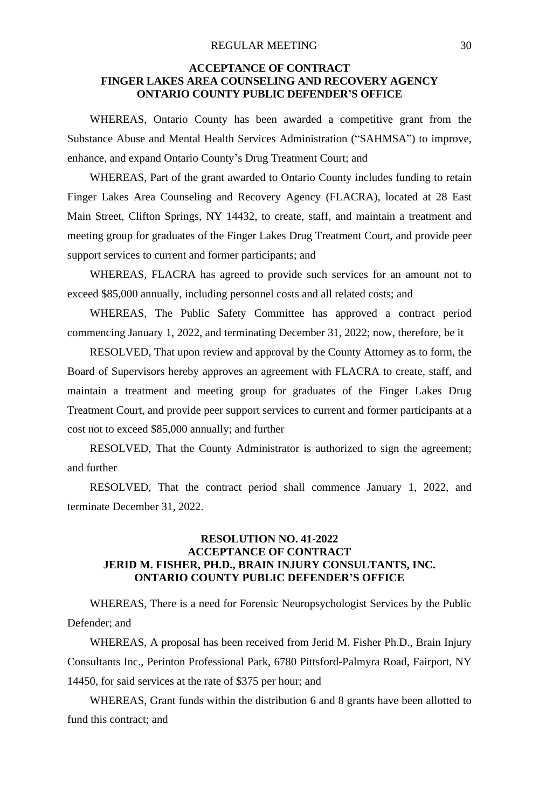#### **ACCEPTANCE OF CONTRACT FINGER LAKES AREA COUNSELING AND RECOVERY AGENCY ONTARIO COUNTY PUBLIC DEFENDER'S OFFICE**

WHEREAS, Ontario County has been awarded a competitive grant from the Substance Abuse and Mental Health Services Administration ("SAHMSA") to improve, enhance, and expand Ontario County's Drug Treatment Court; and

WHEREAS, Part of the grant awarded to Ontario County includes funding to retain Finger Lakes Area Counseling and Recovery Agency (FLACRA), located at 28 East Main Street, Clifton Springs, NY 14432, to create, staff, and maintain a treatment and meeting group for graduates of the Finger Lakes Drug Treatment Court, and provide peer support services to current and former participants; and

WHEREAS, FLACRA has agreed to provide such services for an amount not to exceed \$85,000 annually, including personnel costs and all related costs; and

WHEREAS, The Public Safety Committee has approved a contract period commencing January 1, 2022, and terminating December 31, 2022; now, therefore, be it

RESOLVED, That upon review and approval by the County Attorney as to form, the Board of Supervisors hereby approves an agreement with FLACRA to create, staff, and maintain a treatment and meeting group for graduates of the Finger Lakes Drug Treatment Court, and provide peer support services to current and former participants at a cost not to exceed \$85,000 annually; and further

RESOLVED, That the County Administrator is authorized to sign the agreement; and further

RESOLVED, That the contract period shall commence January 1, 2022, and terminate December 31, 2022.

# **RESOLUTION NO. 41-2022 ACCEPTANCE OF CONTRACT JERID M. FISHER, PH.D., BRAIN INJURY CONSULTANTS, INC. ONTARIO COUNTY PUBLIC DEFENDER'S OFFICE**

WHEREAS, There is a need for Forensic Neuropsychologist Services by the Public Defender; and

WHEREAS, A proposal has been received from Jerid M. Fisher Ph.D., Brain Injury Consultants Inc., Perinton Professional Park, 6780 Pittsford-Palmyra Road, Fairport, NY 14450, for said services at the rate of \$375 per hour; and

WHEREAS, Grant funds within the distribution 6 and 8 grants have been allotted to fund this contract; and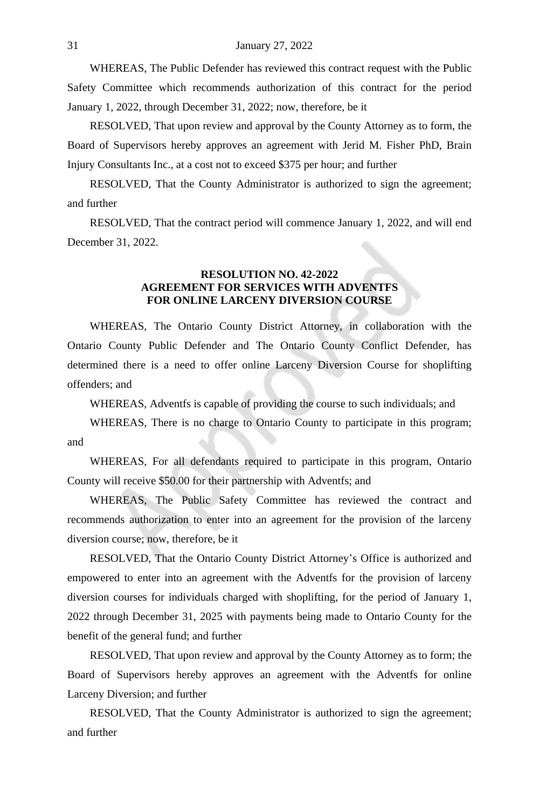WHEREAS, The Public Defender has reviewed this contract request with the Public Safety Committee which recommends authorization of this contract for the period January 1, 2022, through December 31, 2022; now, therefore, be it

RESOLVED, That upon review and approval by the County Attorney as to form, the Board of Supervisors hereby approves an agreement with Jerid M. Fisher PhD, Brain Injury Consultants Inc., at a cost not to exceed \$375 per hour; and further

RESOLVED, That the County Administrator is authorized to sign the agreement; and further

RESOLVED, That the contract period will commence January 1, 2022, and will end December 31, 2022.

#### **RESOLUTION NO. 42-2022 AGREEMENT FOR SERVICES WITH ADVENTFS FOR ONLINE LARCENY DIVERSION COURSE**

WHEREAS, The Ontario County District Attorney, in collaboration with the Ontario County Public Defender and The Ontario County Conflict Defender, has determined there is a need to offer online Larceny Diversion Course for shoplifting offenders; and

WHEREAS, Adventfs is capable of providing the course to such individuals; and

WHEREAS, There is no charge to Ontario County to participate in this program; and

WHEREAS, For all defendants required to participate in this program, Ontario County will receive \$50.00 for their partnership with Adventfs; and

WHEREAS, The Public Safety Committee has reviewed the contract and recommends authorization to enter into an agreement for the provision of the larceny diversion course; now, therefore, be it

RESOLVED, That the Ontario County District Attorney's Office is authorized and empowered to enter into an agreement with the Adventfs for the provision of larceny diversion courses for individuals charged with shoplifting, for the period of January 1, 2022 through December 31, 2025 with payments being made to Ontario County for the benefit of the general fund; and further

RESOLVED, That upon review and approval by the County Attorney as to form; the Board of Supervisors hereby approves an agreement with the Adventfs for online Larceny Diversion; and further

RESOLVED, That the County Administrator is authorized to sign the agreement; and further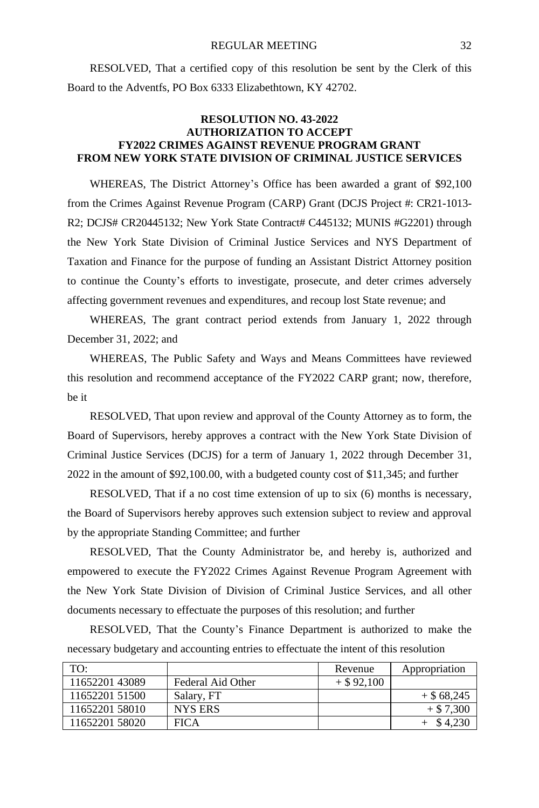RESOLVED, That a certified copy of this resolution be sent by the Clerk of this Board to the Adventfs, PO Box 6333 Elizabethtown, KY 42702.

#### **RESOLUTION NO. 43-2022 AUTHORIZATION TO ACCEPT FY2022 CRIMES AGAINST REVENUE PROGRAM GRANT FROM NEW YORK STATE DIVISION OF CRIMINAL JUSTICE SERVICES**

WHEREAS, The District Attorney's Office has been awarded a grant of \$92,100 from the Crimes Against Revenue Program (CARP) Grant (DCJS Project #: CR21-1013- R2; DCJS# CR20445132; New York State Contract# C445132; MUNIS #G2201) through the New York State Division of Criminal Justice Services and NYS Department of Taxation and Finance for the purpose of funding an Assistant District Attorney position to continue the County's efforts to investigate, prosecute, and deter crimes adversely affecting government revenues and expenditures, and recoup lost State revenue; and

WHEREAS, The grant contract period extends from January 1, 2022 through December 31, 2022; and

WHEREAS, The Public Safety and Ways and Means Committees have reviewed this resolution and recommend acceptance of the FY2022 CARP grant; now, therefore, be it

RESOLVED, That upon review and approval of the County Attorney as to form, the Board of Supervisors, hereby approves a contract with the New York State Division of Criminal Justice Services (DCJS) for a term of January 1, 2022 through December 31, 2022 in the amount of \$92,100.00, with a budgeted county cost of \$11,345; and further

RESOLVED, That if a no cost time extension of up to six (6) months is necessary, the Board of Supervisors hereby approves such extension subject to review and approval by the appropriate Standing Committee; and further

RESOLVED, That the County Administrator be, and hereby is, authorized and empowered to execute the FY2022 Crimes Against Revenue Program Agreement with the New York State Division of Division of Criminal Justice Services, and all other documents necessary to effectuate the purposes of this resolution; and further

RESOLVED, That the County's Finance Department is authorized to make the necessary budgetary and accounting entries to effectuate the intent of this resolution

| TO:            |                   | Revenue      | Appropriation |
|----------------|-------------------|--------------|---------------|
| 1165220143089  | Federal Aid Other | $+$ \$92,100 |               |
| 11652201 51500 | Salary, FT        |              | $+$ \$68,245  |
| 11652201 58010 | NYS ERS           |              | $+$ \$ 7,300  |
| 11652201 58020 | <b>FICA</b>       |              | \$4.230       |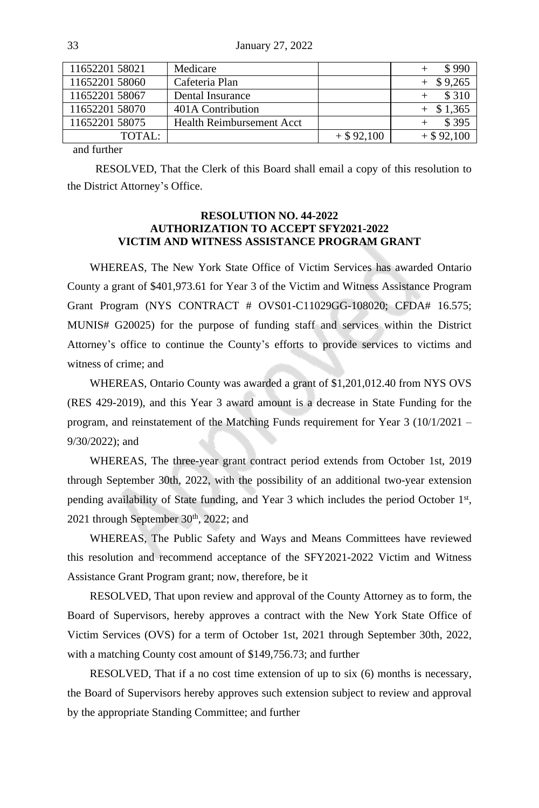33 January 27, 2022

| 11652201 58021 | Medicare                         |              | \$990        |
|----------------|----------------------------------|--------------|--------------|
| 11652201 58060 | Cafeteria Plan                   |              | $+$ \$9,265  |
| 11652201 58067 | Dental Insurance                 |              | \$310        |
| 11652201 58070 | 401A Contribution                |              | $+$ \$ 1,365 |
| 11652201 58075 | <b>Health Reimbursement Acct</b> |              | \$395        |
| TOTAL:         |                                  | $+$ \$92,100 | $+$ \$92,100 |
| $\cdots$       |                                  |              |              |

and further

RESOLVED, That the Clerk of this Board shall email a copy of this resolution to the District Attorney's Office.

#### **RESOLUTION NO. 44-2022 AUTHORIZATION TO ACCEPT SFY2021-2022 VICTIM AND WITNESS ASSISTANCE PROGRAM GRANT**

WHEREAS, The New York State Office of Victim Services has awarded Ontario County a grant of \$401,973.61 for Year 3 of the Victim and Witness Assistance Program Grant Program (NYS CONTRACT # OVS01-C11029GG-108020; CFDA# 16.575; MUNIS# G20025) for the purpose of funding staff and services within the District Attorney's office to continue the County's efforts to provide services to victims and witness of crime; and

WHEREAS, Ontario County was awarded a grant of \$1,201,012.40 from NYS OVS (RES 429-2019), and this Year 3 award amount is a decrease in State Funding for the program, and reinstatement of the Matching Funds requirement for Year 3 (10/1/2021 – 9/30/2022); and

WHEREAS, The three-year grant contract period extends from October 1st, 2019 through September 30th, 2022, with the possibility of an additional two-year extension pending availability of State funding, and Year 3 which includes the period October 1<sup>st</sup>, 2021 through September  $30<sup>th</sup>$ , 2022; and

WHEREAS, The Public Safety and Ways and Means Committees have reviewed this resolution and recommend acceptance of the SFY2021-2022 Victim and Witness Assistance Grant Program grant; now, therefore, be it

RESOLVED, That upon review and approval of the County Attorney as to form, the Board of Supervisors, hereby approves a contract with the New York State Office of Victim Services (OVS) for a term of October 1st, 2021 through September 30th, 2022, with a matching County cost amount of \$149,756.73; and further

RESOLVED, That if a no cost time extension of up to six (6) months is necessary, the Board of Supervisors hereby approves such extension subject to review and approval by the appropriate Standing Committee; and further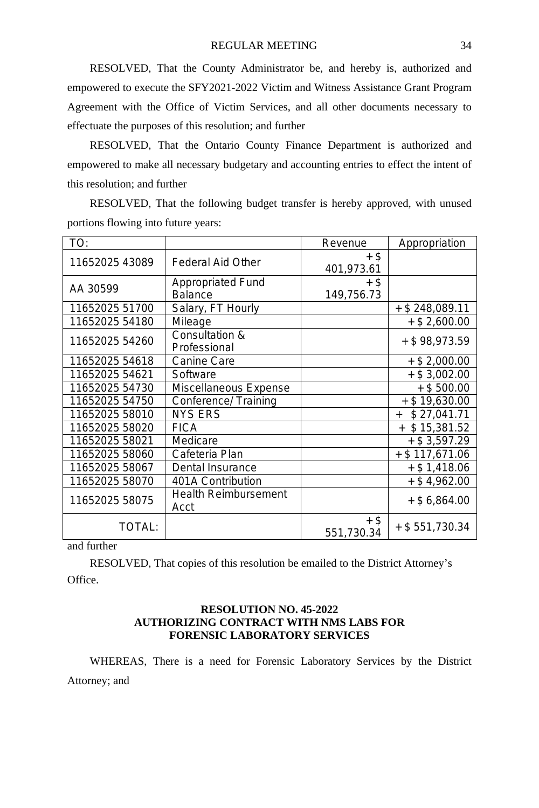RESOLVED, That the County Administrator be, and hereby is, authorized and empowered to execute the SFY2021-2022 Victim and Witness Assistance Grant Program Agreement with the Office of Victim Services, and all other documents necessary to effectuate the purposes of this resolution; and further

RESOLVED, That the Ontario County Finance Department is authorized and empowered to make all necessary budgetary and accounting entries to effect the intent of this resolution; and further

RESOLVED, That the following budget transfer is hereby approved, with unused portions flowing into future years:

| TO:            |                             | Revenue    | Appropriation      |
|----------------|-----------------------------|------------|--------------------|
| 11652025 43089 | Federal Aid Other           | $+$ \$     |                    |
|                |                             | 401,973.61 |                    |
| AA 30599       | Appropriated Fund           | $+$ \$     |                    |
|                | <b>Balance</b>              | 149,756.73 |                    |
| 11652025 51700 | Salary, FT Hourly           |            | $+$ \$ 248,089.11  |
| 11652025 54180 | Mileage                     |            | $+$ \$ 2,600.00    |
| 11652025 54260 | Consultation &              |            | + \$98,973.59      |
|                | Professional                |            |                    |
| 11652025 54618 | Canine Care                 |            | $+$ \$ 2,000.00    |
| 11652025 54621 | Software                    |            | $+$ \$ 3,002.00    |
| 11652025 54730 | Miscellaneous Expense       |            | $+$ \$500.00       |
| 11652025 54750 | Conference/ Training        |            | $+$ \$19,630.00    |
| 11652025 58010 | <b>NYS ERS</b>              |            | \$27,041.71<br>$+$ |
| 11652025 58020 | <b>FICA</b>                 |            | \$15,381.52<br>$+$ |
| 11652025 58021 | Medicare                    |            | $+$ \$ 3,597.29    |
| 11652025 58060 | Cafeteria Plan              |            | $+$ \$ 117,671.06  |
| 11652025 58067 | Dental Insurance            |            | $+$ \$1,418.06     |
| 11652025 58070 | 401A Contribution           |            | $+$ \$4,962.00     |
| 11652025 58075 | <b>Health Reimbursement</b> |            | $+$ \$ 6,864.00    |
|                | Acct                        |            |                    |
| TOTAL:         |                             | $+$ \$     | $+$ \$551,730.34   |
|                |                             | 551,730.34 |                    |

and further

RESOLVED, That copies of this resolution be emailed to the District Attorney's Office.

#### **RESOLUTION NO. 45-2022 AUTHORIZING CONTRACT WITH NMS LABS FOR FORENSIC LABORATORY SERVICES**

WHEREAS, There is a need for Forensic Laboratory Services by the District Attorney; and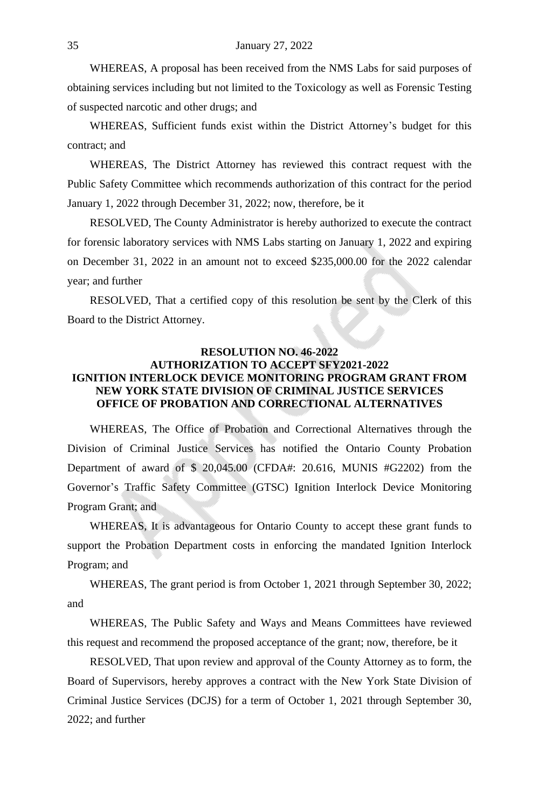WHEREAS, A proposal has been received from the NMS Labs for said purposes of obtaining services including but not limited to the Toxicology as well as Forensic Testing of suspected narcotic and other drugs; and

WHEREAS, Sufficient funds exist within the District Attorney's budget for this contract; and

WHEREAS, The District Attorney has reviewed this contract request with the Public Safety Committee which recommends authorization of this contract for the period January 1, 2022 through December 31, 2022; now, therefore, be it

RESOLVED, The County Administrator is hereby authorized to execute the contract for forensic laboratory services with NMS Labs starting on January 1, 2022 and expiring on December 31, 2022 in an amount not to exceed \$235,000.00 for the 2022 calendar year; and further

RESOLVED, That a certified copy of this resolution be sent by the Clerk of this Board to the District Attorney.

# **RESOLUTION NO. 46-2022 AUTHORIZATION TO ACCEPT SFY2021-2022 IGNITION INTERLOCK DEVICE MONITORING PROGRAM GRANT FROM NEW YORK STATE DIVISION OF CRIMINAL JUSTICE SERVICES OFFICE OF PROBATION AND CORRECTIONAL ALTERNATIVES**

WHEREAS, The Office of Probation and Correctional Alternatives through the Division of Criminal Justice Services has notified the Ontario County Probation Department of award of \$ 20,045.00 (CFDA#: 20.616, MUNIS #G2202) from the Governor's Traffic Safety Committee (GTSC) Ignition Interlock Device Monitoring Program Grant; and

WHEREAS, It is advantageous for Ontario County to accept these grant funds to support the Probation Department costs in enforcing the mandated Ignition Interlock Program; and

WHEREAS, The grant period is from October 1, 2021 through September 30, 2022; and

WHEREAS, The Public Safety and Ways and Means Committees have reviewed this request and recommend the proposed acceptance of the grant; now, therefore, be it

RESOLVED, That upon review and approval of the County Attorney as to form, the Board of Supervisors, hereby approves a contract with the New York State Division of Criminal Justice Services (DCJS) for a term of October 1, 2021 through September 30, 2022; and further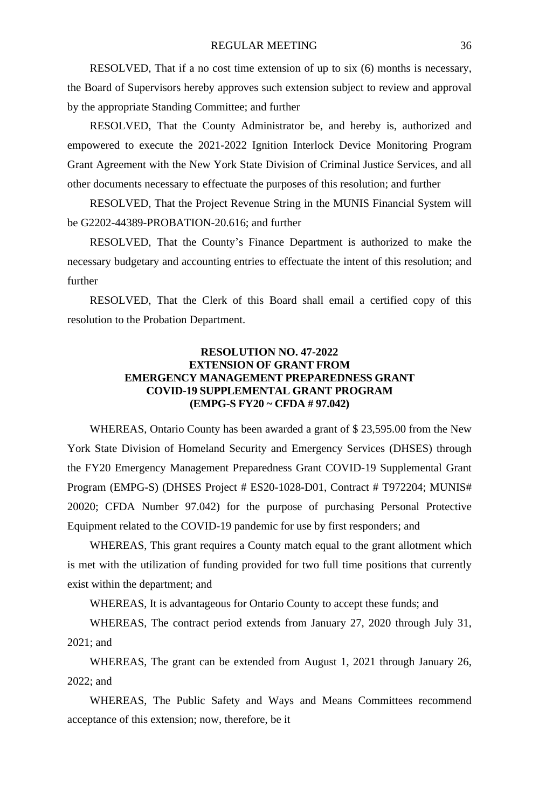RESOLVED, That if a no cost time extension of up to six (6) months is necessary, the Board of Supervisors hereby approves such extension subject to review and approval by the appropriate Standing Committee; and further

RESOLVED, That the County Administrator be, and hereby is, authorized and empowered to execute the 2021-2022 Ignition Interlock Device Monitoring Program Grant Agreement with the New York State Division of Criminal Justice Services, and all other documents necessary to effectuate the purposes of this resolution; and further

RESOLVED, That the Project Revenue String in the MUNIS Financial System will be G2202-44389-PROBATION-20.616; and further

RESOLVED, That the County's Finance Department is authorized to make the necessary budgetary and accounting entries to effectuate the intent of this resolution; and further

RESOLVED, That the Clerk of this Board shall email a certified copy of this resolution to the Probation Department.

#### **RESOLUTION NO. 47-2022 EXTENSION OF GRANT FROM EMERGENCY MANAGEMENT PREPAREDNESS GRANT COVID-19 SUPPLEMENTAL GRANT PROGRAM (EMPG-S FY20 ~ CFDA # 97.042)**

WHEREAS, Ontario County has been awarded a grant of \$ 23,595.00 from the New York State Division of Homeland Security and Emergency Services (DHSES) through the FY20 Emergency Management Preparedness Grant COVID-19 Supplemental Grant Program (EMPG-S) (DHSES Project # ES20-1028-D01, Contract # T972204; MUNIS# 20020; CFDA Number 97.042) for the purpose of purchasing Personal Protective Equipment related to the COVID-19 pandemic for use by first responders; and

WHEREAS, This grant requires a County match equal to the grant allotment which is met with the utilization of funding provided for two full time positions that currently exist within the department; and

WHEREAS, It is advantageous for Ontario County to accept these funds; and

WHEREAS, The contract period extends from January 27, 2020 through July 31, 2021; and

WHEREAS, The grant can be extended from August 1, 2021 through January 26, 2022; and

WHEREAS, The Public Safety and Ways and Means Committees recommend acceptance of this extension; now, therefore, be it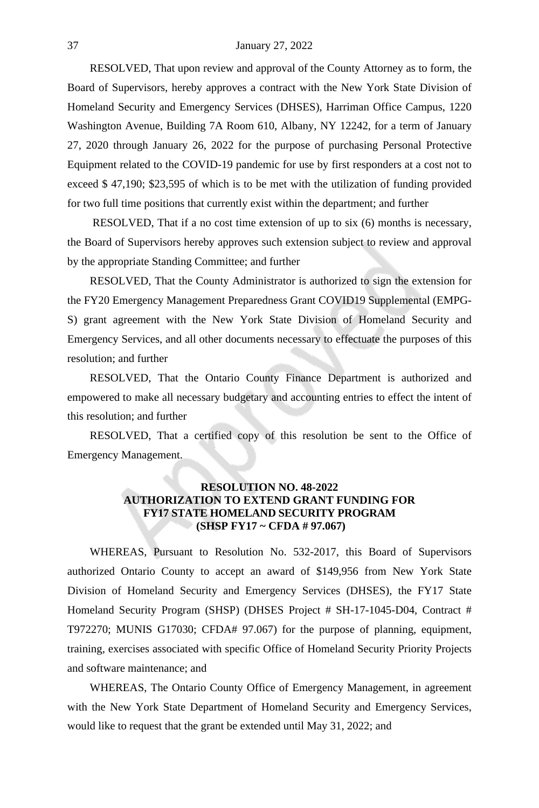RESOLVED, That upon review and approval of the County Attorney as to form, the Board of Supervisors, hereby approves a contract with the New York State Division of Homeland Security and Emergency Services (DHSES), Harriman Office Campus, 1220 Washington Avenue, Building 7A Room 610, Albany, NY 12242, for a term of January 27, 2020 through January 26, 2022 for the purpose of purchasing Personal Protective Equipment related to the COVID-19 pandemic for use by first responders at a cost not to exceed \$ 47,190; \$23,595 of which is to be met with the utilization of funding provided for two full time positions that currently exist within the department; and further

RESOLVED, That if a no cost time extension of up to six (6) months is necessary, the Board of Supervisors hereby approves such extension subject to review and approval by the appropriate Standing Committee; and further

RESOLVED, That the County Administrator is authorized to sign the extension for the FY20 Emergency Management Preparedness Grant COVID19 Supplemental (EMPG-S) grant agreement with the New York State Division of Homeland Security and Emergency Services, and all other documents necessary to effectuate the purposes of this resolution; and further

RESOLVED, That the Ontario County Finance Department is authorized and empowered to make all necessary budgetary and accounting entries to effect the intent of this resolution; and further

RESOLVED, That a certified copy of this resolution be sent to the Office of Emergency Management.

# **RESOLUTION NO. 48-2022 AUTHORIZATION TO EXTEND GRANT FUNDING FOR FY17 STATE HOMELAND SECURITY PROGRAM (SHSP FY17 ~ CFDA # 97.067)**

WHEREAS, Pursuant to Resolution No. 532-2017, this Board of Supervisors authorized Ontario County to accept an award of \$149,956 from New York State Division of Homeland Security and Emergency Services (DHSES), the FY17 State Homeland Security Program (SHSP) (DHSES Project # SH-17-1045-D04, Contract # T972270; MUNIS G17030; CFDA# 97.067) for the purpose of planning, equipment, training, exercises associated with specific Office of Homeland Security Priority Projects and software maintenance; and

WHEREAS, The Ontario County Office of Emergency Management, in agreement with the New York State Department of Homeland Security and Emergency Services, would like to request that the grant be extended until May 31, 2022; and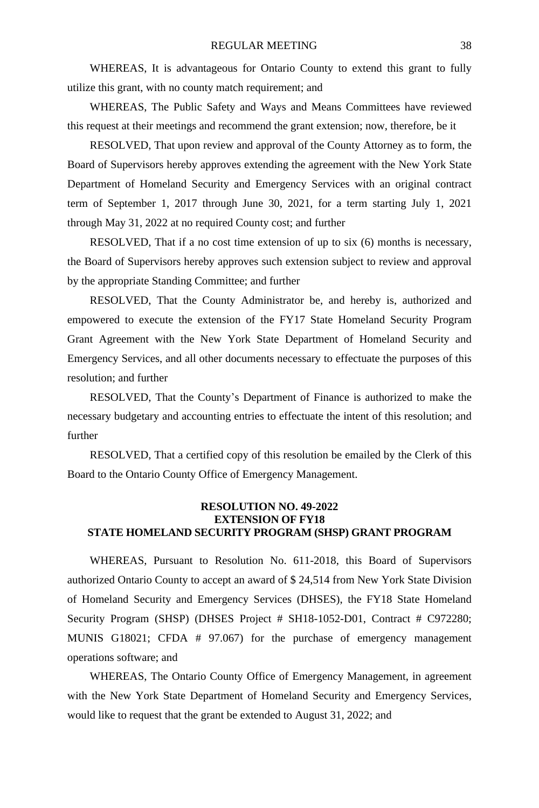WHEREAS, It is advantageous for Ontario County to extend this grant to fully utilize this grant, with no county match requirement; and

WHEREAS, The Public Safety and Ways and Means Committees have reviewed this request at their meetings and recommend the grant extension; now, therefore, be it

RESOLVED, That upon review and approval of the County Attorney as to form, the Board of Supervisors hereby approves extending the agreement with the New York State Department of Homeland Security and Emergency Services with an original contract term of September 1, 2017 through June 30, 2021, for a term starting July 1, 2021 through May 31, 2022 at no required County cost; and further

RESOLVED, That if a no cost time extension of up to six (6) months is necessary, the Board of Supervisors hereby approves such extension subject to review and approval by the appropriate Standing Committee; and further

RESOLVED, That the County Administrator be, and hereby is, authorized and empowered to execute the extension of the FY17 State Homeland Security Program Grant Agreement with the New York State Department of Homeland Security and Emergency Services, and all other documents necessary to effectuate the purposes of this resolution; and further

RESOLVED, That the County's Department of Finance is authorized to make the necessary budgetary and accounting entries to effectuate the intent of this resolution; and further

RESOLVED, That a certified copy of this resolution be emailed by the Clerk of this Board to the Ontario County Office of Emergency Management.

#### **RESOLUTION NO. 49-2022 EXTENSION OF FY18 STATE HOMELAND SECURITY PROGRAM (SHSP) GRANT PROGRAM**

WHEREAS, Pursuant to Resolution No. 611-2018, this Board of Supervisors authorized Ontario County to accept an award of \$ 24,514 from New York State Division of Homeland Security and Emergency Services (DHSES), the FY18 State Homeland Security Program (SHSP) (DHSES Project # SH18-1052-D01, Contract # C972280; MUNIS G18021; CFDA # 97.067) for the purchase of emergency management operations software; and

WHEREAS, The Ontario County Office of Emergency Management, in agreement with the New York State Department of Homeland Security and Emergency Services, would like to request that the grant be extended to August 31, 2022; and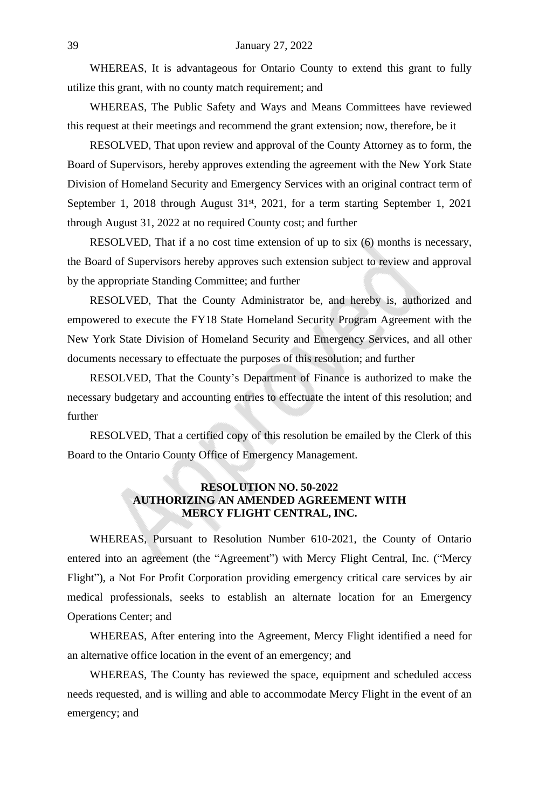WHEREAS, It is advantageous for Ontario County to extend this grant to fully utilize this grant, with no county match requirement; and

WHEREAS, The Public Safety and Ways and Means Committees have reviewed this request at their meetings and recommend the grant extension; now, therefore, be it

RESOLVED, That upon review and approval of the County Attorney as to form, the Board of Supervisors, hereby approves extending the agreement with the New York State Division of Homeland Security and Emergency Services with an original contract term of September 1, 2018 through August 31<sup>st</sup>, 2021, for a term starting September 1, 2021 through August 31, 2022 at no required County cost; and further

RESOLVED, That if a no cost time extension of up to six (6) months is necessary, the Board of Supervisors hereby approves such extension subject to review and approval by the appropriate Standing Committee; and further

RESOLVED, That the County Administrator be, and hereby is, authorized and empowered to execute the FY18 State Homeland Security Program Agreement with the New York State Division of Homeland Security and Emergency Services, and all other documents necessary to effectuate the purposes of this resolution; and further

RESOLVED, That the County's Department of Finance is authorized to make the necessary budgetary and accounting entries to effectuate the intent of this resolution; and further

RESOLVED, That a certified copy of this resolution be emailed by the Clerk of this Board to the Ontario County Office of Emergency Management.

# **RESOLUTION NO. 50-2022 AUTHORIZING AN AMENDED AGREEMENT WITH MERCY FLIGHT CENTRAL, INC.**

WHEREAS, Pursuant to Resolution Number 610-2021, the County of Ontario entered into an agreement (the "Agreement") with Mercy Flight Central, Inc. ("Mercy Flight"), a Not For Profit Corporation providing emergency critical care services by air medical professionals, seeks to establish an alternate location for an Emergency Operations Center; and

WHEREAS, After entering into the Agreement, Mercy Flight identified a need for an alternative office location in the event of an emergency; and

WHEREAS, The County has reviewed the space, equipment and scheduled access needs requested, and is willing and able to accommodate Mercy Flight in the event of an emergency; and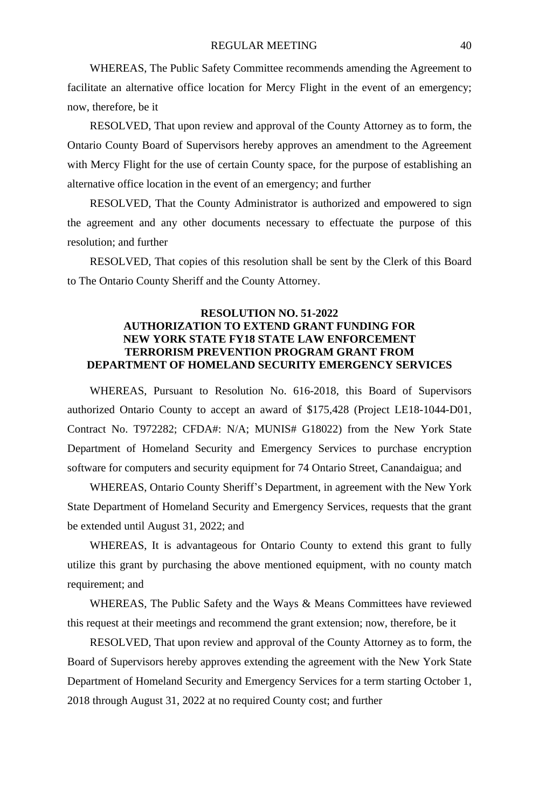WHEREAS, The Public Safety Committee recommends amending the Agreement to facilitate an alternative office location for Mercy Flight in the event of an emergency; now, therefore, be it

RESOLVED, That upon review and approval of the County Attorney as to form, the Ontario County Board of Supervisors hereby approves an amendment to the Agreement with Mercy Flight for the use of certain County space, for the purpose of establishing an alternative office location in the event of an emergency; and further

RESOLVED, That the County Administrator is authorized and empowered to sign the agreement and any other documents necessary to effectuate the purpose of this resolution; and further

RESOLVED, That copies of this resolution shall be sent by the Clerk of this Board to The Ontario County Sheriff and the County Attorney.

#### **RESOLUTION NO. 51-2022 AUTHORIZATION TO EXTEND GRANT FUNDING FOR NEW YORK STATE FY18 STATE LAW ENFORCEMENT TERRORISM PREVENTION PROGRAM GRANT FROM DEPARTMENT OF HOMELAND SECURITY EMERGENCY SERVICES**

WHEREAS, Pursuant to Resolution No. 616-2018, this Board of Supervisors authorized Ontario County to accept an award of \$175,428 (Project LE18-1044-D01, Contract No. T972282; CFDA#: N/A; MUNIS# G18022) from the New York State Department of Homeland Security and Emergency Services to purchase encryption software for computers and security equipment for 74 Ontario Street, Canandaigua; and

WHEREAS, Ontario County Sheriff's Department, in agreement with the New York State Department of Homeland Security and Emergency Services, requests that the grant be extended until August 31, 2022; and

WHEREAS, It is advantageous for Ontario County to extend this grant to fully utilize this grant by purchasing the above mentioned equipment, with no county match requirement; and

WHEREAS, The Public Safety and the Ways & Means Committees have reviewed this request at their meetings and recommend the grant extension; now, therefore, be it

RESOLVED, That upon review and approval of the County Attorney as to form, the Board of Supervisors hereby approves extending the agreement with the New York State Department of Homeland Security and Emergency Services for a term starting October 1, 2018 through August 31, 2022 at no required County cost; and further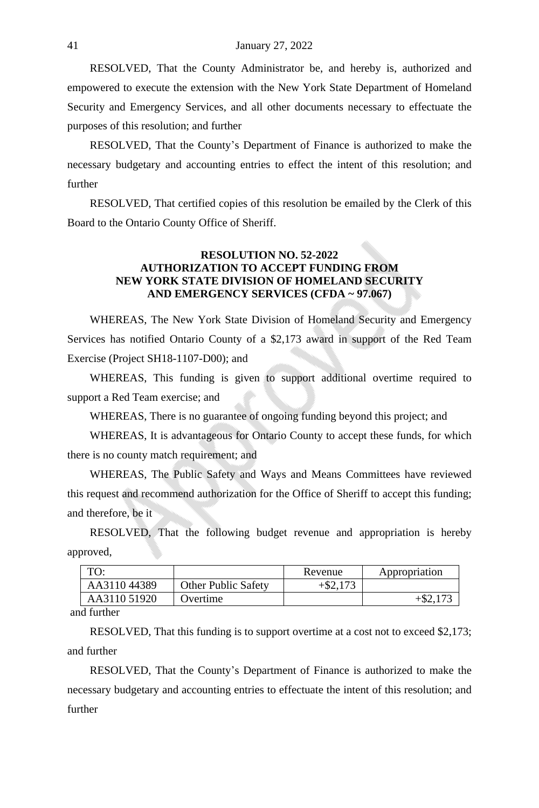RESOLVED, That the County Administrator be, and hereby is, authorized and empowered to execute the extension with the New York State Department of Homeland Security and Emergency Services, and all other documents necessary to effectuate the purposes of this resolution; and further

RESOLVED, That the County's Department of Finance is authorized to make the necessary budgetary and accounting entries to effect the intent of this resolution; and further

RESOLVED, That certified copies of this resolution be emailed by the Clerk of this Board to the Ontario County Office of Sheriff.

#### **RESOLUTION NO. 52-2022 AUTHORIZATION TO ACCEPT FUNDING FROM NEW YORK STATE DIVISION OF HOMELAND SECURITY AND EMERGENCY SERVICES (CFDA ~ 97.067)**

WHEREAS, The New York State Division of Homeland Security and Emergency Services has notified Ontario County of a \$2,173 award in support of the Red Team Exercise (Project SH18-1107-D00); and

WHEREAS, This funding is given to support additional overtime required to support a Red Team exercise; and

WHEREAS, There is no guarantee of ongoing funding beyond this project; and

WHEREAS, It is advantageous for Ontario County to accept these funds, for which there is no county match requirement; and

WHEREAS, The Public Safety and Ways and Means Committees have reviewed this request and recommend authorization for the Office of Sheriff to accept this funding; and therefore, be it

RESOLVED, That the following budget revenue and appropriation is hereby approved,

| TO:                     |                            | Revenue     | Appropriation |
|-------------------------|----------------------------|-------------|---------------|
| AA311044389             | <b>Other Public Safety</b> | $+$ \$2.173 |               |
| AA3110 51920            | Overtime                   |             |               |
| $\cdot$ $\cdot$ $\cdot$ |                            |             |               |

and further

RESOLVED, That this funding is to support overtime at a cost not to exceed \$2,173; and further

RESOLVED, That the County's Department of Finance is authorized to make the necessary budgetary and accounting entries to effectuate the intent of this resolution; and further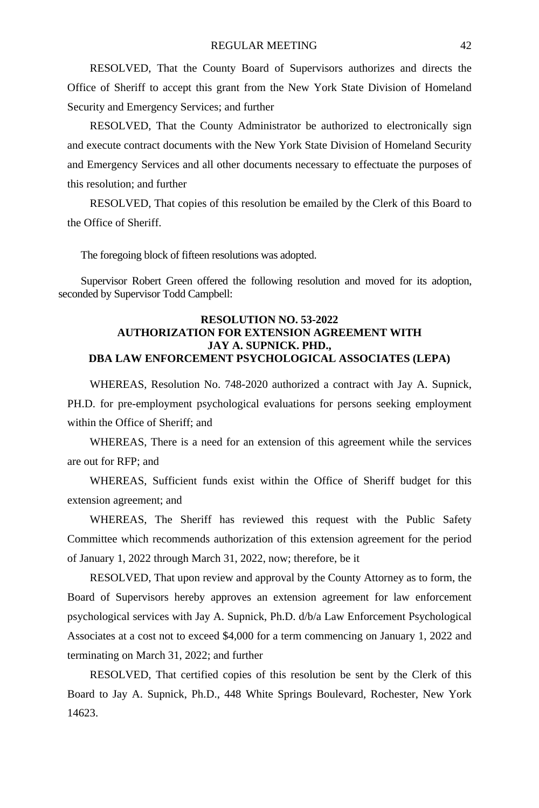RESOLVED, That the County Board of Supervisors authorizes and directs the Office of Sheriff to accept this grant from the New York State Division of Homeland Security and Emergency Services; and further

RESOLVED, That the County Administrator be authorized to electronically sign and execute contract documents with the New York State Division of Homeland Security and Emergency Services and all other documents necessary to effectuate the purposes of this resolution; and further

RESOLVED, That copies of this resolution be emailed by the Clerk of this Board to the Office of Sheriff.

The foregoing block of fifteen resolutions was adopted.

Supervisor Robert Green offered the following resolution and moved for its adoption, seconded by Supervisor Todd Campbell:

#### **RESOLUTION NO. 53-2022 AUTHORIZATION FOR EXTENSION AGREEMENT WITH JAY A. SUPNICK. PHD., DBA LAW ENFORCEMENT PSYCHOLOGICAL ASSOCIATES (LEPA)**

WHEREAS, Resolution No. 748-2020 authorized a contract with Jay A. Supnick, PH.D. for pre-employment psychological evaluations for persons seeking employment within the Office of Sheriff; and

WHEREAS, There is a need for an extension of this agreement while the services are out for RFP; and

WHEREAS, Sufficient funds exist within the Office of Sheriff budget for this extension agreement; and

WHEREAS, The Sheriff has reviewed this request with the Public Safety Committee which recommends authorization of this extension agreement for the period of January 1, 2022 through March 31, 2022, now; therefore, be it

RESOLVED, That upon review and approval by the County Attorney as to form, the Board of Supervisors hereby approves an extension agreement for law enforcement psychological services with Jay A. Supnick, Ph.D. d/b/a Law Enforcement Psychological Associates at a cost not to exceed \$4,000 for a term commencing on January 1, 2022 and terminating on March 31, 2022; and further

RESOLVED, That certified copies of this resolution be sent by the Clerk of this Board to Jay A. Supnick, Ph.D., 448 White Springs Boulevard, Rochester, New York 14623.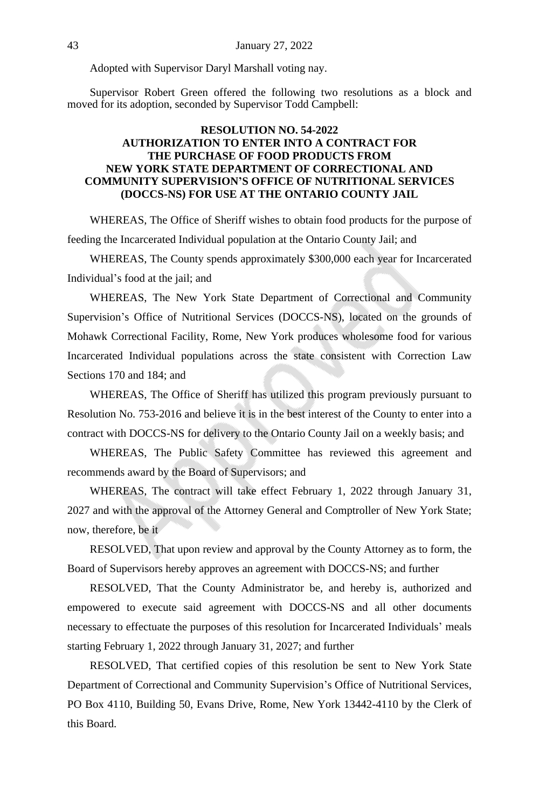Adopted with Supervisor Daryl Marshall voting nay.

Supervisor Robert Green offered the following two resolutions as a block and moved for its adoption, seconded by Supervisor Todd Campbell:

# **RESOLUTION NO. 54-2022 AUTHORIZATION TO ENTER INTO A CONTRACT FOR THE PURCHASE OF FOOD PRODUCTS FROM NEW YORK STATE DEPARTMENT OF CORRECTIONAL AND COMMUNITY SUPERVISION'S OFFICE OF NUTRITIONAL SERVICES (DOCCS-NS) FOR USE AT THE ONTARIO COUNTY JAIL**

WHEREAS, The Office of Sheriff wishes to obtain food products for the purpose of feeding the Incarcerated Individual population at the Ontario County Jail; and

WHEREAS, The County spends approximately \$300,000 each year for Incarcerated Individual's food at the jail; and

WHEREAS, The New York State Department of Correctional and Community Supervision's Office of Nutritional Services (DOCCS-NS), located on the grounds of Mohawk Correctional Facility, Rome, New York produces wholesome food for various Incarcerated Individual populations across the state consistent with Correction Law Sections 170 and 184; and

WHEREAS, The Office of Sheriff has utilized this program previously pursuant to Resolution No. 753-2016 and believe it is in the best interest of the County to enter into a contract with DOCCS-NS for delivery to the Ontario County Jail on a weekly basis; and

WHEREAS, The Public Safety Committee has reviewed this agreement and recommends award by the Board of Supervisors; and

WHEREAS, The contract will take effect February 1, 2022 through January 31, 2027 and with the approval of the Attorney General and Comptroller of New York State; now, therefore, be it

RESOLVED, That upon review and approval by the County Attorney as to form, the Board of Supervisors hereby approves an agreement with DOCCS-NS; and further

RESOLVED, That the County Administrator be, and hereby is, authorized and empowered to execute said agreement with DOCCS-NS and all other documents necessary to effectuate the purposes of this resolution for Incarcerated Individuals' meals starting February 1, 2022 through January 31, 2027; and further

RESOLVED, That certified copies of this resolution be sent to New York State Department of Correctional and Community Supervision's Office of Nutritional Services, PO Box 4110, Building 50, Evans Drive, Rome, New York 13442-4110 by the Clerk of this Board.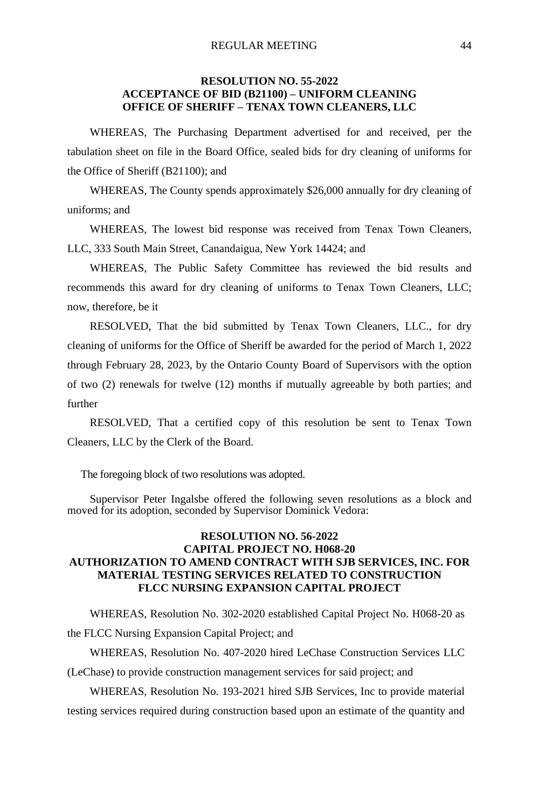#### **RESOLUTION NO. 55-2022 ACCEPTANCE OF BID (B21100) – UNIFORM CLEANING OFFICE OF SHERIFF – TENAX TOWN CLEANERS, LLC**

WHEREAS, The Purchasing Department advertised for and received, per the tabulation sheet on file in the Board Office, sealed bids for dry cleaning of uniforms for the Office of Sheriff (B21100); and

WHEREAS, The County spends approximately \$26,000 annually for dry cleaning of uniforms; and

WHEREAS, The lowest bid response was received from Tenax Town Cleaners, LLC, 333 South Main Street, Canandaigua, New York 14424; and

WHEREAS, The Public Safety Committee has reviewed the bid results and recommends this award for dry cleaning of uniforms to Tenax Town Cleaners, LLC; now, therefore, be it

RESOLVED, That the bid submitted by Tenax Town Cleaners, LLC., for dry cleaning of uniforms for the Office of Sheriff be awarded for the period of March 1, 2022 through February 28, 2023, by the Ontario County Board of Supervisors with the option of two (2) renewals for twelve (12) months if mutually agreeable by both parties; and further

RESOLVED, That a certified copy of this resolution be sent to Tenax Town Cleaners, LLC by the Clerk of the Board.

The foregoing block of two resolutions was adopted.

Supervisor Peter Ingalsbe offered the following seven resolutions as a block and moved for its adoption, seconded by Supervisor Dominick Vedora:

# **RESOLUTION NO. 56-2022 CAPITAL PROJECT NO. H068-20 AUTHORIZATION TO AMEND CONTRACT WITH SJB SERVICES, INC. FOR MATERIAL TESTING SERVICES RELATED TO CONSTRUCTION FLCC NURSING EXPANSION CAPITAL PROJECT**

WHEREAS, Resolution No. 302-2020 established Capital Project No. H068-20 as the FLCC Nursing Expansion Capital Project; and

WHEREAS, Resolution No. 407-2020 hired LeChase Construction Services LLC

(LeChase) to provide construction management services for said project; and

WHEREAS, Resolution No. 193-2021 hired SJB Services, Inc to provide material testing services required during construction based upon an estimate of the quantity and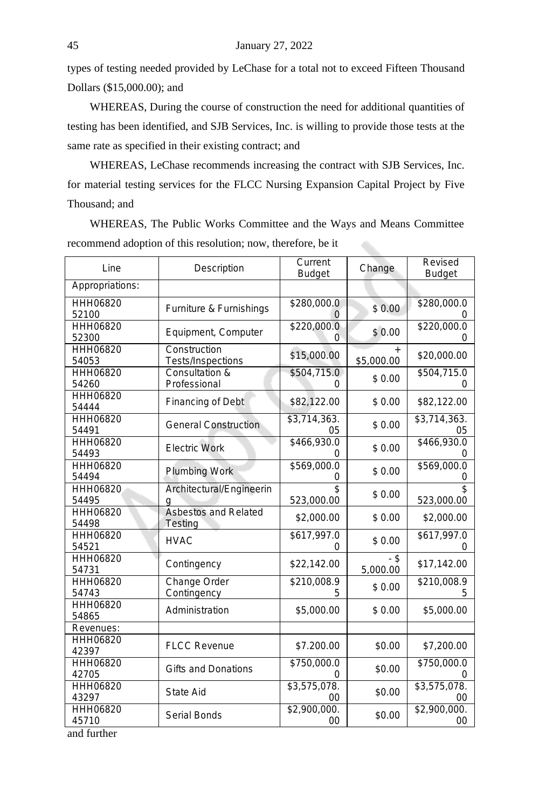types of testing needed provided by LeChase for a total not to exceed Fifteen Thousand Dollars (\$15,000.00); and

WHEREAS, During the course of construction the need for additional quantities of testing has been identified, and SJB Services, Inc. is willing to provide those tests at the same rate as specified in their existing contract; and

WHEREAS, LeChase recommends increasing the contract with SJB Services, Inc. for material testing services for the FLCC Nursing Expansion Capital Project by Five Thousand; and

WHEREAS, The Public Works Committee and the Ways and Means Committee recommend adoption of this resolution; now, therefore, be it 

| Line<br>Description      |                                   | Current<br><b>Budget</b>              | Change             | Revised<br><b>Budget</b>              |
|--------------------------|-----------------------------------|---------------------------------------|--------------------|---------------------------------------|
| Appropriations:          |                                   |                                       |                    |                                       |
| HHH06820<br>52100        | Furniture & Furnishings           | \$280,000.0                           | \$0.00             | \$280,000.0                           |
| HHH06820<br>52300        | Equipment, Computer               | \$220,000.0<br>0                      | \$0.00             | \$220,000.0<br>0                      |
| HHH06820<br>54053        | Construction<br>Tests/Inspections | \$15,000.00                           | \$5,000.00         | \$20,000.00                           |
| HHH06820<br>54260        | Consultation &<br>Professional    | \$504,715.0<br>0                      | \$0.00             | \$504,715.0<br>0                      |
| HHH06820<br>54444        | Financing of Debt                 | \$82,122.00                           | \$0.00             | \$82,122.00                           |
| HHH06820<br>54491        | <b>General Construction</b>       | \$3,714,363.<br>05                    | \$0.00             | \$3,714,363.<br>05                    |
| HHH06820<br>54493        | <b>Electric Work</b>              | \$466,930.0<br>0                      | \$0.00             | \$466,930.0                           |
| <b>HHH06820</b><br>54494 | <b>Plumbing Work</b>              | \$569,000.0<br>0                      | \$0.00             | \$569,000.0<br>0                      |
| <b>HHH06820</b><br>54495 | Architectural/Engineerin<br>q     | $\overline{\mathsf{s}}$<br>523,000.00 | \$0.00             | $\overline{\mathsf{s}}$<br>523,000.00 |
| HHH06820<br>54498        | Asbestos and Related<br>Testing   | \$2,000.00                            | \$0.00             | \$2,000.00                            |
| HHH06820<br>54521        | <b>HVAC</b>                       | \$617,997.0<br>0                      | \$0.00             | \$617,997.0<br>$\Omega$               |
| <b>HHH06820</b><br>54731 | Contingency                       | \$22,142.00                           | $-$ \$<br>5,000.00 | \$17,142.00                           |
| HHH06820<br>54743        | Change Order<br>Contingency       | \$210,008.9<br>5                      | \$0.00             | \$210,008.9<br>5                      |
| HHH06820<br>54865        | Administration                    | \$5,000.00                            | \$0.00             | \$5,000.00                            |
| Revenues:                |                                   |                                       |                    |                                       |
| HHH06820<br>42397        | <b>FLCC Revenue</b>               | \$7.200.00                            | \$0.00             | \$7,200.00                            |
| <b>HHH06820</b><br>42705 | <b>Gifts and Donations</b>        | \$750,000.0                           | \$0.00             | \$750,000.0                           |
| HHH06820<br>43297        | State Aid                         | \$3,575,078.<br>$00 \,$               | \$0.00             | \$3,575,078.<br>00                    |
| HHH06820<br>45710        | Serial Bonds                      | \$2,900,000.<br>$00 \,$               | \$0.00             | \$2,900,000.<br>00                    |
| and further              |                                   |                                       |                    |                                       |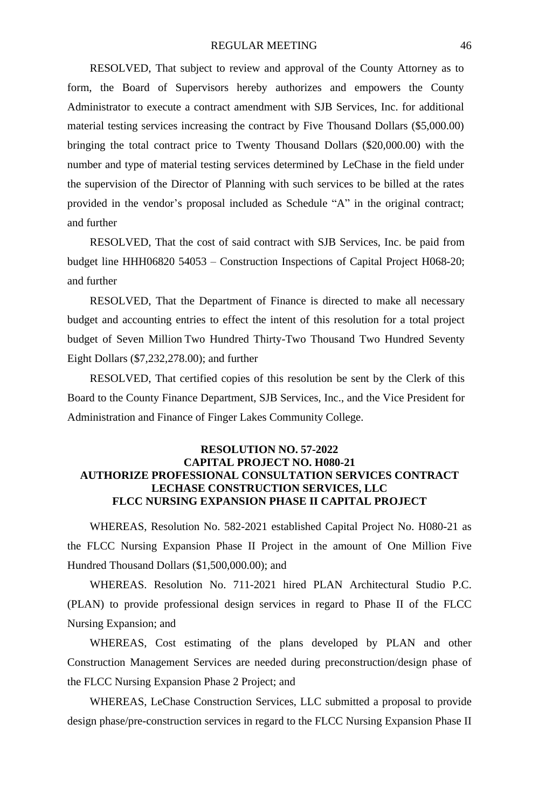#### REGULAR MEETING 46

RESOLVED, That subject to review and approval of the County Attorney as to form, the Board of Supervisors hereby authorizes and empowers the County Administrator to execute a contract amendment with SJB Services, Inc. for additional material testing services increasing the contract by Five Thousand Dollars (\$5,000.00) bringing the total contract price to Twenty Thousand Dollars (\$20,000.00) with the number and type of material testing services determined by LeChase in the field under the supervision of the Director of Planning with such services to be billed at the rates provided in the vendor's proposal included as Schedule "A" in the original contract; and further

RESOLVED, That the cost of said contract with SJB Services, Inc. be paid from budget line HHH06820 54053 – Construction Inspections of Capital Project H068-20; and further

RESOLVED, That the Department of Finance is directed to make all necessary budget and accounting entries to effect the intent of this resolution for a total project budget of Seven Million Two Hundred Thirty-Two Thousand Two Hundred Seventy Eight Dollars (\$7,232,278.00); and further

RESOLVED, That certified copies of this resolution be sent by the Clerk of this Board to the County Finance Department, SJB Services, Inc., and the Vice President for Administration and Finance of Finger Lakes Community College.

#### **RESOLUTION NO. 57-2022 CAPITAL PROJECT NO. H080-21 AUTHORIZE PROFESSIONAL CONSULTATION SERVICES CONTRACT LECHASE CONSTRUCTION SERVICES, LLC FLCC NURSING EXPANSION PHASE II CAPITAL PROJECT**

WHEREAS, Resolution No. 582-2021 established Capital Project No. H080-21 as the FLCC Nursing Expansion Phase II Project in the amount of One Million Five Hundred Thousand Dollars (\$1,500,000.00); and

WHEREAS. Resolution No. 711-2021 hired PLAN Architectural Studio P.C. (PLAN) to provide professional design services in regard to Phase II of the FLCC Nursing Expansion; and

WHEREAS, Cost estimating of the plans developed by PLAN and other Construction Management Services are needed during preconstruction/design phase of the FLCC Nursing Expansion Phase 2 Project; and

WHEREAS, LeChase Construction Services, LLC submitted a proposal to provide design phase/pre-construction services in regard to the FLCC Nursing Expansion Phase II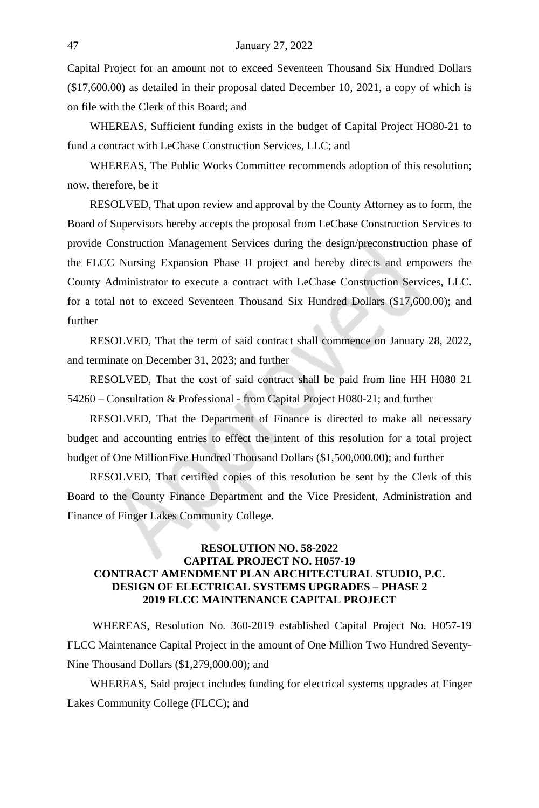Capital Project for an amount not to exceed Seventeen Thousand Six Hundred Dollars (\$17,600.00) as detailed in their proposal dated December 10, 2021, a copy of which is on file with the Clerk of this Board; and

WHEREAS, Sufficient funding exists in the budget of Capital Project HO80-21 to fund a contract with LeChase Construction Services, LLC; and

WHEREAS, The Public Works Committee recommends adoption of this resolution; now, therefore, be it

RESOLVED, That upon review and approval by the County Attorney as to form, the Board of Supervisors hereby accepts the proposal from LeChase Construction Services to provide Construction Management Services during the design/preconstruction phase of the FLCC Nursing Expansion Phase II project and hereby directs and empowers the County Administrator to execute a contract with LeChase Construction Services, LLC. for a total not to exceed Seventeen Thousand Six Hundred Dollars (\$17,600.00); and further

RESOLVED, That the term of said contract shall commence on January 28, 2022, and terminate on December 31, 2023; and further

RESOLVED, That the cost of said contract shall be paid from line HH H080 21 54260 – Consultation & Professional - from Capital Project H080-21; and further

RESOLVED, That the Department of Finance is directed to make all necessary budget and accounting entries to effect the intent of this resolution for a total project budget of One MillionFive Hundred Thousand Dollars (\$1,500,000.00); and further

RESOLVED, That certified copies of this resolution be sent by the Clerk of this Board to the County Finance Department and the Vice President, Administration and Finance of Finger Lakes Community College.

#### **RESOLUTION NO. 58-2022 CAPITAL PROJECT NO. H057-19 CONTRACT AMENDMENT PLAN ARCHITECTURAL STUDIO, P.C. DESIGN OF ELECTRICAL SYSTEMS UPGRADES – PHASE 2 2019 FLCC MAINTENANCE CAPITAL PROJECT**

WHEREAS, Resolution No. 360-2019 established Capital Project No. H057-19 FLCC Maintenance Capital Project in the amount of One Million Two Hundred Seventy-Nine Thousand Dollars (\$1,279,000.00); and

WHEREAS, Said project includes funding for electrical systems upgrades at Finger Lakes Community College (FLCC); and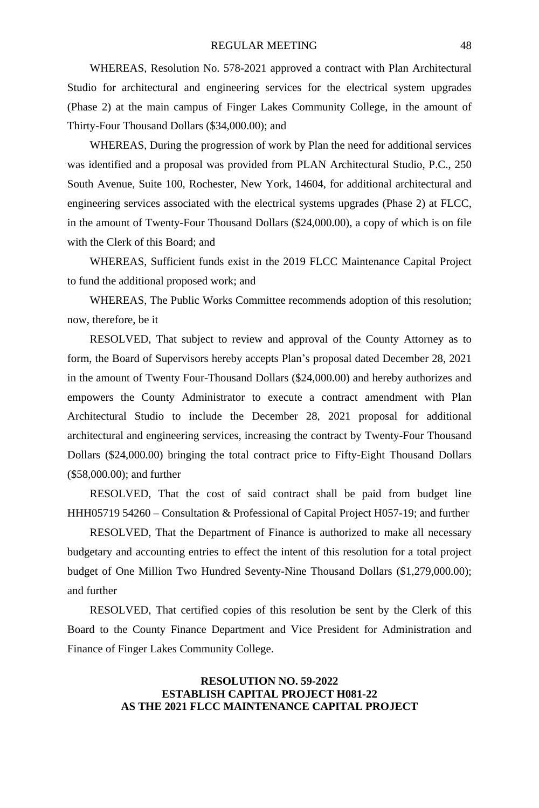WHEREAS, Resolution No. 578-2021 approved a contract with Plan Architectural Studio for architectural and engineering services for the electrical system upgrades (Phase 2) at the main campus of Finger Lakes Community College, in the amount of Thirty-Four Thousand Dollars (\$34,000.00); and

WHEREAS, During the progression of work by Plan the need for additional services was identified and a proposal was provided from PLAN Architectural Studio, P.C., 250 South Avenue, Suite 100, Rochester, New York, 14604, for additional architectural and engineering services associated with the electrical systems upgrades (Phase 2) at FLCC, in the amount of Twenty-Four Thousand Dollars (\$24,000.00), a copy of which is on file with the Clerk of this Board; and

WHEREAS, Sufficient funds exist in the 2019 FLCC Maintenance Capital Project to fund the additional proposed work; and

WHEREAS, The Public Works Committee recommends adoption of this resolution; now, therefore, be it

RESOLVED, That subject to review and approval of the County Attorney as to form, the Board of Supervisors hereby accepts Plan's proposal dated December 28, 2021 in the amount of Twenty Four-Thousand Dollars (\$24,000.00) and hereby authorizes and empowers the County Administrator to execute a contract amendment with Plan Architectural Studio to include the December 28, 2021 proposal for additional architectural and engineering services, increasing the contract by Twenty-Four Thousand Dollars (\$24,000.00) bringing the total contract price to Fifty-Eight Thousand Dollars (\$58,000.00); and further

RESOLVED, That the cost of said contract shall be paid from budget line HHH05719 54260 – Consultation & Professional of Capital Project H057-19; and further

RESOLVED, That the Department of Finance is authorized to make all necessary budgetary and accounting entries to effect the intent of this resolution for a total project budget of One Million Two Hundred Seventy-Nine Thousand Dollars (\$1,279,000.00); and further

RESOLVED, That certified copies of this resolution be sent by the Clerk of this Board to the County Finance Department and Vice President for Administration and Finance of Finger Lakes Community College.

# **RESOLUTION NO. 59-2022 ESTABLISH CAPITAL PROJECT H081-22 AS THE 2021 FLCC MAINTENANCE CAPITAL PROJECT**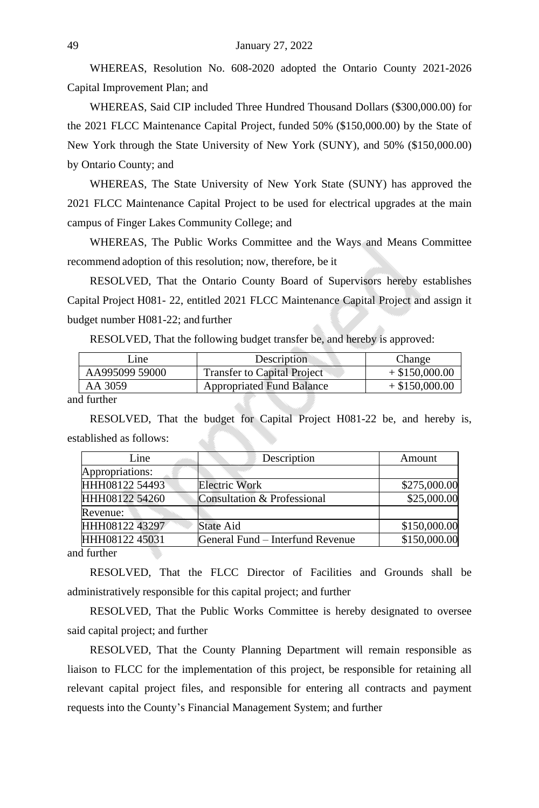WHEREAS, Resolution No. 608-2020 adopted the Ontario County 2021-2026 Capital Improvement Plan; and

WHEREAS, Said CIP included Three Hundred Thousand Dollars (\$300,000.00) for the 2021 FLCC Maintenance Capital Project, funded 50% (\$150,000.00) by the State of New York through the State University of New York (SUNY), and 50% (\$150,000.00) by Ontario County; and

WHEREAS, The State University of New York State (SUNY) has approved the 2021 FLCC Maintenance Capital Project to be used for electrical upgrades at the main campus of Finger Lakes Community College; and

WHEREAS, The Public Works Committee and the Ways and Means Committee recommend adoption of this resolution; now, therefore, be it

RESOLVED, That the Ontario County Board of Supervisors hereby establishes Capital Project H081- 22, entitled 2021 FLCC Maintenance Capital Project and assign it budget number H081-22; and further

RESOLVED, That the following budget transfer be, and hereby is approved:

| Line                         | Description                        | Change           |
|------------------------------|------------------------------------|------------------|
| AA995099 59000               | <b>Transfer to Capital Project</b> | $+$ \$150,000.00 |
| AA 3059                      | <b>Appropriated Fund Balance</b>   | $+$ \$150,000.00 |
| $\mathbf{1} \in \mathcal{A}$ |                                    |                  |

and further

RESOLVED, That the budget for Capital Project H081-22 be, and hereby is, established as follows:

| Line            | Description                      | Amount       |
|-----------------|----------------------------------|--------------|
| Appropriations: |                                  |              |
| HHH08122 54493  | Electric Work                    | \$275,000.00 |
| HHH08122 54260  | Consultation & Professional      | \$25,000.00  |
| Revenue:        |                                  |              |
| HHH08122 43297  | State Aid                        | \$150,000.00 |
| HHH08122 45031  | General Fund – Interfund Revenue | \$150,000.00 |

and further

RESOLVED, That the FLCC Director of Facilities and Grounds shall be administratively responsible for this capital project; and further

RESOLVED, That the Public Works Committee is hereby designated to oversee said capital project; and further

RESOLVED, That the County Planning Department will remain responsible as liaison to FLCC for the implementation of this project, be responsible for retaining all relevant capital project files, and responsible for entering all contracts and payment requests into the County's Financial Management System; and further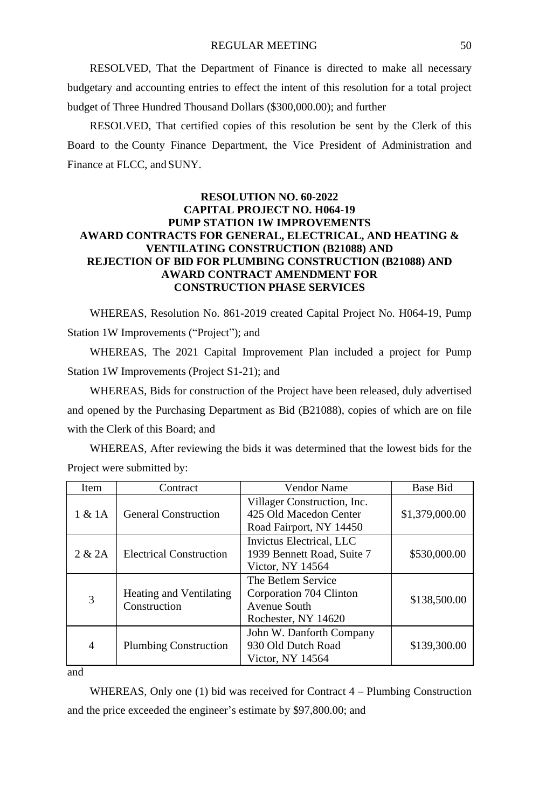RESOLVED, That the Department of Finance is directed to make all necessary budgetary and accounting entries to effect the intent of this resolution for a total project budget of Three Hundred Thousand Dollars (\$300,000.00); and further

RESOLVED, That certified copies of this resolution be sent by the Clerk of this Board to the County Finance Department, the Vice President of Administration and Finance at FLCC, and SUNY.

#### **RESOLUTION NO. 60-2022 CAPITAL PROJECT NO. H064-19 PUMP STATION 1W IMPROVEMENTS AWARD CONTRACTS FOR GENERAL, ELECTRICAL, AND HEATING & VENTILATING CONSTRUCTION (B21088) AND REJECTION OF BID FOR PLUMBING CONSTRUCTION (B21088) AND AWARD CONTRACT AMENDMENT FOR CONSTRUCTION PHASE SERVICES**

WHEREAS, Resolution No. 861-2019 created Capital Project No. H064-19, Pump Station 1W Improvements ("Project"); and

WHEREAS, The 2021 Capital Improvement Plan included a project for Pump Station 1W Improvements (Project S1-21); and

WHEREAS, Bids for construction of the Project have been released, duly advertised and opened by the Purchasing Department as Bid (B21088), copies of which are on file with the Clerk of this Board; and

WHEREAS, After reviewing the bids it was determined that the lowest bids for the Project were submitted by:

| Item           | Contract                                | Vendor Name                                                                          | Base Bid       |
|----------------|-----------------------------------------|--------------------------------------------------------------------------------------|----------------|
| 1 & 1A         | <b>General Construction</b>             | Villager Construction, Inc.<br>425 Old Macedon Center<br>Road Fairport, NY 14450     | \$1,379,000.00 |
| 2 & 2A         | <b>Electrical Construction</b>          | Invictus Electrical, LLC<br>1939 Bennett Road, Suite 7<br>Victor, NY 14564           | \$530,000.00   |
| 3              | Heating and Ventilating<br>Construction | The Betlem Service<br>Corporation 704 Clinton<br>Avenue South<br>Rochester, NY 14620 | \$138,500.00   |
| $\overline{4}$ | <b>Plumbing Construction</b>            | John W. Danforth Company<br>930 Old Dutch Road<br>Victor, NY 14564                   | \$139,300.00   |

and

WHEREAS, Only one (1) bid was received for Contract 4 – Plumbing Construction and the price exceeded the engineer's estimate by \$97,800.00; and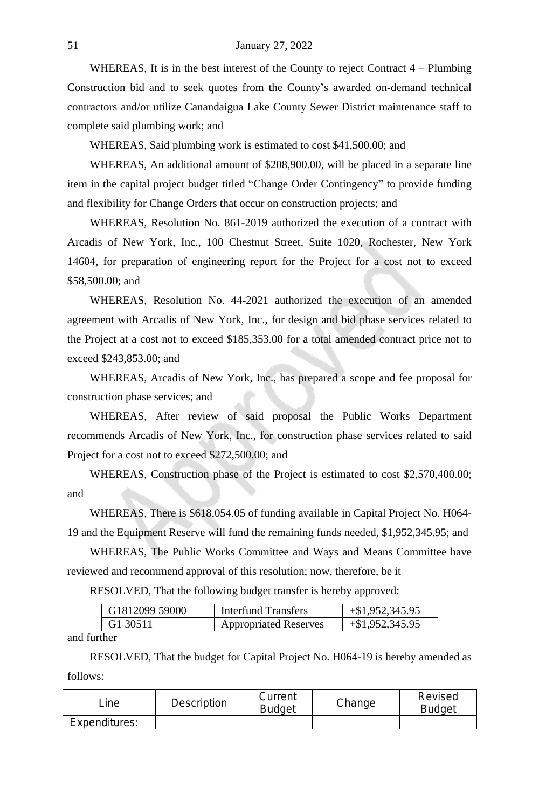WHEREAS, It is in the best interest of the County to reject Contract 4 – Plumbing Construction bid and to seek quotes from the County's awarded on-demand technical contractors and/or utilize Canandaigua Lake County Sewer District maintenance staff to complete said plumbing work; and

WHEREAS, Said plumbing work is estimated to cost \$41,500.00; and

WHEREAS, An additional amount of \$208,900.00, will be placed in a separate line item in the capital project budget titled "Change Order Contingency" to provide funding and flexibility for Change Orders that occur on construction projects; and

WHEREAS, Resolution No. 861-2019 authorized the execution of a contract with Arcadis of New York, Inc., 100 Chestnut Street, Suite 1020, Rochester, New York 14604, for preparation of engineering report for the Project for a cost not to exceed \$58,500.00; and

WHEREAS, Resolution No. 44-2021 authorized the execution of an amended agreement with Arcadis of New York, Inc., for design and bid phase services related to the Project at a cost not to exceed \$185,353.00 for a total amended contract price not to exceed \$243,853.00; and

WHEREAS, Arcadis of New York, Inc., has prepared a scope and fee proposal for construction phase services; and

WHEREAS, After review of said proposal the Public Works Department recommends Arcadis of New York, Inc., for construction phase services related to said Project for a cost not to exceed \$272,500.00; and

WHEREAS, Construction phase of the Project is estimated to cost \$2,570,400.00; and

WHEREAS, There is \$618,054.05 of funding available in Capital Project No. H064- 19 and the Equipment Reserve will fund the remaining funds needed, \$1,952,345.95; and

WHEREAS, The Public Works Committee and Ways and Means Committee have reviewed and recommend approval of this resolution; now, therefore, be it

RESOLVED, That the following budget transfer is hereby approved:

| G1812099 59000        | Interfund Transfers          | $+\$1,952,345.95$ |
|-----------------------|------------------------------|-------------------|
| <sup>+</sup> G1 30511 | <b>Appropriated Reserves</b> | $+\$1,952,345.95$ |

and further

RESOLVED, That the budget for Capital Project No. H064-19 is hereby amended as follows:

| _ine -        | Description | Current<br><b>Budget</b> | Change | Revised<br><b>Budget</b> |
|---------------|-------------|--------------------------|--------|--------------------------|
| Expenditures: |             |                          |        |                          |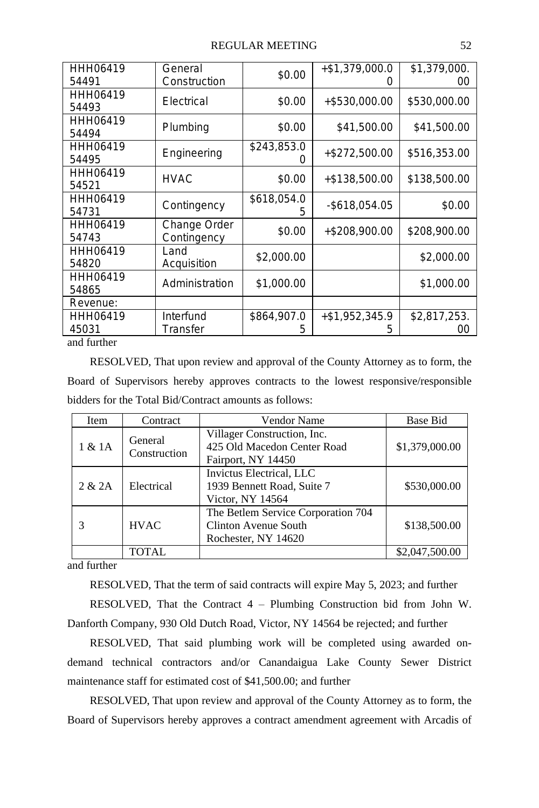#### REGULAR MEETING 52

| HHH06419<br>54491 | General<br>Construction     | \$0.00           | $+ $1,379,000.0$<br>( ) | \$1,379,000.<br>ΟO |
|-------------------|-----------------------------|------------------|-------------------------|--------------------|
| HHH06419<br>54493 | Electrical                  | \$0.00           | +\$530,000.00           | \$530,000.00       |
| HHH06419<br>54494 | Plumbing                    | \$0.00           | \$41,500.00             | \$41,500.00        |
| HHH06419<br>54495 | Engineering                 | \$243,853.0      | $+ $272,500.00$         | \$516,353.00       |
| HHH06419<br>54521 | <b>HVAC</b>                 | \$0.00           | $+ $138,500.00$         | \$138,500.00       |
| HHH06419<br>54731 | Contingency                 | \$618,054.0<br>5 | $-$ \$618,054.05        | \$0.00             |
| HHH06419<br>54743 | Change Order<br>Contingency | \$0.00           | +\$208,900.00           | \$208,900.00       |
| HHH06419<br>54820 | Land<br>Acquisition         | \$2,000.00       |                         | \$2,000.00         |
| HHH06419<br>54865 | Administration              | \$1,000.00       |                         | \$1,000.00         |
| Revenue:          |                             |                  |                         |                    |
| HHH06419<br>45031 | Interfund<br>Transfer       | \$864,907.0<br>5 | $+ $1,952,345.9$<br>5   | \$2,817,253.<br>ΟO |

and further

RESOLVED, That upon review and approval of the County Attorney as to form, the Board of Supervisors hereby approves contracts to the lowest responsive/responsible bidders for the Total Bid/Contract amounts as follows:

| Item   | Contract                | Vendor Name                                                                       | Base Bid       |
|--------|-------------------------|-----------------------------------------------------------------------------------|----------------|
| 1 & 1A | General<br>Construction | Villager Construction, Inc.<br>425 Old Macedon Center Road<br>Fairport, NY 14450  | \$1,379,000.00 |
| 2 & 2A | Electrical              | Invictus Electrical, LLC<br>1939 Bennett Road, Suite 7<br>Victor, NY 14564        | \$530,000.00   |
| 3      | <b>HVAC</b>             | The Betlem Service Corporation 704<br>Clinton Avenue South<br>Rochester, NY 14620 | \$138,500.00   |
|        | TOTAL                   |                                                                                   | \$2,047,500.00 |

and further

RESOLVED, That the term of said contracts will expire May 5, 2023; and further

RESOLVED, That the Contract 4 – Plumbing Construction bid from John W. Danforth Company, 930 Old Dutch Road, Victor, NY 14564 be rejected; and further

RESOLVED, That said plumbing work will be completed using awarded ondemand technical contractors and/or Canandaigua Lake County Sewer District maintenance staff for estimated cost of \$41,500.00; and further

RESOLVED, That upon review and approval of the County Attorney as to form, the Board of Supervisors hereby approves a contract amendment agreement with Arcadis of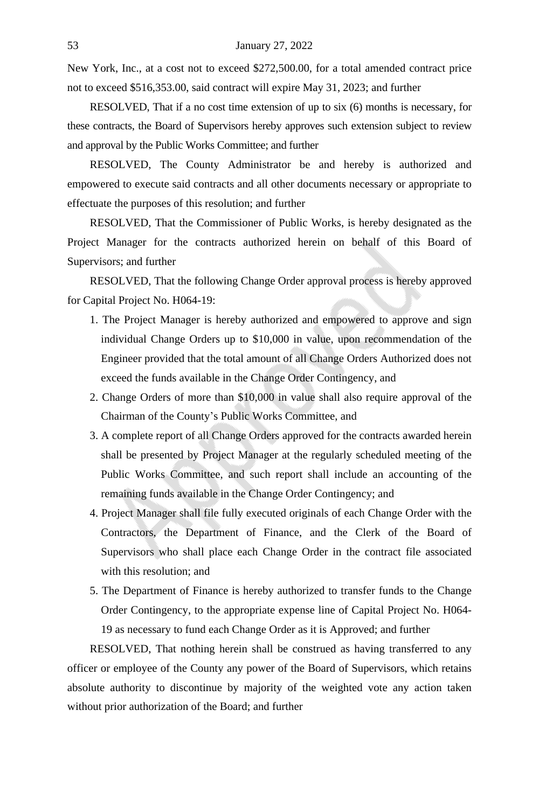New York, Inc., at a cost not to exceed \$272,500.00, for a total amended contract price not to exceed \$516,353.00, said contract will expire May 31, 2023; and further

RESOLVED, That if a no cost time extension of up to six (6) months is necessary, for these contracts, the Board of Supervisors hereby approves such extension subject to review and approval by the Public Works Committee; and further

RESOLVED, The County Administrator be and hereby is authorized and empowered to execute said contracts and all other documents necessary or appropriate to effectuate the purposes of this resolution; and further

RESOLVED, That the Commissioner of Public Works, is hereby designated as the Project Manager for the contracts authorized herein on behalf of this Board of Supervisors; and further

RESOLVED, That the following Change Order approval process is hereby approved for Capital Project No. H064-19:

- 1. The Project Manager is hereby authorized and empowered to approve and sign individual Change Orders up to \$10,000 in value, upon recommendation of the Engineer provided that the total amount of all Change Orders Authorized does not exceed the funds available in the Change Order Contingency, and
- 2. Change Orders of more than \$10,000 in value shall also require approval of the Chairman of the County's Public Works Committee, and
- 3. A complete report of all Change Orders approved for the contracts awarded herein shall be presented by Project Manager at the regularly scheduled meeting of the Public Works Committee, and such report shall include an accounting of the remaining funds available in the Change Order Contingency; and
- 4. Project Manager shall file fully executed originals of each Change Order with the Contractors, the Department of Finance, and the Clerk of the Board of Supervisors who shall place each Change Order in the contract file associated with this resolution; and
- 5. The Department of Finance is hereby authorized to transfer funds to the Change Order Contingency, to the appropriate expense line of Capital Project No. H064- 19 as necessary to fund each Change Order as it is Approved; and further

RESOLVED, That nothing herein shall be construed as having transferred to any officer or employee of the County any power of the Board of Supervisors, which retains absolute authority to discontinue by majority of the weighted vote any action taken without prior authorization of the Board; and further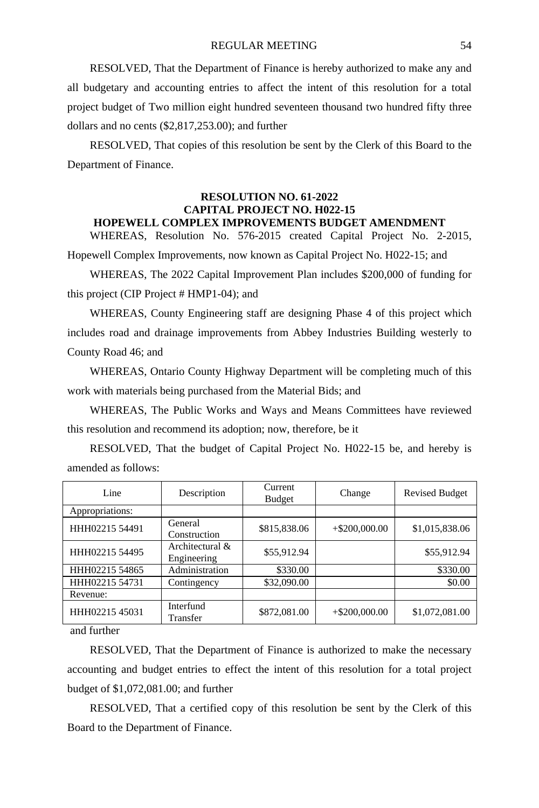RESOLVED, That the Department of Finance is hereby authorized to make any and all budgetary and accounting entries to affect the intent of this resolution for a total project budget of Two million eight hundred seventeen thousand two hundred fifty three dollars and no cents (\$2,817,253.00); and further

RESOLVED, That copies of this resolution be sent by the Clerk of this Board to the Department of Finance.

#### **RESOLUTION NO. 61-2022 CAPITAL PROJECT NO. H022-15 HOPEWELL COMPLEX IMPROVEMENTS BUDGET AMENDMENT**

WHEREAS, Resolution No. 576-2015 created Capital Project No. 2-2015,

Hopewell Complex Improvements, now known as Capital Project No. H022-15; and

WHEREAS, The 2022 Capital Improvement Plan includes \$200,000 of funding for this project (CIP Project # HMP1-04); and

WHEREAS, County Engineering staff are designing Phase 4 of this project which includes road and drainage improvements from Abbey Industries Building westerly to County Road 46; and

WHEREAS, Ontario County Highway Department will be completing much of this work with materials being purchased from the Material Bids; and

WHEREAS, The Public Works and Ways and Means Committees have reviewed this resolution and recommend its adoption; now, therefore, be it

RESOLVED, That the budget of Capital Project No. H022-15 be, and hereby is amended as follows:

| Line            | Description                    | Current<br><b>Budget</b> | Change           | <b>Revised Budget</b> |
|-----------------|--------------------------------|--------------------------|------------------|-----------------------|
| Appropriations: |                                |                          |                  |                       |
| HHH02215 54491  | General<br>Construction        | \$815,838.06             | $+$ \$200,000.00 | \$1,015,838.06        |
| HHH02215 54495  | Architectural &<br>Engineering | \$55,912.94              |                  | \$55,912.94           |
| HHH02215 54865  | Administration                 | \$330.00                 |                  | \$330.00              |
| HHH02215 54731  | Contingency                    | \$32,090.00              |                  | \$0.00                |
| Revenue:        |                                |                          |                  |                       |
| HHH02215 45031  | Interfund<br>Transfer          | \$872,081.00             | $+$ \$200,000.00 | \$1,072,081.00        |

and further

RESOLVED, That the Department of Finance is authorized to make the necessary accounting and budget entries to effect the intent of this resolution for a total project budget of \$1,072,081.00; and further

RESOLVED, That a certified copy of this resolution be sent by the Clerk of this Board to the Department of Finance.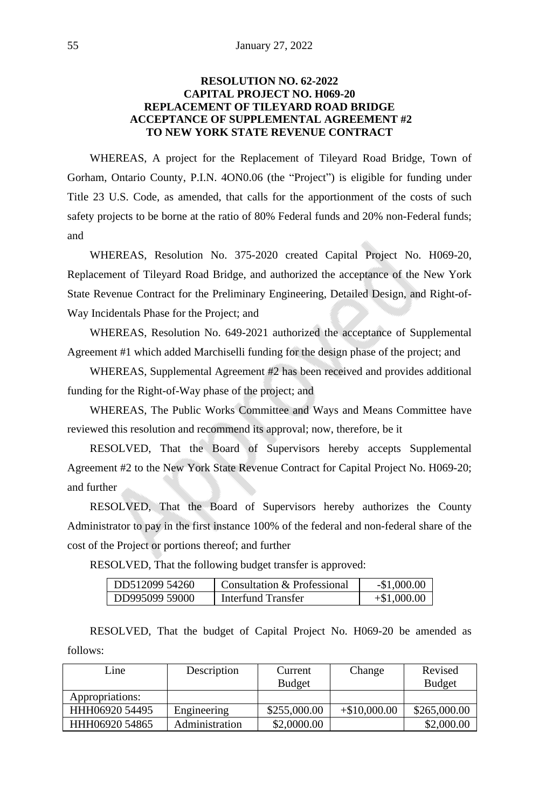# **RESOLUTION NO. 62-2022 CAPITAL PROJECT NO. H069-20 REPLACEMENT OF TILEYARD ROAD BRIDGE ACCEPTANCE OF SUPPLEMENTAL AGREEMENT #2 TO NEW YORK STATE REVENUE CONTRACT**

WHEREAS, A project for the Replacement of Tileyard Road Bridge, Town of Gorham, Ontario County, P.I.N. 4ON0.06 (the "Project") is eligible for funding under Title 23 U.S. Code, as amended, that calls for the apportionment of the costs of such safety projects to be borne at the ratio of 80% Federal funds and 20% non-Federal funds; and

WHEREAS, Resolution No. 375-2020 created Capital Project No. H069-20, Replacement of Tileyard Road Bridge, and authorized the acceptance of the New York State Revenue Contract for the Preliminary Engineering, Detailed Design, and Right-of-Way Incidentals Phase for the Project; and

WHEREAS, Resolution No. 649-2021 authorized the acceptance of Supplemental Agreement #1 which added Marchiselli funding for the design phase of the project; and

WHEREAS, Supplemental Agreement #2 has been received and provides additional funding for the Right-of-Way phase of the project; and

WHEREAS, The Public Works Committee and Ways and Means Committee have reviewed this resolution and recommend its approval; now, therefore, be it

RESOLVED, That the Board of Supervisors hereby accepts Supplemental Agreement #2 to the New York State Revenue Contract for Capital Project No. H069-20; and further

RESOLVED, That the Board of Supervisors hereby authorizes the County Administrator to pay in the first instance 100% of the federal and non-federal share of the cost of the Project or portions thereof; and further

RESOLVED, That the following budget transfer is approved:

| DD512099 54260 | Consultation & Professional | $-\$1.000.00$ |
|----------------|-----------------------------|---------------|
| DD995099 59000 | Interfund Transfer          | $+\$1.000.00$ |

RESOLVED, That the budget of Capital Project No. H069-20 be amended as follows:

| Line            | Description    | Current       | Change         | Revised       |
|-----------------|----------------|---------------|----------------|---------------|
|                 |                | <b>Budget</b> |                | <b>Budget</b> |
| Appropriations: |                |               |                |               |
| HHH06920 54495  | Engineering    | \$255,000.00  | $+\$10,000,00$ | \$265,000.00  |
| HHH06920 54865  | Administration | \$2,0000.00   |                | \$2,000.00    |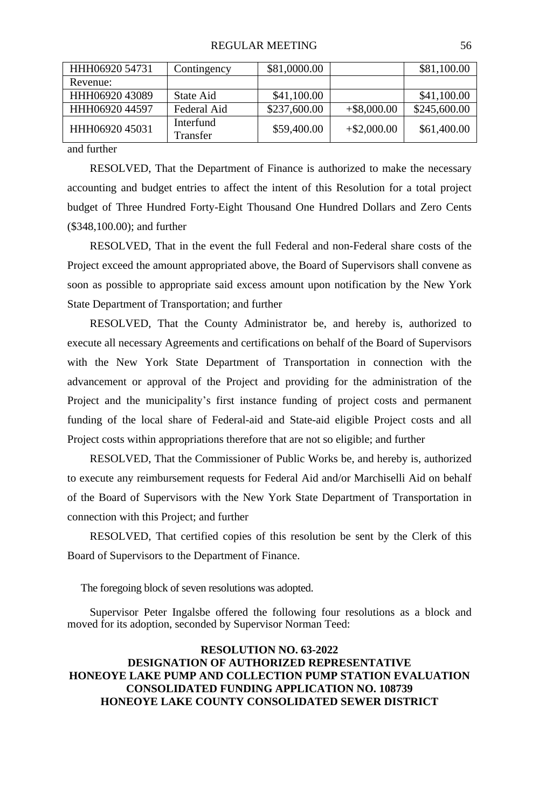| HHH06920 54731 | Contingency           | \$81,0000.00 |                | \$81,100.00  |
|----------------|-----------------------|--------------|----------------|--------------|
| Revenue:       |                       |              |                |              |
| HHH06920 43089 | State Aid             | \$41,100.00  |                | \$41,100.00  |
| HHH06920 44597 | Federal Aid           | \$237,600.00 | $+$ \$8,000.00 | \$245,600.00 |
| HHH06920 45031 | Interfund<br>Transfer | \$59,400.00  | $+$ \$2,000.00 | \$61,400.00  |

and further

RESOLVED, That the Department of Finance is authorized to make the necessary accounting and budget entries to affect the intent of this Resolution for a total project budget of Three Hundred Forty-Eight Thousand One Hundred Dollars and Zero Cents (\$348,100.00); and further

RESOLVED, That in the event the full Federal and non-Federal share costs of the Project exceed the amount appropriated above, the Board of Supervisors shall convene as soon as possible to appropriate said excess amount upon notification by the New York State Department of Transportation; and further

RESOLVED, That the County Administrator be, and hereby is, authorized to execute all necessary Agreements and certifications on behalf of the Board of Supervisors with the New York State Department of Transportation in connection with the advancement or approval of the Project and providing for the administration of the Project and the municipality's first instance funding of project costs and permanent funding of the local share of Federal-aid and State-aid eligible Project costs and all Project costs within appropriations therefore that are not so eligible; and further

RESOLVED, That the Commissioner of Public Works be, and hereby is, authorized to execute any reimbursement requests for Federal Aid and/or Marchiselli Aid on behalf of the Board of Supervisors with the New York State Department of Transportation in connection with this Project; and further

RESOLVED, That certified copies of this resolution be sent by the Clerk of this Board of Supervisors to the Department of Finance.

The foregoing block of seven resolutions was adopted.

Supervisor Peter Ingalsbe offered the following four resolutions as a block and moved for its adoption, seconded by Supervisor Norman Teed:

#### **RESOLUTION NO. 63-2022 DESIGNATION OF AUTHORIZED REPRESENTATIVE HONEOYE LAKE PUMP AND COLLECTION PUMP STATION EVALUATION CONSOLIDATED FUNDING APPLICATION NO. 108739 HONEOYE LAKE COUNTY CONSOLIDATED SEWER DISTRICT**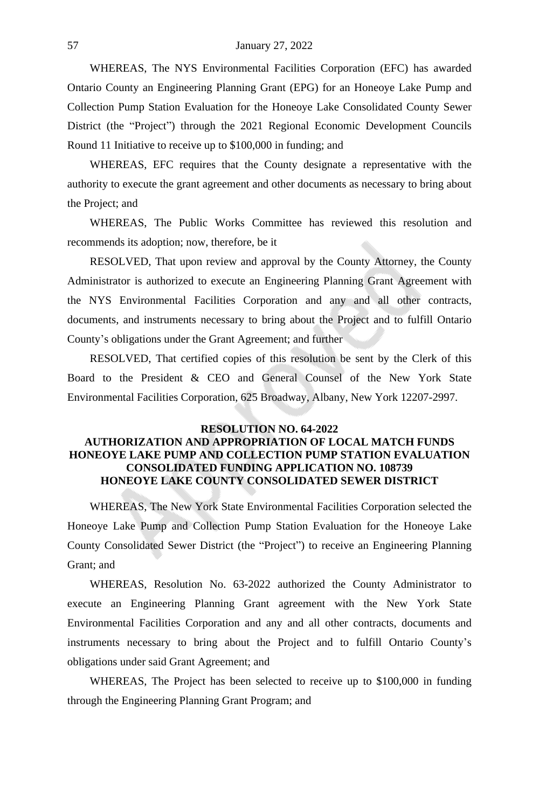WHEREAS, The NYS Environmental Facilities Corporation (EFC) has awarded Ontario County an Engineering Planning Grant (EPG) for an Honeoye Lake Pump and Collection Pump Station Evaluation for the Honeoye Lake Consolidated County Sewer District (the "Project") through the 2021 Regional Economic Development Councils Round 11 Initiative to receive up to \$100,000 in funding; and

WHEREAS, EFC requires that the County designate a representative with the authority to execute the grant agreement and other documents as necessary to bring about the Project; and

WHEREAS, The Public Works Committee has reviewed this resolution and recommends its adoption; now, therefore, be it

RESOLVED, That upon review and approval by the County Attorney, the County Administrator is authorized to execute an Engineering Planning Grant Agreement with the NYS Environmental Facilities Corporation and any and all other contracts, documents, and instruments necessary to bring about the Project and to fulfill Ontario County's obligations under the Grant Agreement; and further

RESOLVED, That certified copies of this resolution be sent by the Clerk of this Board to the President & CEO and General Counsel of the New York State Environmental Facilities Corporation, 625 Broadway, Albany, New York 12207-2997.

# **RESOLUTION NO. 64-2022 AUTHORIZATION AND APPROPRIATION OF LOCAL MATCH FUNDS HONEOYE LAKE PUMP AND COLLECTION PUMP STATION EVALUATION CONSOLIDATED FUNDING APPLICATION NO. 108739 HONEOYE LAKE COUNTY CONSOLIDATED SEWER DISTRICT**

WHEREAS, The New York State Environmental Facilities Corporation selected the Honeoye Lake Pump and Collection Pump Station Evaluation for the Honeoye Lake County Consolidated Sewer District (the "Project") to receive an Engineering Planning Grant; and

WHEREAS, Resolution No. 63-2022 authorized the County Administrator to execute an Engineering Planning Grant agreement with the New York State Environmental Facilities Corporation and any and all other contracts, documents and instruments necessary to bring about the Project and to fulfill Ontario County's obligations under said Grant Agreement; and

WHEREAS, The Project has been selected to receive up to \$100,000 in funding through the Engineering Planning Grant Program; and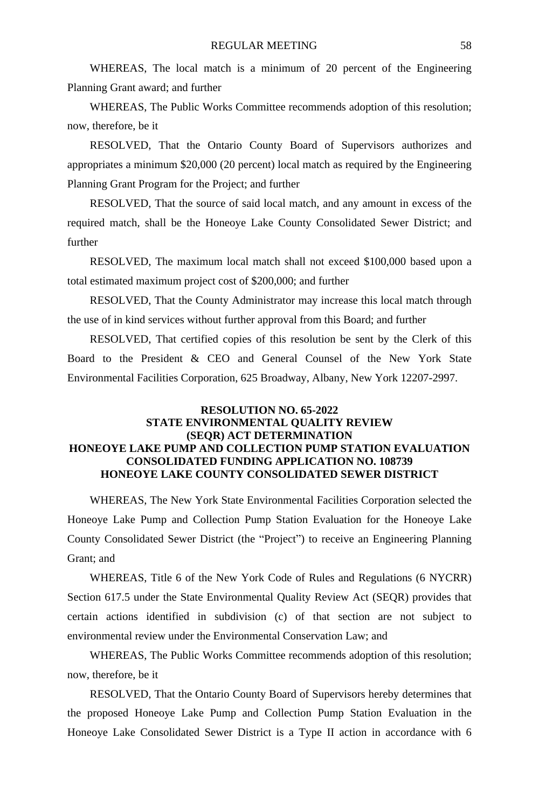WHEREAS, The local match is a minimum of 20 percent of the Engineering Planning Grant award; and further

WHEREAS, The Public Works Committee recommends adoption of this resolution; now, therefore, be it

RESOLVED, That the Ontario County Board of Supervisors authorizes and appropriates a minimum \$20,000 (20 percent) local match as required by the Engineering Planning Grant Program for the Project; and further

RESOLVED, That the source of said local match, and any amount in excess of the required match, shall be the Honeoye Lake County Consolidated Sewer District; and further

RESOLVED, The maximum local match shall not exceed \$100,000 based upon a total estimated maximum project cost of \$200,000; and further

RESOLVED, That the County Administrator may increase this local match through the use of in kind services without further approval from this Board; and further

RESOLVED, That certified copies of this resolution be sent by the Clerk of this Board to the President & CEO and General Counsel of the New York State Environmental Facilities Corporation, 625 Broadway, Albany, New York 12207-2997.

# **RESOLUTION NO. 65-2022 STATE ENVIRONMENTAL QUALITY REVIEW (SEQR) ACT DETERMINATION HONEOYE LAKE PUMP AND COLLECTION PUMP STATION EVALUATION CONSOLIDATED FUNDING APPLICATION NO. 108739 HONEOYE LAKE COUNTY CONSOLIDATED SEWER DISTRICT**

WHEREAS, The New York State Environmental Facilities Corporation selected the Honeoye Lake Pump and Collection Pump Station Evaluation for the Honeoye Lake County Consolidated Sewer District (the "Project") to receive an Engineering Planning Grant; and

WHEREAS, Title 6 of the New York Code of Rules and Regulations (6 NYCRR) Section 617.5 under the State Environmental Quality Review Act (SEQR) provides that certain actions identified in subdivision (c) of that section are not subject to environmental review under the Environmental Conservation Law; and

WHEREAS, The Public Works Committee recommends adoption of this resolution; now, therefore, be it

RESOLVED, That the Ontario County Board of Supervisors hereby determines that the proposed Honeoye Lake Pump and Collection Pump Station Evaluation in the Honeoye Lake Consolidated Sewer District is a Type II action in accordance with 6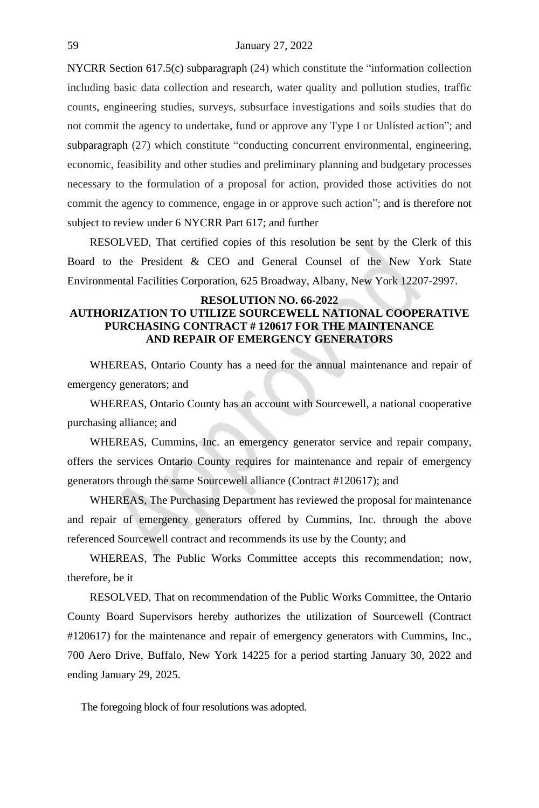NYCRR Section 617.5(c) subparagraph (24) which constitute the "information collection including basic data collection and research, water quality and pollution studies, traffic counts, engineering studies, surveys, subsurface investigations and soils studies that do not commit the agency to undertake, fund or approve any Type I or Unlisted action"; and subparagraph (27) which constitute "conducting concurrent environmental, engineering, economic, feasibility and other studies and preliminary planning and budgetary processes necessary to the formulation of a proposal for action, provided those activities do not commit the agency to commence, engage in or approve such action"; and is therefore not subject to review under 6 NYCRR Part 617; and further

RESOLVED, That certified copies of this resolution be sent by the Clerk of this Board to the President & CEO and General Counsel of the New York State Environmental Facilities Corporation, 625 Broadway, Albany, New York 12207-2997.

# **RESOLUTION NO. 66-2022 AUTHORIZATION TO UTILIZE SOURCEWELL NATIONAL COOPERATIVE PURCHASING CONTRACT # 120617 FOR THE MAINTENANCE AND REPAIR OF EMERGENCY GENERATORS**

WHEREAS, Ontario County has a need for the annual maintenance and repair of emergency generators; and

WHEREAS, Ontario County has an account with Sourcewell, a national cooperative purchasing alliance; and

WHEREAS, Cummins, Inc. an emergency generator service and repair company, offers the services Ontario County requires for maintenance and repair of emergency generators through the same Sourcewell alliance (Contract #120617); and

WHEREAS, The Purchasing Department has reviewed the proposal for maintenance and repair of emergency generators offered by Cummins, Inc. through the above referenced Sourcewell contract and recommends its use by the County; and

WHEREAS, The Public Works Committee accepts this recommendation; now, therefore, be it

RESOLVED, That on recommendation of the Public Works Committee, the Ontario County Board Supervisors hereby authorizes the utilization of Sourcewell (Contract #120617) for the maintenance and repair of emergency generators with Cummins, Inc., 700 Aero Drive, Buffalo, New York 14225 for a period starting January 30, 2022 and ending January 29, 2025.

The foregoing block of four resolutions was adopted.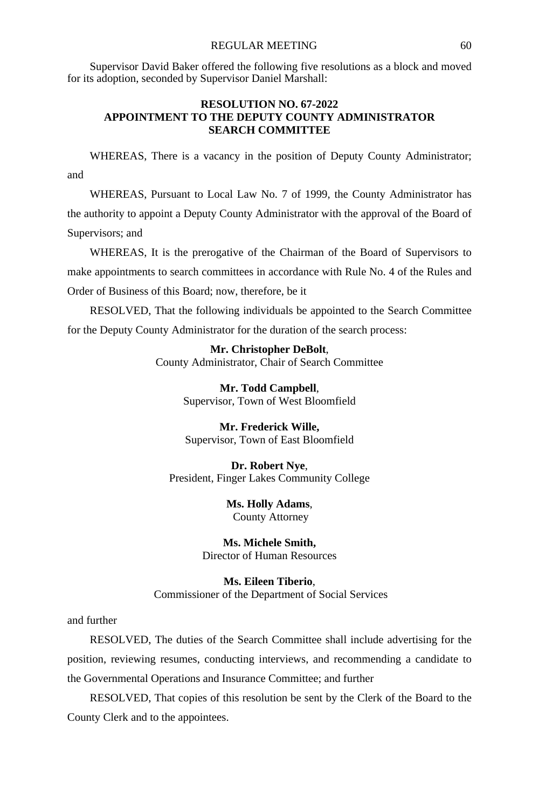#### REGULAR MEETING 60

Supervisor David Baker offered the following five resolutions as a block and moved for its adoption, seconded by Supervisor Daniel Marshall:

#### **RESOLUTION NO. 67-2022 APPOINTMENT TO THE DEPUTY COUNTY ADMINISTRATOR SEARCH COMMITTEE**

WHEREAS, There is a vacancy in the position of Deputy County Administrator; and

WHEREAS, Pursuant to Local Law No. 7 of 1999, the County Administrator has the authority to appoint a Deputy County Administrator with the approval of the Board of Supervisors; and

WHEREAS, It is the prerogative of the Chairman of the Board of Supervisors to make appointments to search committees in accordance with Rule No. 4 of the Rules and Order of Business of this Board; now, therefore, be it

RESOLVED, That the following individuals be appointed to the Search Committee for the Deputy County Administrator for the duration of the search process:

> **Mr. Christopher DeBolt**, County Administrator, Chair of Search Committee

> > **Mr. Todd Campbell**, Supervisor, Town of West Bloomfield

**Mr. Frederick Wille,** Supervisor, Town of East Bloomfield

**Dr. Robert Nye**, President, Finger Lakes Community College

> **Ms. Holly Adams**, County Attorney

**Ms. Michele Smith,** Director of Human Resources

**Ms. Eileen Tiberio**, Commissioner of the Department of Social Services

and further

RESOLVED, The duties of the Search Committee shall include advertising for the position, reviewing resumes, conducting interviews, and recommending a candidate to the Governmental Operations and Insurance Committee; and further

RESOLVED, That copies of this resolution be sent by the Clerk of the Board to the County Clerk and to the appointees.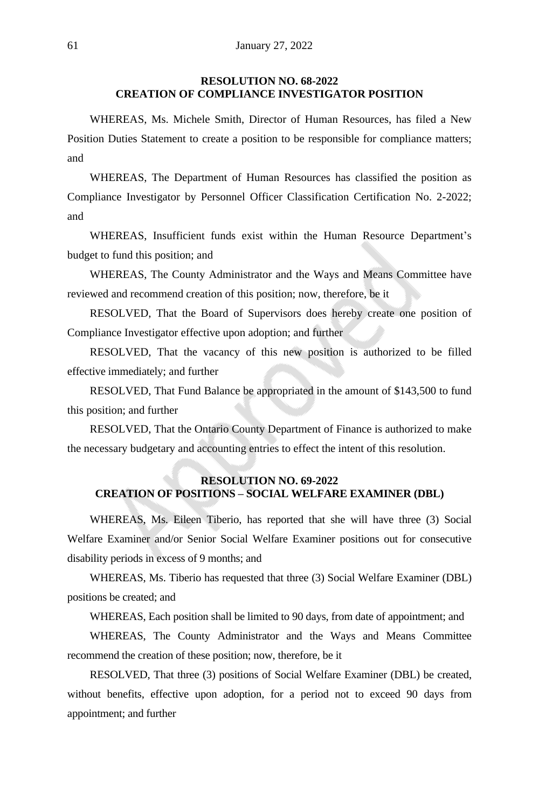# **RESOLUTION NO. 68-2022 CREATION OF COMPLIANCE INVESTIGATOR POSITION**

WHEREAS, Ms. Michele Smith, Director of Human Resources, has filed a New Position Duties Statement to create a position to be responsible for compliance matters; and

WHEREAS, The Department of Human Resources has classified the position as Compliance Investigator by Personnel Officer Classification Certification No. 2-2022; and

WHEREAS, Insufficient funds exist within the Human Resource Department's budget to fund this position; and

WHEREAS, The County Administrator and the Ways and Means Committee have reviewed and recommend creation of this position; now, therefore, be it

RESOLVED, That the Board of Supervisors does hereby create one position of Compliance Investigator effective upon adoption; and further

RESOLVED, That the vacancy of this new position is authorized to be filled effective immediately; and further

RESOLVED, That Fund Balance be appropriated in the amount of \$143,500 to fund this position; and further

RESOLVED, That the Ontario County Department of Finance is authorized to make the necessary budgetary and accounting entries to effect the intent of this resolution.

# **RESOLUTION NO. 69-2022 CREATION OF POSITIONS – SOCIAL WELFARE EXAMINER (DBL)**

WHEREAS, Ms. Eileen Tiberio, has reported that she will have three (3) Social Welfare Examiner and/or Senior Social Welfare Examiner positions out for consecutive disability periods in excess of 9 months; and

WHEREAS, Ms. Tiberio has requested that three (3) Social Welfare Examiner (DBL) positions be created; and

WHEREAS, Each position shall be limited to 90 days, from date of appointment; and

WHEREAS, The County Administrator and the Ways and Means Committee recommend the creation of these position; now, therefore, be it

RESOLVED, That three (3) positions of Social Welfare Examiner (DBL) be created, without benefits, effective upon adoption, for a period not to exceed 90 days from appointment; and further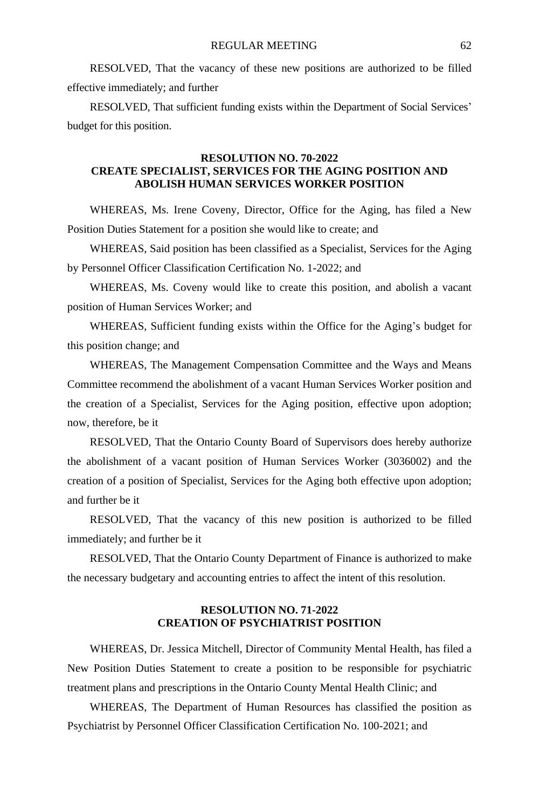RESOLVED, That the vacancy of these new positions are authorized to be filled effective immediately; and further

RESOLVED, That sufficient funding exists within the Department of Social Services' budget for this position.

# **RESOLUTION NO. 70-2022 CREATE SPECIALIST, SERVICES FOR THE AGING POSITION AND ABOLISH HUMAN SERVICES WORKER POSITION**

WHEREAS, Ms. Irene Coveny, Director, Office for the Aging, has filed a New Position Duties Statement for a position she would like to create; and

WHEREAS, Said position has been classified as a Specialist, Services for the Aging by Personnel Officer Classification Certification No. 1-2022; and

WHEREAS, Ms. Coveny would like to create this position, and abolish a vacant position of Human Services Worker; and

WHEREAS, Sufficient funding exists within the Office for the Aging's budget for this position change; and

WHEREAS, The Management Compensation Committee and the Ways and Means Committee recommend the abolishment of a vacant Human Services Worker position and the creation of a Specialist, Services for the Aging position, effective upon adoption; now, therefore, be it

RESOLVED, That the Ontario County Board of Supervisors does hereby authorize the abolishment of a vacant position of Human Services Worker (3036002) and the creation of a position of Specialist, Services for the Aging both effective upon adoption; and further be it

RESOLVED, That the vacancy of this new position is authorized to be filled immediately; and further be it

RESOLVED, That the Ontario County Department of Finance is authorized to make the necessary budgetary and accounting entries to affect the intent of this resolution.

# **RESOLUTION NO. 71-2022 CREATION OF PSYCHIATRIST POSITION**

WHEREAS, Dr. Jessica Mitchell, Director of Community Mental Health, has filed a New Position Duties Statement to create a position to be responsible for psychiatric treatment plans and prescriptions in the Ontario County Mental Health Clinic; and

WHEREAS, The Department of Human Resources has classified the position as Psychiatrist by Personnel Officer Classification Certification No. 100-2021; and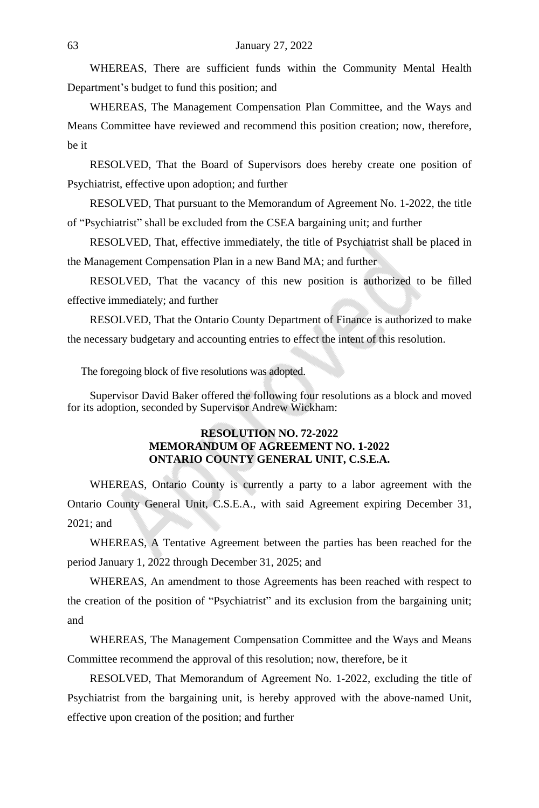WHEREAS, There are sufficient funds within the Community Mental Health Department's budget to fund this position; and

WHEREAS, The Management Compensation Plan Committee, and the Ways and Means Committee have reviewed and recommend this position creation; now, therefore, be it

RESOLVED, That the Board of Supervisors does hereby create one position of Psychiatrist, effective upon adoption; and further

RESOLVED, That pursuant to the Memorandum of Agreement No. 1-2022, the title of "Psychiatrist" shall be excluded from the CSEA bargaining unit; and further

RESOLVED, That, effective immediately, the title of Psychiatrist shall be placed in the Management Compensation Plan in a new Band MA; and further

RESOLVED, That the vacancy of this new position is authorized to be filled effective immediately; and further

RESOLVED, That the Ontario County Department of Finance is authorized to make the necessary budgetary and accounting entries to effect the intent of this resolution.

The foregoing block of five resolutions was adopted.

Supervisor David Baker offered the following four resolutions as a block and moved for its adoption, seconded by Supervisor Andrew Wickham:

#### **RESOLUTION NO. 72-2022 MEMORANDUM OF AGREEMENT NO. 1-2022 ONTARIO COUNTY GENERAL UNIT, C.S.E.A.**

WHEREAS, Ontario County is currently a party to a labor agreement with the Ontario County General Unit, C.S.E.A., with said Agreement expiring December 31, 2021; and

WHEREAS, A Tentative Agreement between the parties has been reached for the period January 1, 2022 through December 31, 2025; and

WHEREAS, An amendment to those Agreements has been reached with respect to the creation of the position of "Psychiatrist" and its exclusion from the bargaining unit; and

WHEREAS, The Management Compensation Committee and the Ways and Means Committee recommend the approval of this resolution; now, therefore, be it

RESOLVED, That Memorandum of Agreement No. 1-2022, excluding the title of Psychiatrist from the bargaining unit, is hereby approved with the above-named Unit, effective upon creation of the position; and further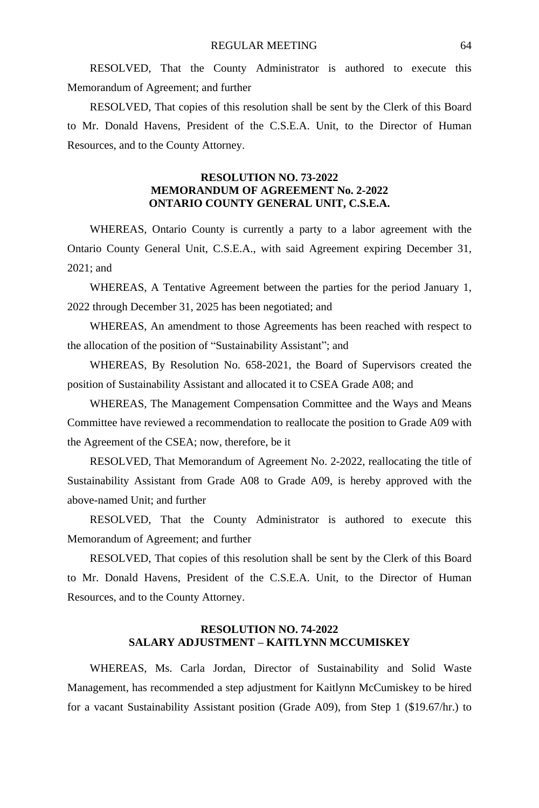RESOLVED, That the County Administrator is authored to execute this Memorandum of Agreement; and further

RESOLVED, That copies of this resolution shall be sent by the Clerk of this Board to Mr. Donald Havens, President of the C.S.E.A. Unit, to the Director of Human Resources, and to the County Attorney.

#### **RESOLUTION NO. 73-2022 MEMORANDUM OF AGREEMENT No. 2-2022 ONTARIO COUNTY GENERAL UNIT, C.S.E.A.**

WHEREAS, Ontario County is currently a party to a labor agreement with the Ontario County General Unit, C.S.E.A., with said Agreement expiring December 31, 2021; and

WHEREAS, A Tentative Agreement between the parties for the period January 1, 2022 through December 31, 2025 has been negotiated; and

WHEREAS, An amendment to those Agreements has been reached with respect to the allocation of the position of "Sustainability Assistant"; and

WHEREAS, By Resolution No. 658-2021, the Board of Supervisors created the position of Sustainability Assistant and allocated it to CSEA Grade A08; and

WHEREAS, The Management Compensation Committee and the Ways and Means Committee have reviewed a recommendation to reallocate the position to Grade A09 with the Agreement of the CSEA; now, therefore, be it

RESOLVED, That Memorandum of Agreement No. 2-2022, reallocating the title of Sustainability Assistant from Grade A08 to Grade A09, is hereby approved with the above-named Unit; and further

RESOLVED, That the County Administrator is authored to execute this Memorandum of Agreement; and further

RESOLVED, That copies of this resolution shall be sent by the Clerk of this Board to Mr. Donald Havens, President of the C.S.E.A. Unit, to the Director of Human Resources, and to the County Attorney.

#### **RESOLUTION NO. 74-2022 SALARY ADJUSTMENT – KAITLYNN MCCUMISKEY**

WHEREAS, Ms. Carla Jordan, Director of Sustainability and Solid Waste Management, has recommended a step adjustment for Kaitlynn McCumiskey to be hired for a vacant Sustainability Assistant position (Grade A09), from Step 1 (\$19.67/hr.) to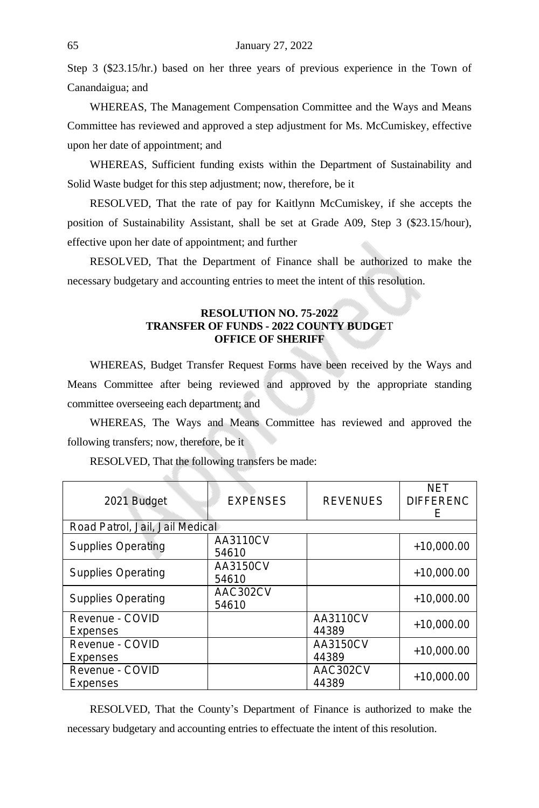Step 3 (\$23.15/hr.) based on her three years of previous experience in the Town of Canandaigua; and

WHEREAS, The Management Compensation Committee and the Ways and Means Committee has reviewed and approved a step adjustment for Ms. McCumiskey, effective upon her date of appointment; and

WHEREAS, Sufficient funding exists within the Department of Sustainability and Solid Waste budget for this step adjustment; now, therefore, be it

RESOLVED, That the rate of pay for Kaitlynn McCumiskey, if she accepts the position of Sustainability Assistant, shall be set at Grade A09, Step 3 (\$23.15/hour), effective upon her date of appointment; and further

RESOLVED, That the Department of Finance shall be authorized to make the necessary budgetary and accounting entries to meet the intent of this resolution.

#### **RESOLUTION NO. 75-2022 TRANSFER OF FUNDS - 2022 COUNTY BUDGE**T **OFFICE OF SHERIFF**

WHEREAS, Budget Transfer Request Forms have been received by the Ways and Means Committee after being reviewed and approved by the appropriate standing committee overseeing each department; and

WHEREAS, The Ways and Means Committee has reviewed and approved the following transfers; now, therefore, be it

| 2021 Budget                     | <b>EXPENSES</b>   | <b>REVENUES</b>   | NET<br><b>DIFFERENC</b><br>F |
|---------------------------------|-------------------|-------------------|------------------------------|
| Road Patrol, Jail, Jail Medical |                   |                   |                              |
| <b>Supplies Operating</b>       | AA3110CV<br>54610 |                   | $+10,000.00$                 |
| <b>Supplies Operating</b>       | AA3150CV<br>54610 |                   | $+10,000.00$                 |
| <b>Supplies Operating</b>       | AAC302CV<br>54610 |                   | $+10,000,00$                 |
| Revenue - COVID<br>Expenses     |                   | AA3110CV<br>44389 | $+10,000,00$                 |
| Revenue - COVID<br>Expenses     |                   | AA3150CV<br>44389 | $+10.000.00$                 |
| Revenue - COVID<br>Expenses     |                   | AAC302CV<br>44389 | $+10,000,00$                 |

RESOLVED, That the following transfers be made:

 $-1$ 

RESOLVED, That the County's Department of Finance is authorized to make the necessary budgetary and accounting entries to effectuate the intent of this resolution.